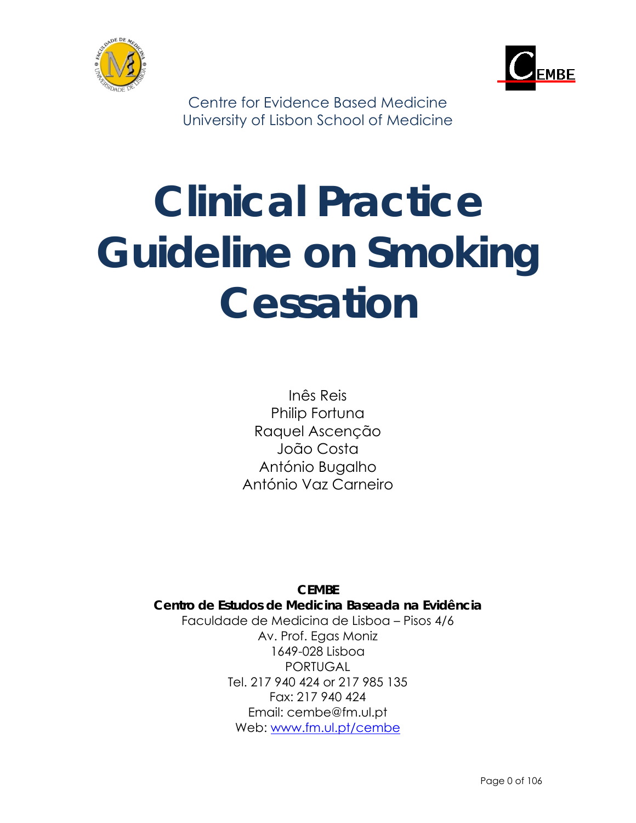



Centre for Evidence Based Medicine University of Lisbon School of Medicine

# **Clinical Practice Guideline on Smoking Cessation**

Inês Reis Philip Fortuna Raquel Ascenção João Costa António Bugalho António Vaz Carneiro

**CEMBE Centro de Estudos de Medicina Baseada na Evidência** Faculdade de Medicina de Lisboa – Pisos 4/6 Av. Prof. Egas Moniz 1649-028 Lisboa PORTUGAL Tel. 217 940 424 or 217 985 135 Fax: 217 940 424 Email: cembe@fm.ul.pt Web: [www.fm.ul.pt/cembe](http://www.fm.ul.pt/cembe)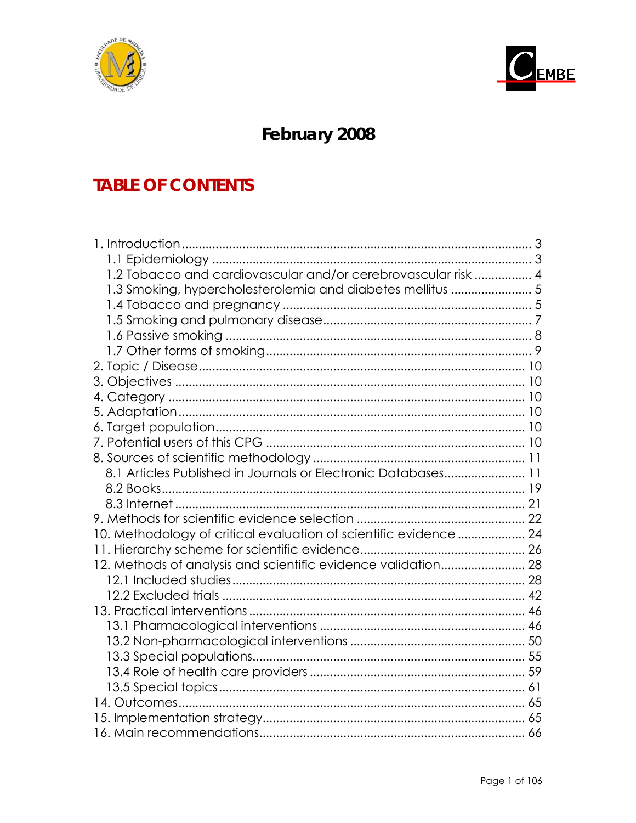



# February 2008

# **TABLE OF CONTENTS**

| 1.2 Tobacco and cardiovascular and/or cerebrovascular risk  4     |  |
|-------------------------------------------------------------------|--|
| 1.3 Smoking, hypercholesterolemia and diabetes mellitus  5        |  |
|                                                                   |  |
|                                                                   |  |
|                                                                   |  |
|                                                                   |  |
|                                                                   |  |
|                                                                   |  |
|                                                                   |  |
|                                                                   |  |
|                                                                   |  |
|                                                                   |  |
|                                                                   |  |
| 8.1 Articles Published in Journals or Electronic Databases 11     |  |
|                                                                   |  |
|                                                                   |  |
|                                                                   |  |
| 10. Methodology of critical evaluation of scientific evidence  24 |  |
|                                                                   |  |
| 12. Methods of analysis and scientific evidence validation 28     |  |
|                                                                   |  |
|                                                                   |  |
|                                                                   |  |
|                                                                   |  |
|                                                                   |  |
|                                                                   |  |
|                                                                   |  |
|                                                                   |  |
|                                                                   |  |
|                                                                   |  |
|                                                                   |  |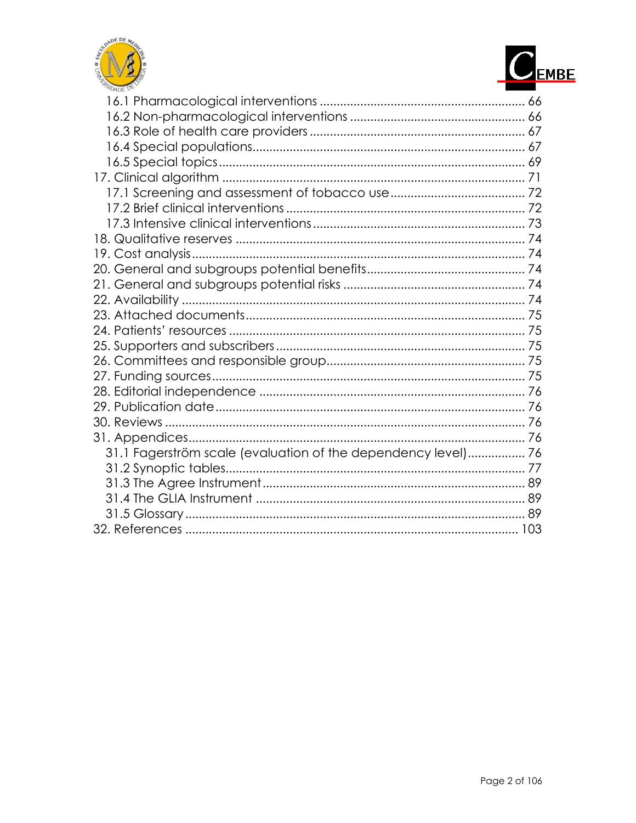



| UADE UV                                                       |  |
|---------------------------------------------------------------|--|
|                                                               |  |
|                                                               |  |
|                                                               |  |
|                                                               |  |
|                                                               |  |
|                                                               |  |
|                                                               |  |
|                                                               |  |
|                                                               |  |
|                                                               |  |
|                                                               |  |
|                                                               |  |
|                                                               |  |
|                                                               |  |
|                                                               |  |
|                                                               |  |
|                                                               |  |
|                                                               |  |
|                                                               |  |
|                                                               |  |
|                                                               |  |
|                                                               |  |
|                                                               |  |
| 31.1 Fagerström scale (evaluation of the dependency level) 76 |  |
|                                                               |  |
|                                                               |  |
|                                                               |  |
|                                                               |  |
|                                                               |  |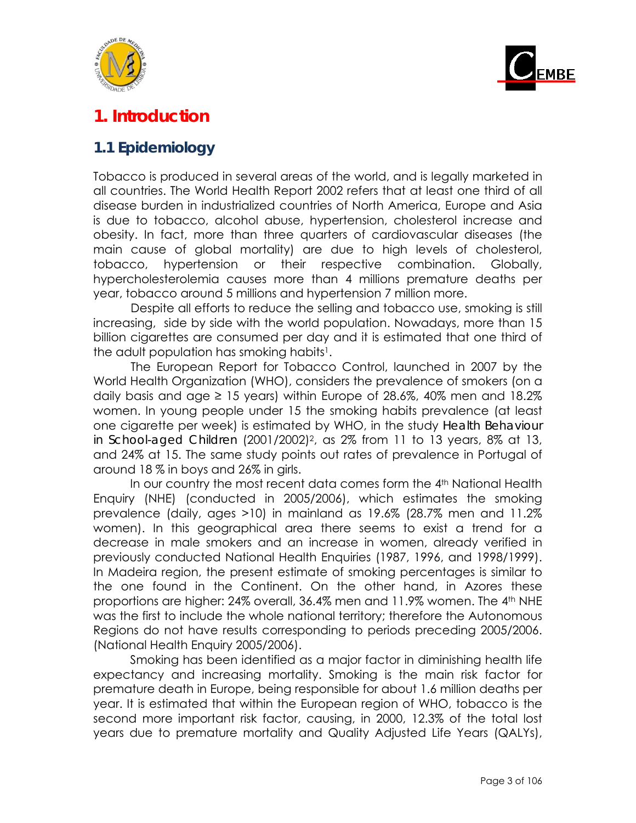<span id="page-3-0"></span>



# **1. Introduction**

## **1.1 Epidemiology**

Tobacco is produced in several areas of the world, and is legally marketed in all countries. The World Health Report 2002 refers that at least one third of all disease burden in industrialized countries of North America, Europe and Asia is due to tobacco, alcohol abuse, hypertension, cholesterol increase and obesity. In fact, more than three quarters of cardiovascular diseases (the main cause of global mortality) are due to high levels of cholesterol, tobacco, hypertension or their respective combination. Globally, hypercholesterolemia causes more than 4 millions premature deaths per year, tobacco around 5 millions and hypertension 7 million more.

Despite all efforts to reduce the selling and tobacco use, smoking is still increasing, side by side with the world population. Nowadays, more than 15 billion cigarettes are consumed per day and it is estimated that one third of the adult population has smoking habits<sup>1</sup>.

The European Report for Tobacco Control, launched in 2007 by the World Health Organization (WHO), considers the prevalence of smokers (on a daily basis and age  $\geq$  15 years) within Europe of 28.6%, 40% men and 18.2% women. In young people under 15 the smoking habits prevalence (at least one cigarette per week) is estimated by WHO, in the study *Health Behaviour in School-aged Children* (2001/2002)2, as 2% from 11 to 13 years, 8% at 13, and 24% at 15. The same study points out rates of prevalence in Portugal of around 18 % in boys and 26% in girls.

In our country the most recent data comes form the 4th National Health Enquiry (NHE) (conducted in 2005/2006), which estimates the smoking prevalence (daily, ages >10) in mainland as 19.6% (28.7% men and 11.2% women). In this geographical area there seems to exist a trend for a decrease in male smokers and an increase in women, already verified in previously conducted National Health Enquiries (1987, 1996, and 1998/1999). In Madeira region, the present estimate of smoking percentages is similar to the one found in the Continent. On the other hand, in Azores these proportions are higher: 24% overall, 36.4% men and 11.9% women. The 4th NHE was the first to include the whole national territory; therefore the Autonomous Regions do not have results corresponding to periods preceding 2005/2006. (National Health Enquiry 2005/2006).

Smoking has been identified as a major factor in diminishing health life expectancy and increasing mortality. Smoking is the main risk factor for premature death in Europe, being responsible for about 1.6 million deaths per year. It is estimated that within the European region of WHO, tobacco is the second more important risk factor, causing, in 2000, 12.3% of the total lost years due to premature mortality and Quality Adjusted Life Years (QALYs),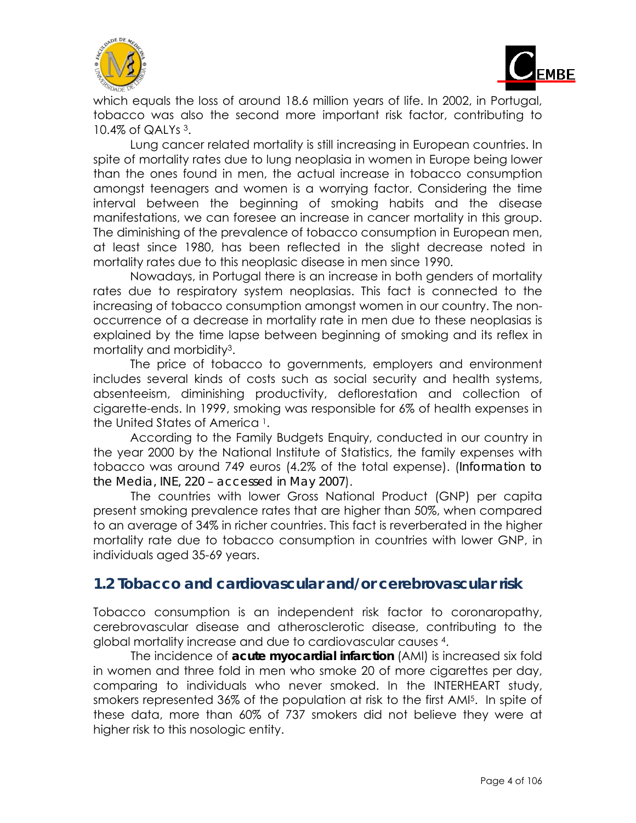<span id="page-4-0"></span>



which equals the loss of around 18.6 million years of life. In 2002, in Portugal, tobacco was also the second more important risk factor, contributing to 10.4% of QALYs 3.

Lung cancer related mortality is still increasing in European countries. In spite of mortality rates due to lung neoplasia in women in Europe being lower than the ones found in men, the actual increase in tobacco consumption amongst teenagers and women is a worrying factor. Considering the time interval between the beginning of smoking habits and the disease manifestations, we can foresee an increase in cancer mortality in this group. The diminishing of the prevalence of tobacco consumption in European men, at least since 1980, has been reflected in the slight decrease noted in mortality rates due to this neoplasic disease in men since 1990.

Nowadays, in Portugal there is an increase in both genders of mortality rates due to respiratory system neoplasias. This fact is connected to the increasing of tobacco consumption amongst women in our country. The nonoccurrence of a decrease in mortality rate in men due to these neoplasias is explained by the time lapse between beginning of smoking and its reflex in mortality and morbidity3.

The price of tobacco to governments, employers and environment includes several kinds of costs such as social security and health systems, absenteeism, diminishing productivity, deflorestation and collection of cigarette-ends. In 1999, smoking was responsible for 6% of health expenses in the United States of America 1.

According to the Family Budgets Enquiry, conducted in our country in the year 2000 by the National Institute of Statistics, the family expenses with tobacco was around 749 euros (4.2% of the total expense). (*Information to the Media, INE, 220 – accessed in May 2007*).

The countries with lower Gross National Product (GNP) per capita present smoking prevalence rates that are higher than 50%, when compared to an average of 34% in richer countries. This fact is reverberated in the higher mortality rate due to tobacco consumption in countries with lower GNP, in individuals aged 35-69 years.

## **1.2 Tobacco and cardiovascular and/or cerebrovascular risk**

Tobacco consumption is an independent risk factor to coronaropathy, cerebrovascular disease and atherosclerotic disease, contributing to the global mortality increase and due to cardiovascular causes 4.

The incidence of **acute myocardial infarction** (AMI) is increased six fold in women and three fold in men who smoke 20 of more cigarettes per day, comparing to individuals who never smoked. In the INTERHEART study, smokers represented 36% of the population at risk to the first AMI5. In spite of these data, more than 60% of 737 smokers did not believe they were at higher risk to this nosologic entity.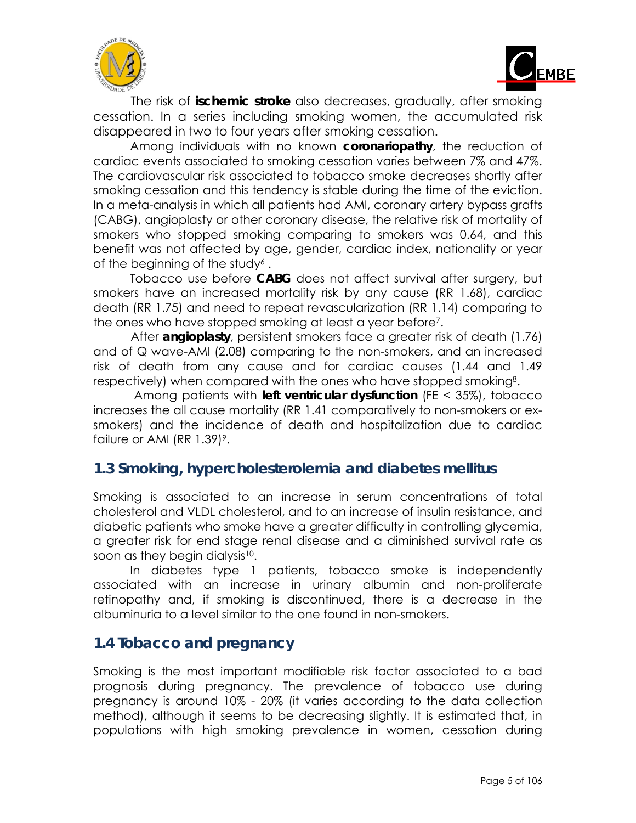<span id="page-5-0"></span>



The risk of **ischemic stroke** also decreases, gradually, after smoking cessation. In a series including smoking women, the accumulated risk disappeared in two to four years after smoking cessation.

Among individuals with no known **coronariopathy**, the reduction of cardiac events associated to smoking cessation varies between 7% and 47%. The cardiovascular risk associated to tobacco smoke decreases shortly after smoking cessation and this tendency is stable during the time of the eviction. In a meta-analysis in which all patients had AMI, coronary artery bypass grafts (CABG), angioplasty or other coronary disease, the relative risk of mortality of smokers who stopped smoking comparing to smokers was 0.64, and this benefit was not affected by age, gender, cardiac index, nationality or year of the beginning of the study<sup>6</sup>.

Tobacco use before **CABG** does not affect survival after surgery, but smokers have an increased mortality risk by any cause (RR 1.68), cardiac death (RR 1.75) and need to repeat revascularization (RR 1.14) comparing to the ones who have stopped smoking at least a year before7.

After **angioplasty**, persistent smokers face a greater risk of death (1.76) and of Q wave-AMI (2.08) comparing to the non-smokers, and an increased risk of death from any cause and for cardiac causes (1.44 and 1.49 respectively) when compared with the ones who have stopped smoking<sup>8</sup>.

 Among patients with **left ventricular dysfunction** (FE < 35%), tobacco increases the all cause mortality (RR 1.41 comparatively to non-smokers or exsmokers) and the incidence of death and hospitalization due to cardiac failure or AMI (RR  $1.39$ )<sup>9</sup>.

## **1.3 Smoking, hypercholesterolemia and diabetes mellitus**

Smoking is associated to an increase in serum concentrations of total cholesterol and VLDL cholesterol, and to an increase of insulin resistance, and diabetic patients who smoke have a greater difficulty in controlling glycemia, a greater risk for end stage renal disease and a diminished survival rate as soon as they begin dialysis<sup>10</sup>.

In diabetes type 1 patients, tobacco smoke is independently associated with an increase in urinary albumin and non-proliferate retinopathy and, if smoking is discontinued, there is a decrease in the albuminuria to a level similar to the one found in non-smokers.

## **1.4 Tobacco and pregnancy**

Smoking is the most important modifiable risk factor associated to a bad prognosis during pregnancy. The prevalence of tobacco use during pregnancy is around 10% - 20% (it varies according to the data collection method), although it seems to be decreasing slightly. It is estimated that, in populations with high smoking prevalence in women, cessation during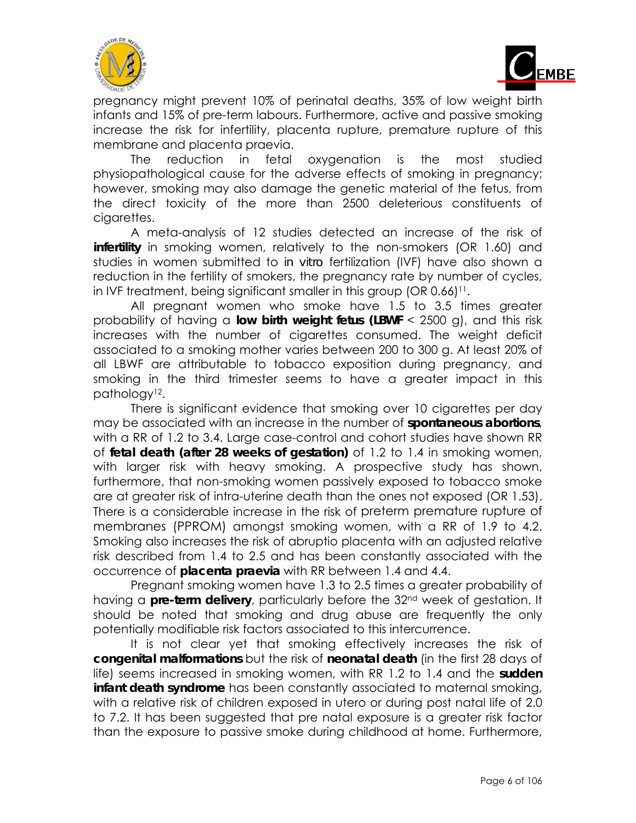



pregnancy might prevent 10% of perinatal deaths, 35% of low weight birth infants and 15% of pre-term labours. Furthermore, active and passive smoking increase the risk for infertility, placenta rupture, premature rupture of this membrane and placenta praevia.

The reduction in fetal oxygenation is the most studied physiopathological cause for the adverse effects of smoking in pregnancy; however, smoking may also damage the genetic material of the fetus, from the direct toxicity of the more than 2500 deleterious constituents of cigarettes.

A meta-analysis of 12 studies detected an increase of the risk of **infertility** in smoking women, relatively to the non-smokers (OR 1.60) and studies in women submitted to *in vitro* fertilization (IVF) have also shown a reduction in the fertility of smokers, the pregnancy rate by number of cycles, in IVF treatment, being significant smaller in this group (OR  $0.66$ )<sup>11</sup>.

All pregnant women who smoke have 1.5 to 3.5 times greater probability of having a **low birth weight fetus (LBWF** < 2500 g), and this risk increases with the number of cigarettes consumed. The weight deficit associated to a smoking mother varies between 200 to 300 g. At least 20% of all LBWF are attributable to tobacco exposition during pregnancy, and smoking in the third trimester seems to have a greater impact in this pathology<sup>12</sup>.

There is significant evidence that smoking over 10 cigarettes per day may be associated with an increase in the number of **spontaneous abortions**, with a RR of 1.2 to 3.4. Large case-control and cohort studies have shown RR of **fetal death (after 28 weeks of gestation)** of 1.2 to 1.4 in smoking women, with larger risk with heavy smoking. A prospective study has shown, furthermore, that non-smoking women passively exposed to tobacco smoke are at greater risk of intra-uterine death than the ones not exposed (OR 1.53). There is a considerable increase in the risk of preterm premature rupture of membranes (PPROM) amongst smoking women, with a RR of 1.9 to 4.2. Smoking also increases the risk of abruptio placenta with an adjusted relative risk described from 1.4 to 2.5 and has been constantly associated with the occurrence of **placenta praevia** with RR between 1.4 and 4.4.

Pregnant smoking women have 1.3 to 2.5 times a greater probability of having a **pre-term delivery**, particularly before the 32nd week of gestation. It should be noted that smoking and drug abuse are frequently the only potentially modifiable risk factors associated to this intercurrence.

It is not clear yet that smoking effectively increases the risk of **congenital malformations** but the risk of **neonatal death** (in the first 28 days of life) seems increased in smoking women, with RR 1.2 to 1.4 and the **sudden infant death syndrome** has been constantly associated to maternal smoking, with a relative risk of children exposed in utero or during post natal life of 2.0 to 7.2. It has been suggested that pre natal exposure is a greater risk factor than the exposure to passive smoke during childhood at home. Furthermore,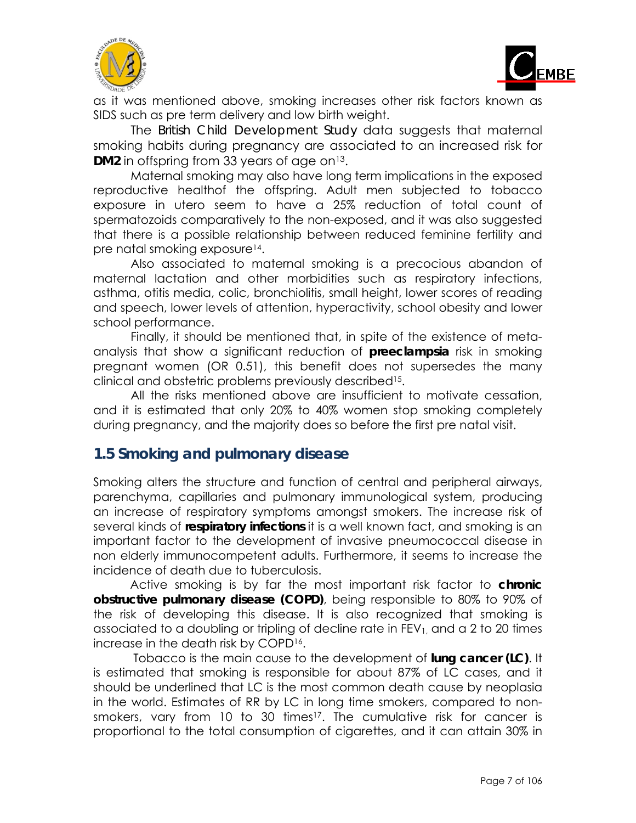<span id="page-7-0"></span>



as it was mentioned above, smoking increases other risk factors known as SIDS such as pre term delivery and low birth weight.

The *British Child Development Study* data suggests that maternal smoking habits during pregnancy are associated to an increased risk for **DM2** in offspring from 33 years of age on<sup>13</sup>.

Maternal smoking may also have long term implications in the exposed reproductive healthof the offspring. Adult men subjected to tobacco exposure in utero seem to have a 25% reduction of total count of spermatozoids comparatively to the non-exposed, and it was also suggested that there is a possible relationship between reduced feminine fertility and pre natal smoking exposure14.

Also associated to maternal smoking is a precocious abandon of maternal lactation and other morbidities such as respiratory infections, asthma, otitis media, colic, bronchiolitis, small height, lower scores of reading and speech, lower levels of attention, hyperactivity, school obesity and lower school performance.

Finally, it should be mentioned that, in spite of the existence of metaanalysis that show a significant reduction of **preeclampsia** risk in smoking pregnant women (OR 0.51), this benefit does not supersedes the many clinical and obstetric problems previously described15.

All the risks mentioned above are insufficient to motivate cessation, and it is estimated that only 20% to 40% women stop smoking completely during pregnancy, and the majority does so before the first pre natal visit.

## **1.5 Smoking and pulmonary disease**

Smoking alters the structure and function of central and peripheral airways, parenchyma, capillaries and pulmonary immunological system, producing an increase of respiratory symptoms amongst smokers. The increase risk of several kinds of **respiratory infections** it is a well known fact, and smoking is an important factor to the development of invasive pneumococcal disease in non elderly immunocompetent adults. Furthermore, it seems to increase the incidence of death due to tuberculosis.

Active smoking is by far the most important risk factor to **chronic obstructive pulmonary disease (COPD)**, being responsible to 80% to 90% of the risk of developing this disease. It is also recognized that smoking is associated to a doubling or tripling of decline rate in  $FEV<sub>1</sub>$ , and a 2 to 20 times increase in the death risk by COPD16.

 Tobacco is the main cause to the development of **lung cancer (LC)**. It is estimated that smoking is responsible for about 87% of LC cases, and it should be underlined that LC is the most common death cause by neoplasia in the world. Estimates of RR by LC in long time smokers, compared to nonsmokers, vary from 10 to 30 times<sup>17</sup>. The cumulative risk for cancer is proportional to the total consumption of cigarettes, and it can attain 30% in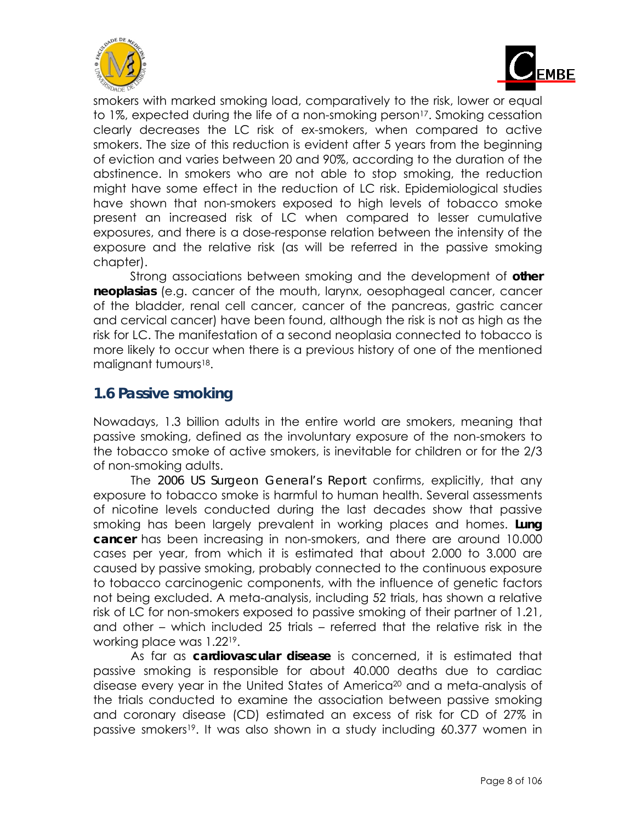<span id="page-8-0"></span>



smokers with marked smoking load, comparatively to the risk, lower or equal to 1%, expected during the life of a non-smoking person<sup>17</sup>. Smoking cessation clearly decreases the LC risk of ex-smokers, when compared to active smokers. The size of this reduction is evident after 5 years from the beginning of eviction and varies between 20 and 90%, according to the duration of the abstinence. In smokers who are not able to stop smoking, the reduction might have some effect in the reduction of LC risk. Epidemiological studies have shown that non-smokers exposed to high levels of tobacco smoke present an increased risk of LC when compared to lesser cumulative exposures, and there is a dose-response relation between the intensity of the exposure and the relative risk (as will be referred in the passive smoking chapter).

Strong associations between smoking and the development of **other neoplasias** (e.g. cancer of the mouth, larynx, oesophageal cancer, cancer of the bladder, renal cell cancer, cancer of the pancreas, gastric cancer and cervical cancer) have been found, although the risk is not as high as the risk for LC. The manifestation of a second neoplasia connected to tobacco is more likely to occur when there is a previous history of one of the mentioned malignant tumours<sup>18</sup>.

## **1.6 Passive smoking**

Nowadays, 1.3 billion adults in the entire world are smokers, meaning that passive smoking, defined as the involuntary exposure of the non-smokers to the tobacco smoke of active smokers, is inevitable for children or for the 2/3 of non-smoking adults.

The *2006 US Surgeon General's Report* confirms, explicitly, that any exposure to tobacco smoke is harmful to human health. Several assessments of nicotine levels conducted during the last decades show that passive smoking has been largely prevalent in working places and homes. **Lung cancer** has been increasing in non-smokers, and there are around 10.000 cases per year, from which it is estimated that about 2.000 to 3.000 are caused by passive smoking, probably connected to the continuous exposure to tobacco carcinogenic components, with the influence of genetic factors not being excluded. A meta-analysis, including 52 trials, has shown a relative risk of LC for non-smokers exposed to passive smoking of their partner of 1.21, and other – which included 25 trials – referred that the relative risk in the working place was 1.2219.

As far as **cardiovascular disease** is concerned, it is estimated that passive smoking is responsible for about 40.000 deaths due to cardiac disease every year in the United States of America<sup>20</sup> and a meta-analysis of the trials conducted to examine the association between passive smoking and coronary disease (CD) estimated an excess of risk for CD of 27% in passive smokers19. It was also shown in a study including 60.377 women in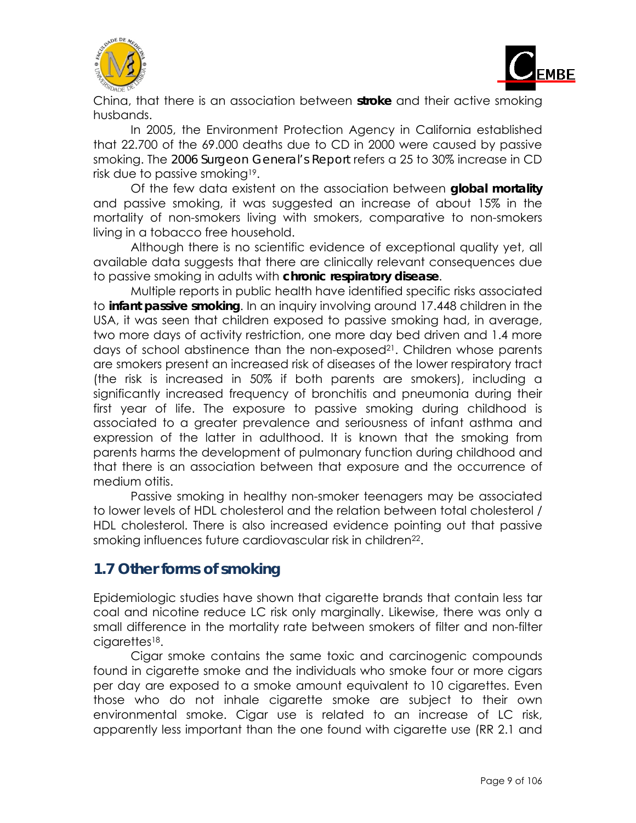<span id="page-9-0"></span>



China, that there is an association between **stroke** and their active smoking husbands.

In 2005, the Environment Protection Agency in California established that 22.700 of the 69.000 deaths due to CD in 2000 were caused by passive smoking. The *2006 Surgeon General's Report* refers a 25 to 30% increase in CD risk due to passive smoking19.

Of the few data existent on the association between **global mortality** and passive smoking, it was suggested an increase of about 15% in the mortality of non-smokers living with smokers, comparative to non-smokers living in a tobacco free household.

Although there is no scientific evidence of exceptional quality yet, all available data suggests that there are clinically relevant consequences due to passive smoking in adults with **chronic respiratory disease**.

Multiple reports in public health have identified specific risks associated to **infant passive smoking**. In an inquiry involving around 17.448 children in the USA, it was seen that children exposed to passive smoking had, in average, two more days of activity restriction, one more day bed driven and 1.4 more days of school abstinence than the non-exposed $2^1$ . Children whose parents are smokers present an increased risk of diseases of the lower respiratory tract (the risk is increased in 50% if both parents are smokers), including a significantly increased frequency of bronchitis and pneumonia during their first year of life. The exposure to passive smoking during childhood is associated to a greater prevalence and seriousness of infant asthma and expression of the latter in adulthood. It is known that the smoking from parents harms the development of pulmonary function during childhood and that there is an association between that exposure and the occurrence of medium otitis.

Passive smoking in healthy non-smoker teenagers may be associated to lower levels of HDL cholesterol and the relation between total cholesterol / HDL cholesterol. There is also increased evidence pointing out that passive smoking influences future cardiovascular risk in children<sup>22</sup>.

## **1.7 Other forms of smoking**

Epidemiologic studies have shown that cigarette brands that contain less tar coal and nicotine reduce LC risk only marginally. Likewise, there was only a small difference in the mortality rate between smokers of filter and non-filter cigarettes<sup>18</sup>.

Cigar smoke contains the same toxic and carcinogenic compounds found in cigarette smoke and the individuals who smoke four or more cigars per day are exposed to a smoke amount equivalent to 10 cigarettes. Even those who do not inhale cigarette smoke are subject to their own environmental smoke. Cigar use is related to an increase of LC risk, apparently less important than the one found with cigarette use (RR 2.1 and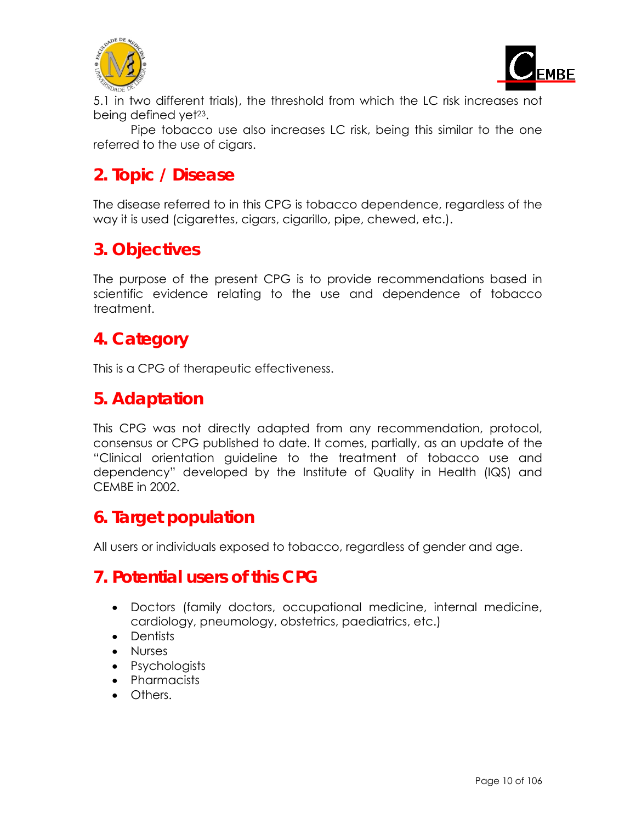<span id="page-10-0"></span>



5.1 in two different trials), the threshold from which the LC risk increases not being defined yet<sup>23</sup>.

Pipe tobacco use also increases LC risk, being this similar to the one referred to the use of cigars.

# **2. Topic / Disease**

The disease referred to in this CPG is tobacco dependence, regardless of the way it is used (cigarettes, cigars, cigarillo, pipe, chewed, etc.).

# **3. Objectives**

The purpose of the present CPG is to provide recommendations based in scientific evidence relating to the use and dependence of tobacco treatment.

# **4. Category**

This is a CPG of therapeutic effectiveness.

# **5. Adaptation**

This CPG was not directly adapted from any recommendation, protocol, consensus or CPG published to date. It comes, partially, as an update of the "Clinical orientation guideline to the treatment of tobacco use and dependency" developed by the Institute of Quality in Health (IQS) and CEMBE in 2002.

# **6. Target population**

All users or individuals exposed to tobacco, regardless of gender and age.

## **7. Potential users of this CPG**

- Doctors (family doctors, occupational medicine, internal medicine, cardiology, pneumology, obstetrics, paediatrics, etc.)
- Dentists
- Nurses
- Psychologists
- Pharmacists
- Others.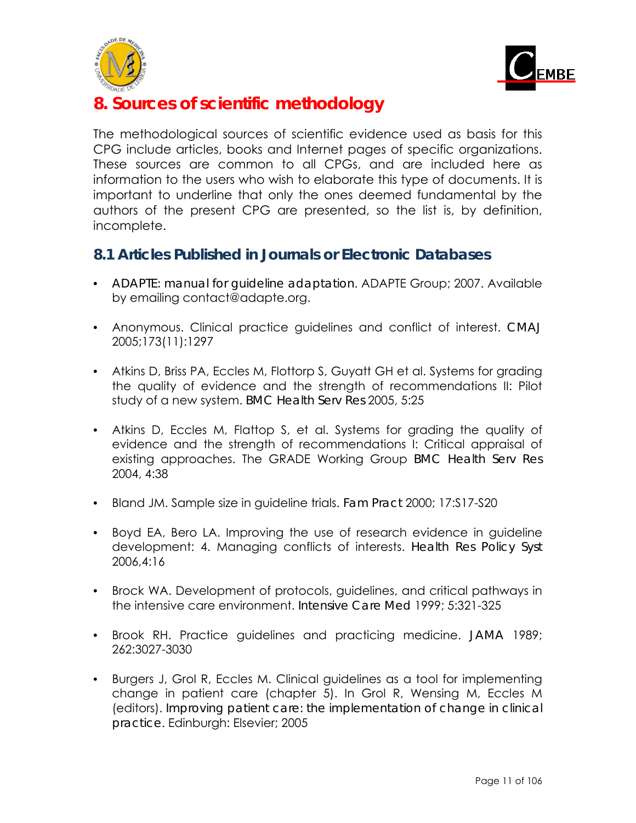<span id="page-11-0"></span>



# **8. Sources of scientific methodology**

The methodological sources of scientific evidence used as basis for this CPG include articles, books and Internet pages of specific organizations. These sources are common to all CPGs, and are included here as information to the users who wish to elaborate this type of documents. It is important to underline that only the ones deemed fundamental by the authors of the present CPG are presented, so the list is, by definition, incomplete.

## **8.1 Articles Published in Journals or Electronic Databases**

- *ADAPTE: manual for guideline adaptation*. ADAPTE Group; 2007. Available by emailing contact@adapte.org.
- Anonymous. Clinical practice guidelines and conflict of interest. *CMAJ*  2005;173(11):1297
- Atkins D, Briss PA, Eccles M, Flottorp S, Guyatt GH et al. Systems for grading the quality of evidence and the strength of recommendations II: Pilot study of a new system. *BMC Health Serv Res* 2005, 5:25
- Atkins D, Eccles M, Flattop S, et al. Systems for grading the quality of evidence and the strength of recommendations I: Critical appraisal of existing approaches. The GRADE Working Group *BMC Health Serv Res*  2004, 4:38
- Bland JM. Sample size in guideline trials. *Fam Pract* 2000; 17:S17-S20
- Boyd EA, Bero LA. Improving the use of research evidence in guideline development: 4. Managing conflicts of interests. *Health Res Policy Syst*  2006,4:16
- Brock WA. Development of protocols, guidelines, and critical pathways in the intensive care environment. *Intensive Care Med* 1999; 5:321-325
- Brook RH. Practice guidelines and practicing medicine. *JAMA* 1989; 262:3027-3030
- Burgers J, Grol R, Eccles M. Clinical guidelines as a tool for implementing change in patient care (chapter 5). In Grol R, Wensing M, Eccles M (editors). *Improving patient care: the implementation of change in clinical practice*. Edinburgh: Elsevier; 2005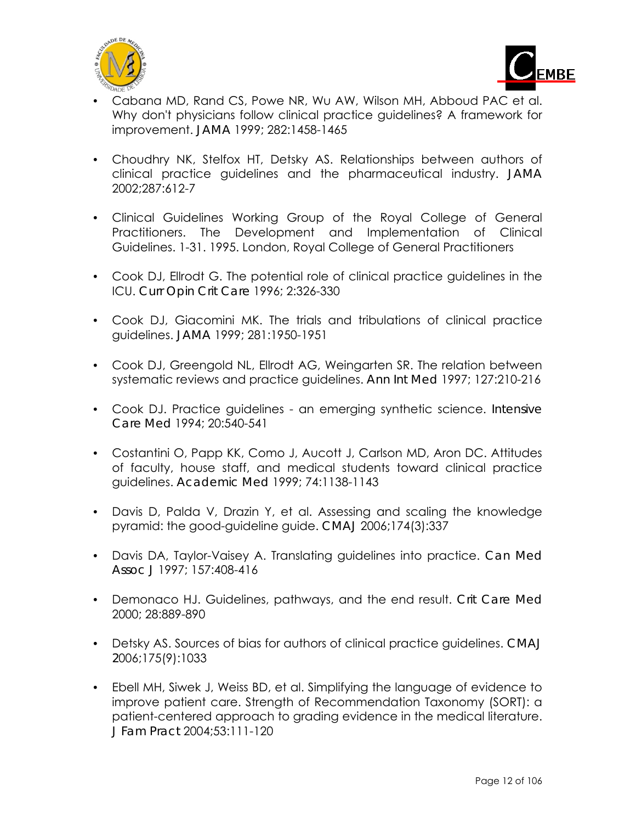



- Cabana MD, Rand CS, Powe NR, Wu AW, Wilson MH, Abboud PAC et al. Why don't physicians follow clinical practice guidelines? A framework for improvement. *JAMA* 1999; 282:1458-1465
- Choudhry NK, Stelfox HT, Detsky AS. Relationships between authors of clinical practice guidelines and the pharmaceutical industry. *JAMA*  2002;287:612-7
- Clinical Guidelines Working Group of the Royal College of General Practitioners. The Development and Implementation of Clinical Guidelines. 1-31. 1995. London, Royal College of General Practitioners
- Cook DJ, Ellrodt G. The potential role of clinical practice guidelines in the ICU. *Curr Opin Crit Care* 1996; 2:326-330
- Cook DJ, Giacomini MK. The trials and tribulations of clinical practice guidelines. *JAMA* 1999; 281:1950-1951
- Cook DJ, Greengold NL, Ellrodt AG, Weingarten SR. The relation between systematic reviews and practice guidelines. *Ann Int Med* 1997; 127:210-216
- Cook DJ. Practice guidelines an emerging synthetic science. *Intensive Care Med* 1994; 20:540-541
- Costantini O, Papp KK, Como J, Aucott J, Carlson MD, Aron DC. Attitudes of faculty, house staff, and medical students toward clinical practice guidelines. *Academic Med* 1999; 74:1138-1143
- Davis D, Palda V, Drazin Y, et al. Assessing and scaling the knowledge pyramid: the good-guideline guide. *CMAJ* 2006;174(3):337
- Davis DA, Taylor-Vaisey A. Translating guidelines into practice. *Can Med Assoc J* 1997; 157:408-416
- Demonaco HJ. Guidelines, pathways, and the end result. *Crit Care Med*  2000; 28:889-890
- Detsky AS. Sources of bias for authors of clinical practice guidelines. *CMAJ 2*006;175(9):1033
- Ebell MH, Siwek J, Weiss BD, et al. Simplifying the language of evidence to improve patient care. Strength of Recommendation Taxonomy (SORT): a patient-centered approach to grading evidence in the medical literature. *J Fam Pract* 2004;53:111-120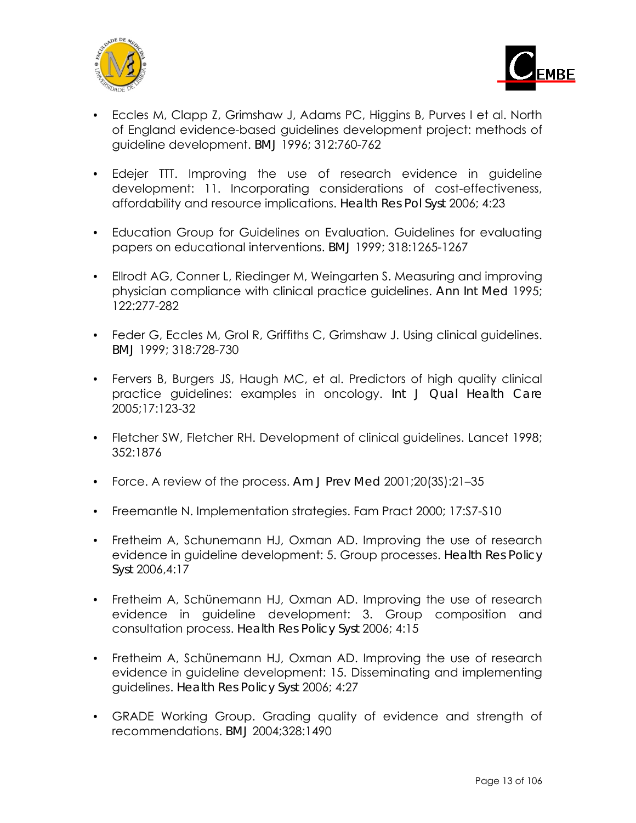



- Eccles M, Clapp Z, Grimshaw J, Adams PC, Higgins B, Purves I et al. North of England evidence-based guidelines development project: methods of guideline development. *BMJ* 1996; 312:760-762
- Edejer TTT. Improving the use of research evidence in guideline development: 11. Incorporating considerations of cost-effectiveness, affordability and resource implications. *Health Res Pol Syst* 2006; 4:23
- Education Group for Guidelines on Evaluation. Guidelines for evaluating papers on educational interventions. *BMJ* 1999; 318:1265-1267
- Ellrodt AG, Conner L, Riedinger M, Weingarten S. Measuring and improving physician compliance with clinical practice guidelines. *Ann Int Med* 1995; 122:277-282
- Feder G, Eccles M, Grol R, Griffiths C, Grimshaw J. Using clinical quidelines. *BMJ* 1999; 318:728-730
- Fervers B, Burgers JS, Haugh MC, et al. Predictors of high quality clinical practice guidelines: examples in oncology. *Int J Qual Health Care*  2005;17:123-32
- Fletcher SW, Fletcher RH. Development of clinical guidelines. Lancet 1998; 352:1876
- Force. A review of the process. *Am J Prev Med* 2001;20(3S):21–35
- Freemantle N. Implementation strategies. Fam Pract 2000; 17:S7-S10
- Fretheim A, Schunemann HJ, Oxman AD. Improving the use of research evidence in guideline development: 5. Group processes. *Health Res Policy Syst* 2006,4:17
- Fretheim A, Schünemann HJ, Oxman AD. Improving the use of research evidence in guideline development: 3. Group composition and consultation process. *Health Res Policy Syst* 2006; 4:15
- Fretheim A, Schünemann HJ, Oxman AD. Improving the use of research evidence in guideline development: 15. Disseminating and implementing guidelines. *Health Res Policy Syst* 2006; 4:27
- GRADE Working Group. Grading quality of evidence and strength of recommendations. *BMJ* 2004;328:1490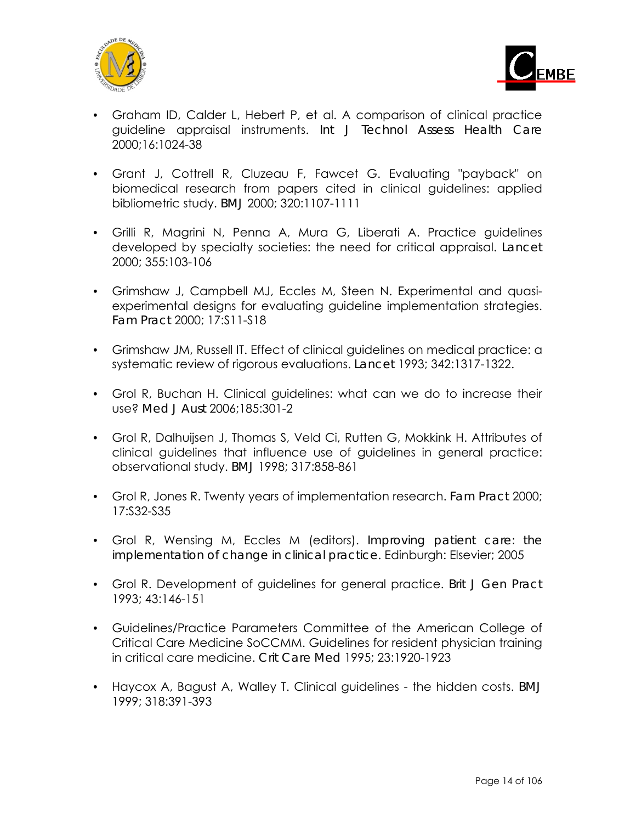



- Graham ID, Calder L, Hebert P, et al. A comparison of clinical practice guideline appraisal instruments. *Int J Technol Assess Health Care*  2000;16:1024-38
- Grant J, Cottrell R, Cluzeau F, Fawcet G. Evaluating "payback" on biomedical research from papers cited in clinical guidelines: applied bibliometric study. *BMJ* 2000; 320:1107-1111
- Grilli R, Magrini N, Penna A, Mura G, Liberati A. Practice guidelines developed by specialty societies: the need for critical appraisal. *Lancet*  2000; 355:103-106
- Grimshaw J, Campbell MJ, Eccles M, Steen N. Experimental and quasiexperimental designs for evaluating guideline implementation strategies. *Fam Pract* 2000; 17:S11-S18
- Grimshaw JM, Russell IT. Effect of clinical guidelines on medical practice: a systematic review of rigorous evaluations. *Lancet* 1993; 342:1317-1322.
- Grol R, Buchan H. Clinical guidelines: what can we do to increase their use? *Med J Aust* 2006;185:301-2
- Grol R, Dalhuijsen J, Thomas S, Veld Ci, Rutten G, Mokkink H. Attributes of clinical guidelines that influence use of guidelines in general practice: observational study. *BMJ* 1998; 317:858-861
- Grol R, Jones R. Twenty years of implementation research. *Fam Pract* 2000; 17:S32-S35
- Grol R, Wensing M, Eccles M (editors). *Improving patient care: the implementation of change in clinical practice*. Edinburgh: Elsevier; 2005
- Grol R. Development of guidelines for general practice. *Brit J Gen Pract*  1993; 43:146-151
- Guidelines/Practice Parameters Committee of the American College of Critical Care Medicine SoCCMM. Guidelines for resident physician training in critical care medicine. *Crit Care Med* 1995; 23:1920-1923
- Haycox A, Bagust A, Walley T. Clinical guidelines the hidden costs. *BMJ*  1999; 318:391-393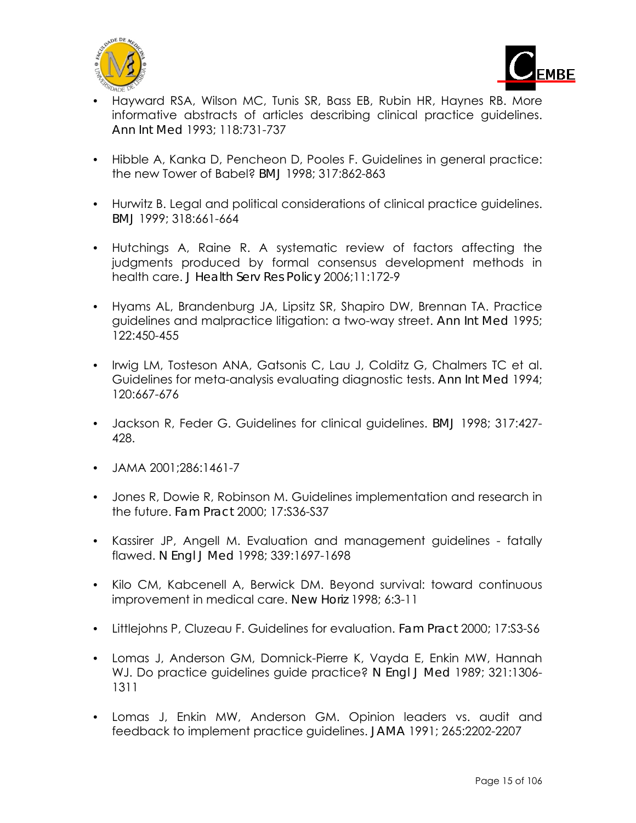



- Hayward RSA, Wilson MC, Tunis SR, Bass EB, Rubin HR, Haynes RB. More informative abstracts of articles describing clinical practice guidelines. *Ann Int Med* 1993; 118:731-737
- Hibble A, Kanka D, Pencheon D, Pooles F. Guidelines in general practice: the new Tower of Babel? *BMJ* 1998; 317:862-863
- Hurwitz B. Legal and political considerations of clinical practice guidelines. *BMJ* 1999; 318:661-664
- Hutchings A, Raine R. A systematic review of factors affecting the judgments produced by formal consensus development methods in health care. *J Health Serv Res Policy* 2006;11:172-9
- Hyams AL, Brandenburg JA, Lipsitz SR, Shapiro DW, Brennan TA. Practice guidelines and malpractice litigation: a two-way street. *Ann Int Med* 1995; 122:450-455
- Irwig LM, Tosteson ANA, Gatsonis C, Lau J, Colditz G, Chalmers TC et al. Guidelines for meta-analysis evaluating diagnostic tests. *Ann Int Med* 1994; 120:667-676
- Jackson R, Feder G. Guidelines for clinical guidelines. *BMJ* 1998; 317:427- 428.
- JAMA 2001;286:1461-7
- Jones R, Dowie R, Robinson M. Guidelines implementation and research in the future. *Fam Pract* 2000; 17:S36-S37
- Kassirer JP, Angell M. Evaluation and management guidelines fatally flawed. *N Engl J Med* 1998; 339:1697-1698
- Kilo CM, Kabcenell A, Berwick DM. Beyond survival: toward continuous improvement in medical care. *New Horiz* 1998; 6:3-11
- Littlejohns P, Cluzeau F. Guidelines for evaluation. *Fam Pract* 2000; 17:S3-S6
- Lomas J, Anderson GM, Domnick-Pierre K, Vayda E, Enkin MW, Hannah WJ. Do practice guidelines guide practice? *N Engl J Med* 1989; 321:1306- 1311
- Lomas J, Enkin MW, Anderson GM. Opinion leaders vs. audit and feedback to implement practice guidelines. *JAMA* 1991; 265:2202-2207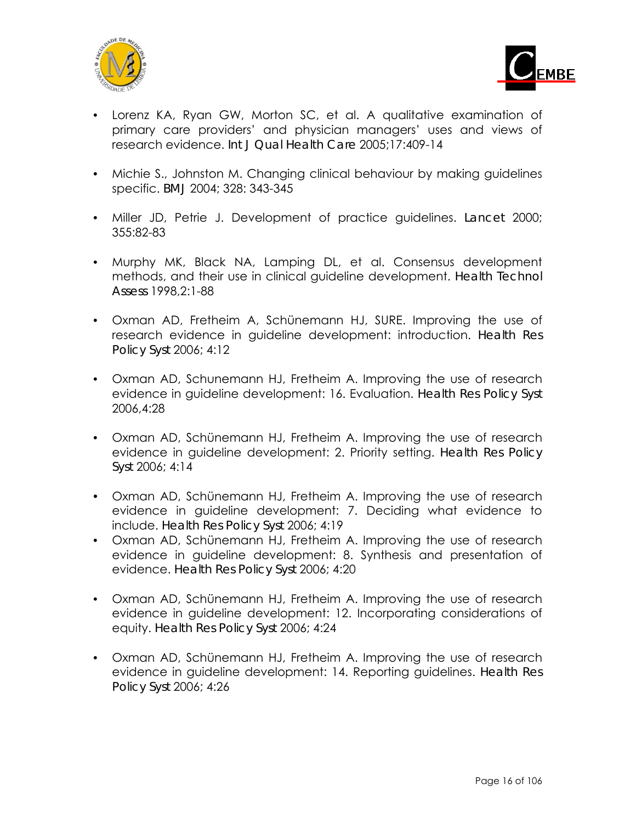



- Lorenz KA, Ryan GW, Morton SC, et al. A qualitative examination of primary care providers' and physician managers' uses and views of research evidence. *Int J Qual Health Care* 2005;17:409-14
- Michie S., Johnston M. Changing clinical behaviour by making guidelines specific. *BMJ* 2004; 328: 343-345
- Miller JD, Petrie J. Development of practice guidelines. *Lancet* 2000; 355:82-83
- Murphy MK, Black NA, Lamping DL, et al. Consensus development methods, and their use in clinical guideline development. *Health Technol Assess* 1998,2:1-88
- Oxman AD, Fretheim A, Schünemann HJ, SURE. Improving the use of research evidence in guideline development: introduction. *Health Res Policy Syst* 2006; 4:12
- Oxman AD, Schunemann HJ, Fretheim A. Improving the use of research evidence in guideline development: 16. Evaluation. *Health Res Policy Syst*  2006,4:28
- Oxman AD, Schünemann HJ, Fretheim A. Improving the use of research evidence in guideline development: 2. Priority setting. *Health Res Policy Syst* 2006; 4:14
- Oxman AD, Schünemann HJ, Fretheim A. Improving the use of research evidence in guideline development: 7. Deciding what evidence to include. *Health Res Policy Syst* 2006; 4:19
- Oxman AD, Schünemann HJ, Fretheim A. Improving the use of research evidence in guideline development: 8. Synthesis and presentation of evidence. *Health Res Policy Syst* 2006; 4:20
- Oxman AD, Schünemann HJ, Fretheim A. Improving the use of research evidence in guideline development: 12. Incorporating considerations of equity. *Health Res Policy Syst* 2006; 4:24
- Oxman AD, Schünemann HJ, Fretheim A. Improving the use of research evidence in guideline development: 14. Reporting guidelines. *Health Res Policy Syst* 2006; 4:26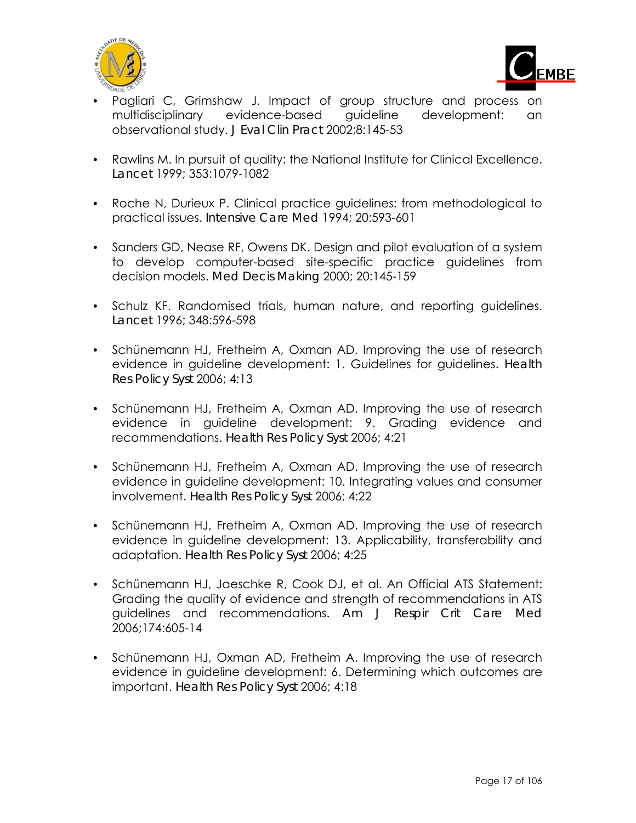



- Pagliari C, Grimshaw J. Impact of group structure and process on multidisciplinary evidence-based guideline development: an observational study. *J Eval Clin Pract* 2002;8:145-53
- Rawlins M. In pursuit of quality: the National Institute for Clinical Excellence. *Lancet* 1999; 353:1079-1082
- Roche N, Durieux P. Clinical practice guidelines: from methodological to practical issues. *Intensive Care Med* 1994; 20:593-601
- Sanders GD, Nease RF, Owens DK. Design and pilot evaluation of a system to develop computer-based site-specific practice guidelines from decision models. *Med Decis Making* 2000; 20:145-159
- Schulz KF. Randomised trials, human nature, and reporting guidelines. *Lancet* 1996; 348:596-598
- Schünemann HJ, Fretheim A, Oxman AD. Improving the use of research evidence in guideline development: 1. Guidelines for guidelines. *Health Res Policy Syst* 2006; 4:13
- Schünemann HJ, Fretheim A, Oxman AD. Improving the use of research evidence in guideline development: 9. Grading evidence and recommendations. *Health Res Policy Syst* 2006; 4:21
- Schünemann HJ, Fretheim A, Oxman AD. Improving the use of research evidence in guideline development: 10. Integrating values and consumer involvement. *Health Res Policy Syst* 2006; 4:22
- Schünemann HJ, Fretheim A, Oxman AD. Improving the use of research evidence in guideline development: 13. Applicability, transferability and adaptation. *Health Res Policy Syst* 2006; 4:25
- Schünemann HJ, Jaeschke R, Cook DJ, et al. An Official ATS Statement: Grading the quality of evidence and strength of recommendations in ATS guidelines and recommendations. *Am J Respir Crit Care Med*  2006;174:605-14
- Schünemann HJ, Oxman AD, Fretheim A. Improving the use of research evidence in guideline development: 6. Determining which outcomes are important. *Health Res Policy Syst* 2006; 4:18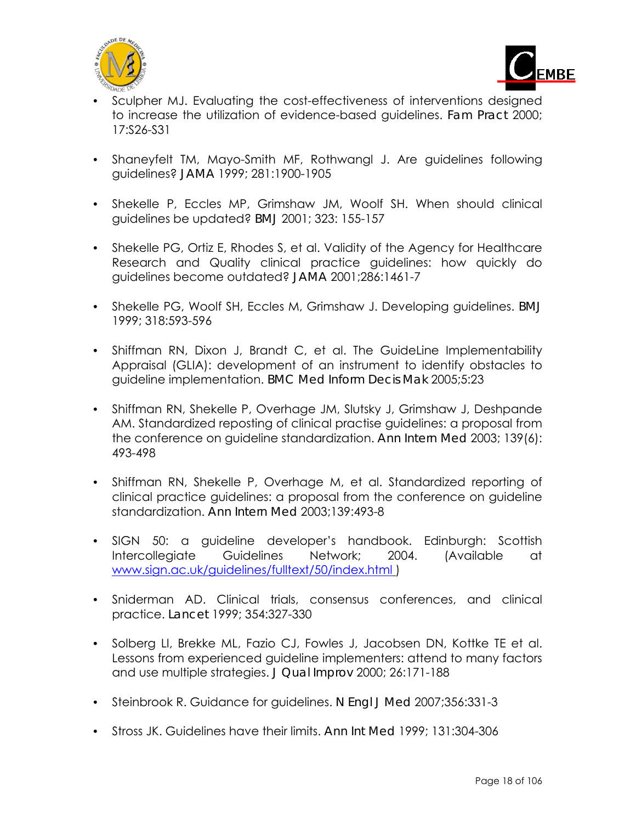



- Sculpher MJ. Evaluating the cost-effectiveness of interventions designed to increase the utilization of evidence-based guidelines. *Fam Pract* 2000; 17:S26-S31
- Shaneyfelt TM, Mayo-Smith MF, Rothwangl J. Are guidelines following guidelines? *JAMA* 1999; 281:1900-1905
- Shekelle P, Eccles MP, Grimshaw JM, Woolf SH. When should clinical guidelines be updated? *BMJ* 2001; 323: 155-157
- Shekelle PG, Ortiz E, Rhodes S, et al. Validity of the Agency for Healthcare Research and Quality clinical practice guidelines: how quickly do guidelines become outdated? *JAMA* 2001;286:1461-7
- Shekelle PG, Woolf SH, Eccles M, Grimshaw J. Developing guidelines. *BMJ*  1999; 318:593-596
- Shiffman RN, Dixon J, Brandt C, et al. The GuideLine Implementability Appraisal (GLIA): development of an instrument to identify obstacles to guideline implementation. *BMC Med Inform Decis Mak* 2005;5:23
- Shiffman RN, Shekelle P, Overhage JM, Slutsky J, Grimshaw J, Deshpande AM. Standardized reposting of clinical practise guidelines: a proposal from the conference on guideline standardization. *Ann Intern Med* 2003; 139(6): 493-498
- Shiffman RN, Shekelle P, Overhage M, et al. Standardized reporting of clinical practice guidelines: a proposal from the conference on guideline standardization. *Ann Intern Med* 2003;139:493-8
- SIGN 50: a guideline developer's handbook. Edinburgh: Scottish Intercollegiate Guidelines Network; 2004. (Available at [www.sign.ac.uk/guidelines/fulltext/50/index.html](http://www.sign.ac.uk/guidelines/fulltext/50/index.html) )
- Sniderman AD. Clinical trials, consensus conferences, and clinical practice. *Lancet* 1999; 354:327-330
- Solberg LI, Brekke ML, Fazio CJ, Fowles J, Jacobsen DN, Kottke TE et al. Lessons from experienced guideline implementers: attend to many factors and use multiple strategies. *J Qual Improv* 2000; 26:171-188
- Steinbrook R. Guidance for guidelines. *N Engl J Med* 2007;356:331-3
- Stross JK. Guidelines have their limits. *Ann Int Med* 1999; 131:304-306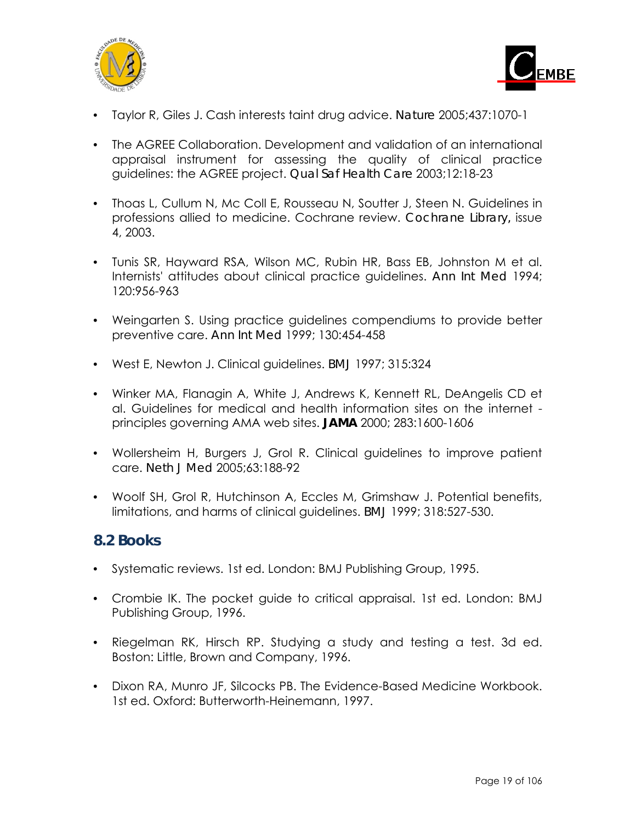<span id="page-19-0"></span>



- Taylor R, Giles J. Cash interests taint drug advice. *Nature* 2005;437:1070-1
- The AGREE Collaboration. Development and validation of an international appraisal instrument for assessing the quality of clinical practice guidelines: the AGREE project. *Qual Saf Health Care* 2003;12:18-23
- Thoas L, Cullum N, Mc Coll E, Rousseau N, Soutter J, Steen N. Guidelines in professions allied to medicine. Cochrane review. *Cochrane Library,* issue 4, 2003.
- Tunis SR, Hayward RSA, Wilson MC, Rubin HR, Bass EB, Johnston M et al. Internists' attitudes about clinical practice guidelines. *Ann Int Med* 1994; 120:956-963
- Weingarten S. Using practice guidelines compendiums to provide better preventive care. *Ann Int Med* 1999; 130:454-458
- West E, Newton J. Clinical guidelines. *BMJ* 1997; 315:324
- Winker MA, Flanagin A, White J, Andrews K, Kennett RL, DeAngelis CD et al. Guidelines for medical and health information sites on the internet principles governing AMA web sites. **JAMA** 2000; 283:1600-1606
- Wollersheim H, Burgers J, Grol R. Clinical guidelines to improve patient care. *Neth J Med* 2005;63:188-92
- Woolf SH, Grol R, Hutchinson A, Eccles M, Grimshaw J. Potential benefits, limitations, and harms of clinical guidelines. *BMJ* 1999; 318:527-530.

## **8.2 Books**

- Systematic reviews. 1st ed. London: BMJ Publishing Group, 1995.
- Crombie IK. The pocket guide to critical appraisal. 1st ed. London: BMJ Publishing Group, 1996.
- Riegelman RK, Hirsch RP. Studying a study and testing a test. 3d ed. Boston: Little, Brown and Company, 1996.
- Dixon RA, Munro JF, Silcocks PB. The Evidence-Based Medicine Workbook. 1st ed. Oxford: Butterworth-Heinemann, 1997.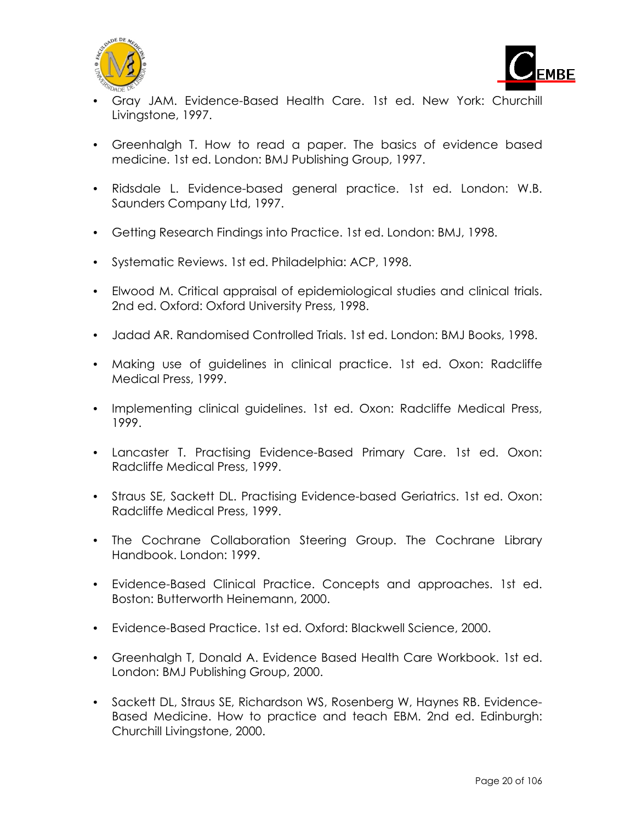



- Gray JAM. Evidence-Based Health Care. 1st ed. New York: Churchill Livingstone, 1997.
- Greenhalgh T. How to read a paper. The basics of evidence based medicine. 1st ed. London: BMJ Publishing Group, 1997.
- Ridsdale L. Evidence-based general practice. 1st ed. London: W.B. Saunders Company Ltd, 1997.
- Getting Research Findings into Practice. 1st ed. London: BMJ, 1998.
- Systematic Reviews. 1st ed. Philadelphia: ACP, 1998.
- Elwood M. Critical appraisal of epidemiological studies and clinical trials. 2nd ed. Oxford: Oxford University Press, 1998.
- Jadad AR. Randomised Controlled Trials. 1st ed. London: BMJ Books, 1998.
- Making use of guidelines in clinical practice. 1st ed. Oxon: Radcliffe Medical Press, 1999.
- Implementing clinical guidelines. 1st ed. Oxon: Radcliffe Medical Press, 1999.
- Lancaster T. Practising Evidence-Based Primary Care. 1st ed. Oxon: Radcliffe Medical Press, 1999.
- Straus SE, Sackett DL. Practising Evidence-based Geriatrics. 1st ed. Oxon: Radcliffe Medical Press, 1999.
- The Cochrane Collaboration Steering Group. The Cochrane Library Handbook. London: 1999.
- Evidence-Based Clinical Practice. Concepts and approaches. 1st ed. Boston: Butterworth Heinemann, 2000.
- Evidence-Based Practice. 1st ed. Oxford: Blackwell Science, 2000.
- Greenhalgh T, Donald A. Evidence Based Health Care Workbook. 1st ed. London: BMJ Publishing Group, 2000.
- Sackett DL, Straus SE, Richardson WS, Rosenberg W, Haynes RB. Evidence-Based Medicine. How to practice and teach EBM. 2nd ed. Edinburgh: Churchill Livingstone, 2000.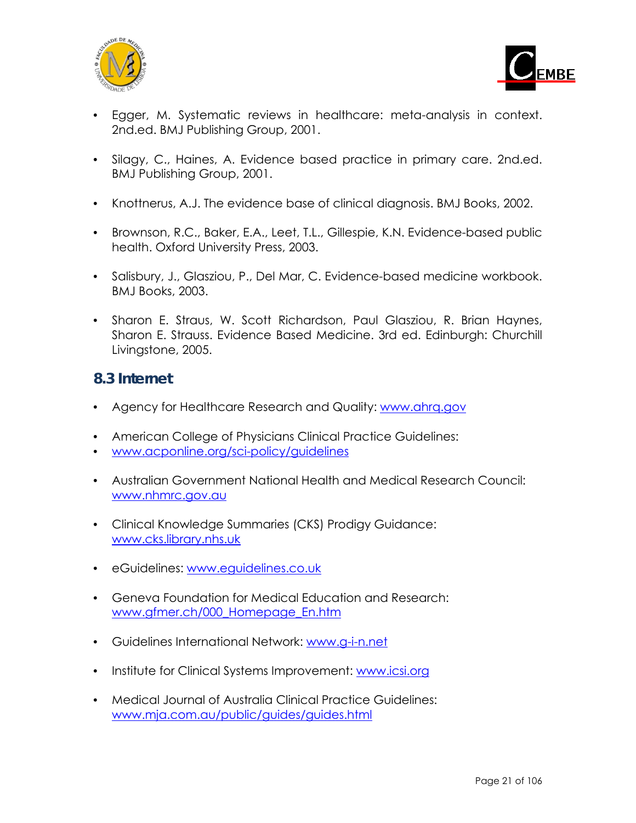<span id="page-21-0"></span>



- Egger, M. Systematic reviews in healthcare: meta-analysis in context. 2nd.ed. BMJ Publishing Group, 2001.
- Silagy, C., Haines, A. Evidence based practice in primary care. 2nd.ed. BMJ Publishing Group, 2001.
- Knottnerus, A.J. The evidence base of clinical diagnosis. BMJ Books, 2002.
- Brownson, R.C., Baker, E.A., Leet, T.L., Gillespie, K.N. Evidence-based public health. Oxford University Press, 2003.
- Salisbury, J., Glasziou, P., Del Mar, C. Evidence-based medicine workbook. BMJ Books, 2003.
- Sharon E. Straus, W. Scott Richardson, Paul Glasziou, R. Brian Haynes, Sharon E. Strauss. Evidence Based Medicine. 3rd ed. Edinburgh: Churchill Livingstone, 2005.

## **8.3 Internet**

- Agency for Healthcare Research and Quality: [www.ahrq.gov](http://www.ahrq.gov/)
- American College of Physicians Clinical Practice Guidelines:
- [www.acponline.org/sci-policy/guidelines](http://www.acponline.org/sci-policy/guidelines)
- Australian Government National Health and Medical Research Council: [www.nhmrc.gov.au](http://www.nhmrc.gov.au/)
- Clinical Knowledge Summaries (CKS) Prodigy Guidance: [www.cks.library.nhs.uk](http://www.cks.library.nhs.uk/)
- eGuidelines: [www.eguidelines.co.uk](http://www.eguidelines.co.uk/)
- Geneva Foundation for Medical Education and Research: [www.gfmer.ch/000\\_Homepage\\_En.htm](http://www.gfmer.ch/000_Homepage_En.htm)
- Guidelines International Network: [www.g-i-n.net](http://www.g-i-n.net/)
- Institute for Clinical Systems Improvement: www.icsi.org
- Medical Journal of Australia Clinical Practice Guidelines: [www.mja.com.au/public/guides/guides.html](http://www.mja.com.au/public/guides/guides.html)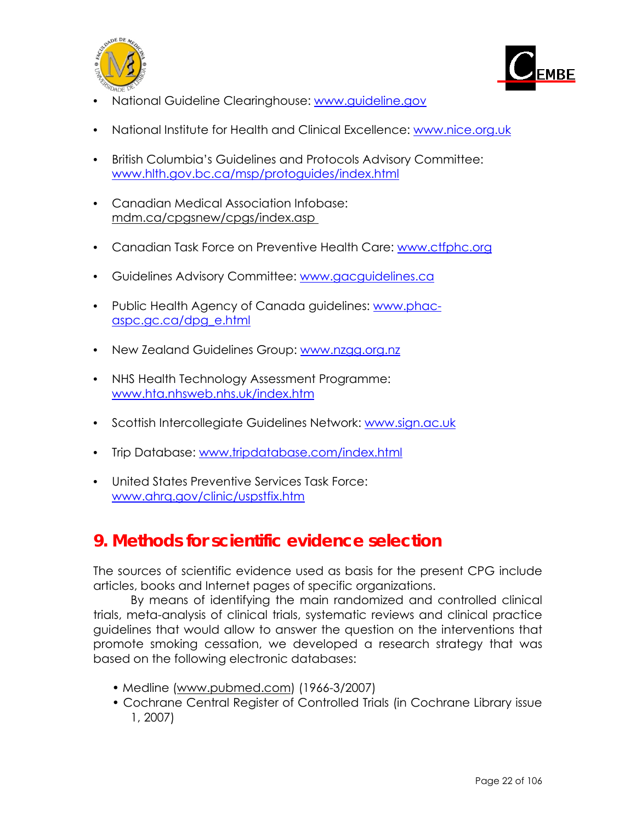<span id="page-22-0"></span>



- National Guideline Clearinghouse: [www.guideline.gov](http://www.guideline.gov/)
- National Institute for Health and Clinical Excellence: [www.nice.org.uk](http://www.nice.org.uk/)
- British Columbia's Guidelines and Protocols Advisory Committee: [www.hlth.gov.bc.ca/msp/protoguides/index.html](http://www.hlth.gov.bc.ca/msp/protoguides/index.html)
- Canadian Medical Association Infobase: mdm.ca/cpgsnew/cpgs/index.asp
- Canadian Task Force on Preventive Health Care: [www.ctfphc.org](http://www.ctfphc.org/)
- Guidelines Advisory Committee: [www.gacguidelines.ca](http://www.gacguidelines.ca/)
- Public Health Agency of Canada guidelines: [www.phac](http://www.phac-aspc.gc.ca/dpg_e.html)[aspc.gc.ca/dpg\\_e.html](http://www.phac-aspc.gc.ca/dpg_e.html)
- New Zealand Guidelines Group: [www.nzgg.org.nz](http://www.nzgg.org.nz/)
- NHS Health Technology Assessment Programme: [www.hta.nhsweb.nhs.uk/index.htm](http://www.hta.nhsweb.nhs.uk/index.htm)
- Scottish Intercollegiate Guidelines Network: www.sign.ac.uk
- Trip Database: [www.tripdatabase.com/index.html](http://www.tripdatabase.com/index.html)
- United States Preventive Services Task Force: [www.ahrq.gov/clinic/uspstfix.htm](http://www.ahrq.gov/clinic/uspstfix.htm)

# **9. Methods for scientific evidence selection**

The sources of scientific evidence used as basis for the present CPG include articles, books and Internet pages of specific organizations.

By means of identifying the main randomized and controlled clinical trials, meta-analysis of clinical trials, systematic reviews and clinical practice guidelines that would allow to answer the question on the interventions that promote smoking cessation, we developed a research strategy that was based on the following electronic databases:

- Medline (www.pubmed.com) (1966-3/2007)
- Cochrane Central Register of Controlled Trials (in Cochrane Library issue 1, 2007)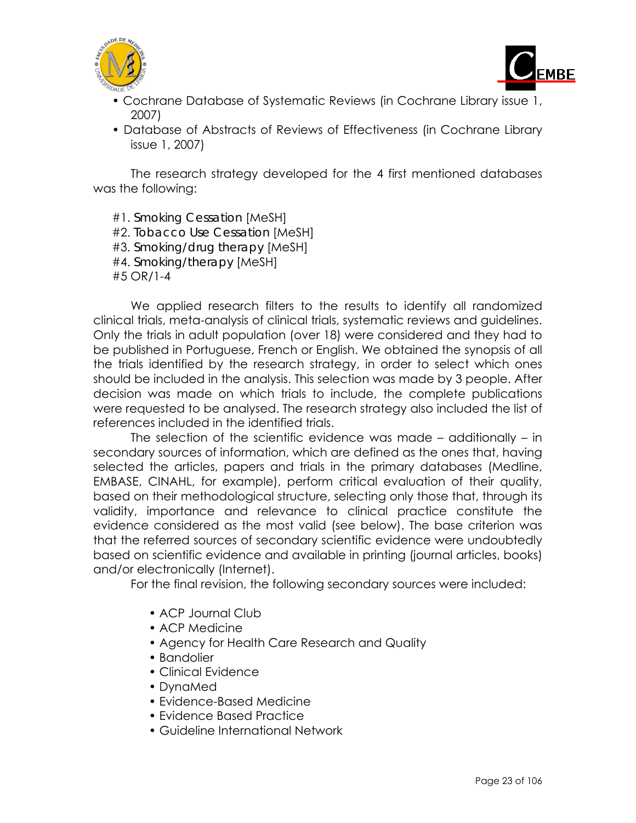



- Cochrane Database of Systematic Reviews (in Cochrane Library issue 1, 2007)
- Database of Abstracts of Reviews of Effectiveness (in Cochrane Library issue 1, 2007)

The research strategy developed for the 4 first mentioned databases was the following:

- #1. *Smoking Cessation* [MeSH]
- #2. *Tobacco Use Cessation* [MeSH]
- #3. *Smoking/drug therapy* [MeSH]
- #4. *Smoking/therapy* [MeSH]
- #5 OR/1-4

We applied research filters to the results to identify all randomized clinical trials, meta-analysis of clinical trials, systematic reviews and guidelines. Only the trials in adult population (over 18) were considered and they had to be published in Portuguese, French or English. We obtained the synopsis of all the trials identified by the research strategy, in order to select which ones should be included in the analysis. This selection was made by 3 people. After decision was made on which trials to include, the complete publications were requested to be analysed. The research strategy also included the list of references included in the identified trials.

The selection of the scientific evidence was made – additionally – in secondary sources of information, which are defined as the ones that, having selected the articles, papers and trials in the primary databases (Medline, EMBASE, CINAHL, for example), perform critical evaluation of their quality, based on their methodological structure, selecting only those that, through its validity, importance and relevance to clinical practice constitute the evidence considered as the most valid (see below). The base criterion was that the referred sources of secondary scientific evidence were undoubtedly based on scientific evidence and available in printing (journal articles, books) and/or electronically (Internet).

For the final revision, the following secondary sources were included:

- ACP Journal Club
- ACP Medicine
- Agency for Health Care Research and Quality
- Bandolier
- Clinical Evidence
- DynaMed
- Evidence-Based Medicine
- Evidence Based Practice
- Guideline International Network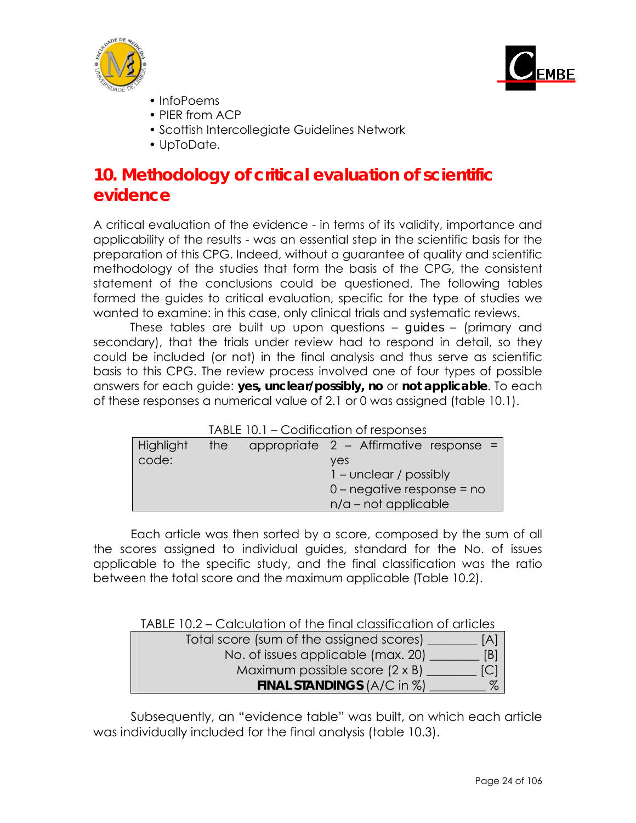<span id="page-24-0"></span>



- InfoPoems
- PIER from ACP
- Scottish Intercollegiate Guidelines Network
- UpToDate.

# **10. Methodology of critical evaluation of scientific evidence**

A critical evaluation of the evidence - in terms of its validity, importance and applicability of the results - was an essential step in the scientific basis for the preparation of this CPG. Indeed, without a guarantee of quality and scientific methodology of the studies that form the basis of the CPG, the consistent statement of the conclusions could be questioned. The following tables formed the guides to critical evaluation, specific for the type of studies we wanted to examine: in this case, only clinical trials and systematic reviews.

These tables are built up upon questions – *guides* – (primary and secondary), that the trials under review had to respond in detail, so they could be included (or not) in the final analysis and thus serve as scientific basis to this CPG. The review process involved one of four types of possible answers for each guide: **yes, unclear/possibly, no** or **not applicable**. To each of these responses a numerical value of 2.1 or 0 was assigned (table 10.1).

| Highlight | the $\sqrt{ }$ | appropriate $2 -$ Affirmative response = |
|-----------|----------------|------------------------------------------|
| code:     |                | yes                                      |
|           |                | $1$ – unclear / possibly                 |
|           |                | $0$ – negative response = no             |
|           |                | $n/a$ – not applicable                   |

|  |  | TABLE 10.1 - Codification of responses |
|--|--|----------------------------------------|
|--|--|----------------------------------------|

Each article was then sorted by a score, composed by the sum of all the scores assigned to individual guides, standard for the No. of issues applicable to the specific study, and the final classification was the ratio between the total score and the maximum applicable (Table 10.2).

#### TABLE 10.2 – Calculation of the final classification of articles

| Total score (sum of the assigned scores) | [A] |
|------------------------------------------|-----|
| No. of issues applicable (max. 20)       | [B] |
| Maximum possible score $(2 \times B)$    | C   |
| <b>FINAL STANDINGS (A/C in %)</b>        | %   |

Subsequently, an "evidence table" was built, on which each article was individually included for the final analysis (table 10.3).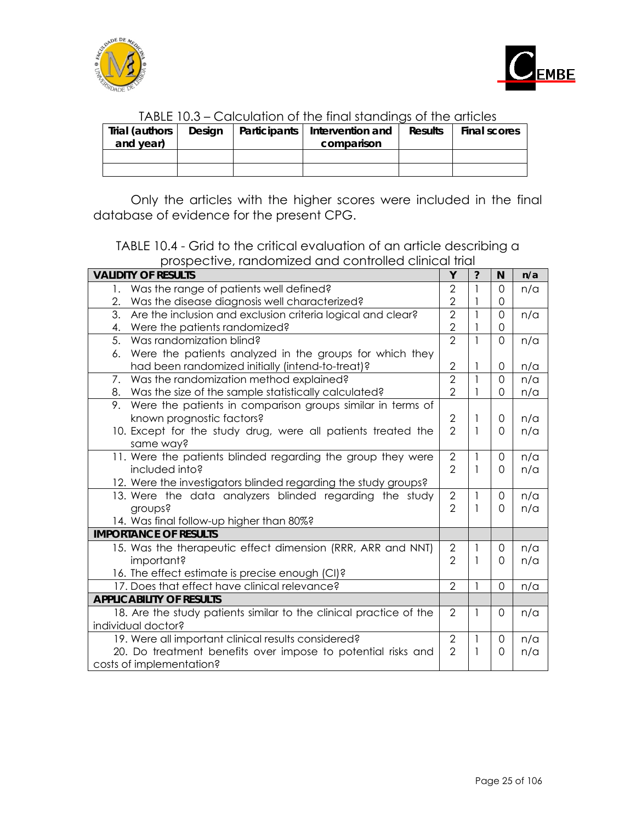



|                |        | indee to:0 Culcolumbit of fire illigibilities of fire different |         |                     |
|----------------|--------|-----------------------------------------------------------------|---------|---------------------|
| Trial (authors | Design | Participants   Intervention and                                 | Results | <b>Final scores</b> |
| and year)      |        | comparison                                                      |         |                     |
|                |        |                                                                 |         |                     |
|                |        |                                                                 |         |                     |

## TABLE 10.3 – Calculation of the final standings of the articles

Only the articles with the higher scores were included in the final database of evidence for the present CPG.

TABLE 10.4 - Grid to the critical evaluation of an article describing a prospective, randomized and controlled clinical trial

| <b>VALIDITY OF RESULTS</b>                                         | Y              | ?            | N        | n/a |
|--------------------------------------------------------------------|----------------|--------------|----------|-----|
| Was the range of patients well defined?<br>1.                      | $\overline{2}$ |              | 0        | n/a |
| Was the disease diagnosis well characterized?<br>2.                | $\overline{2}$ | 1            | 0        |     |
| 3.<br>Are the inclusion and exclusion criteria logical and clear?  | $\overline{2}$ | 1            | 0        | n/a |
| Were the patients randomized?<br>4.                                | 2              | 1            | $\Omega$ |     |
| 5.<br>Was randomization blind?                                     | $\overline{2}$ | $\mathbf{1}$ | $\Omega$ | n/a |
| Were the patients analyzed in the groups for which they<br>6.      |                |              |          |     |
| had been randomized initially (intend-to-treat)?                   | $\overline{2}$ | 1            | 0        | n/a |
| Was the randomization method explained?<br>7.                      | $\overline{2}$ | $\mathbf{1}$ | $\Omega$ | n/a |
| Was the size of the sample statistically calculated?<br>8.         | $\overline{2}$ |              | 0        | n/a |
| Were the patients in comparison groups similar in terms of<br>9.   |                |              |          |     |
| known prognostic factors?                                          | $\overline{2}$ |              | 0        | n/a |
| 10. Except for the study drug, were all patients treated the       | $\overline{2}$ | 1            | 0        | n/a |
| same way?                                                          |                |              |          |     |
| 11. Were the patients blinded regarding the group they were        | $\overline{2}$ | 1            | 0        | n/a |
| included into?                                                     | $\overline{2}$ | 1            | 0        | n/a |
| 12. Were the investigators blinded regarding the study groups?     |                |              |          |     |
| 13. Were the data analyzers blinded regarding the study            | $\overline{2}$ | $\mathbf{1}$ | 0        | n/a |
| groups?                                                            | $\overline{2}$ | 1            | $\Omega$ | n/a |
| 14. Was final follow-up higher than 80%?                           |                |              |          |     |
| <b>IMPORTANCE OF RESULTS</b>                                       |                |              |          |     |
| 15. Was the therapeutic effect dimension (RRR, ARR and NNT)        | $\overline{2}$ |              | 0        | n/a |
| important?                                                         | $\overline{2}$ | 1            | O        | n/a |
| 16. The effect estimate is precise enough (CI)?                    |                |              |          |     |
| 17. Does that effect have clinical relevance?                      | $\overline{2}$ | 1            | 0        | n/a |
| <b>APPLICABILITY OF RESULTS</b>                                    |                |              |          |     |
| 18. Are the study patients similar to the clinical practice of the | $\overline{2}$ | 1            | $\Omega$ | n/a |
| individual doctor?                                                 |                |              |          |     |
| 19. Were all important clinical results considered?                | $\overline{2}$ | $\mathbf{1}$ | $\Omega$ | n/a |
| 20. Do treatment benefits over impose to potential risks and       | $\overline{2}$ | 1            | 0        | n/a |
| costs of implementation?                                           |                |              |          |     |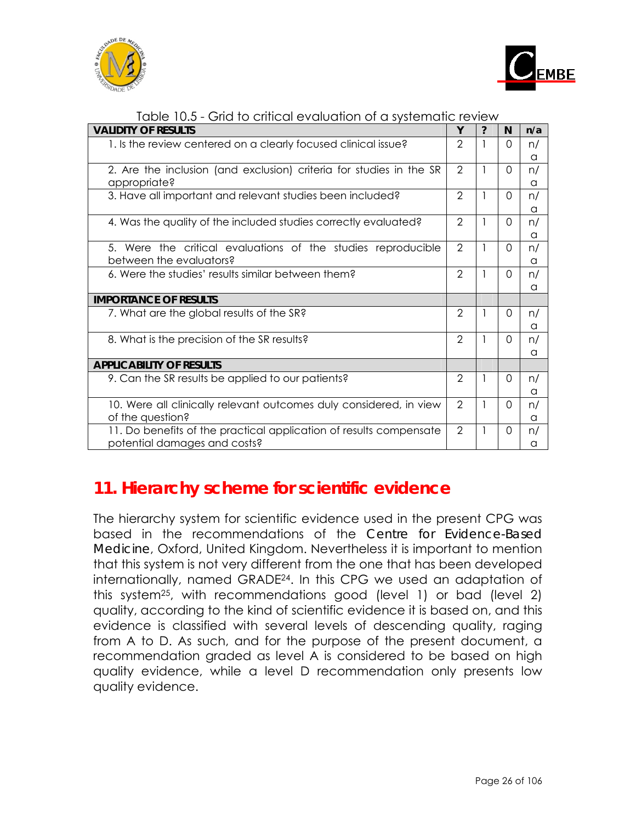<span id="page-26-0"></span>



| Table 10.5 - Grid to critical evaluation of a systematic review |
|-----------------------------------------------------------------|
|-----------------------------------------------------------------|

| <b>VALIDITY OF RESULTS</b>                                          | Y              | $\ddot{?}$ | N              | n/a |
|---------------------------------------------------------------------|----------------|------------|----------------|-----|
| 1. Is the review centered on a clearly focused clinical issue?      |                | 1          | $\Omega$       | n/  |
|                                                                     |                |            |                | a   |
| 2. Are the inclusion (and exclusion) criteria for studies in the SR | $\overline{2}$ | 1          | $\Omega$       | n/  |
| appropriate?                                                        |                |            |                | a   |
| 3. Have all important and relevant studies been included?           | $\mathcal{P}$  | 1          | $\Omega$       | n/  |
|                                                                     |                |            |                | a   |
| 4. Was the quality of the included studies correctly evaluated?     | $\overline{2}$ | 1          | $\Omega$       | n/  |
|                                                                     |                |            |                | a   |
| 5. Were the critical evaluations of the studies reproducible        | $\overline{2}$ | 1          | $\Omega$       | n/  |
| between the evaluators?                                             |                |            |                | a   |
| 6. Were the studies' results similar between them?                  | $\overline{2}$ | 1          | $\Omega$       | n/  |
|                                                                     |                |            |                | a   |
| <b>IMPORTANCE OF RESULTS</b>                                        |                |            |                |     |
| 7. What are the global results of the SR?                           | $\overline{2}$ | 1          | $\overline{0}$ | n/  |
|                                                                     |                |            |                | a   |
| 8. What is the precision of the SR results?                         | $\overline{2}$ | 1          | $\Omega$       | n/  |
|                                                                     |                |            |                | a   |
| <b>APPLICABILITY OF RESULTS</b>                                     |                |            |                |     |
| 9. Can the SR results be applied to our patients?                   | $\overline{2}$ | 1          | $\Omega$       | n/  |
|                                                                     |                |            |                | a   |
| 10. Were all clinically relevant outcomes duly considered, in view  | $\overline{2}$ | 1          | $\Omega$       | n/  |
| of the question?                                                    |                |            |                | a   |
| 11. Do benefits of the practical application of results compensate  | $\overline{2}$ | 1          | $\overline{0}$ | n/  |
| potential damages and costs?                                        |                |            |                | a   |

# **11. Hierarchy scheme for scientific evidence**

The hierarchy system for scientific evidence used in the present CPG was based in the recommendations of the *Centre for Evidence-Based Medicine*, Oxford, United Kingdom. Nevertheless it is important to mention that this system is not very different from the one that has been developed internationally, named GRADE24. In this CPG we used an adaptation of this system25, with recommendations good (level 1) or bad (level 2) quality, according to the kind of scientific evidence it is based on, and this evidence is classified with several levels of descending quality, raging from A to D. As such, and for the purpose of the present document, a recommendation graded as level A is considered to be based on high quality evidence, while a level D recommendation only presents low quality evidence.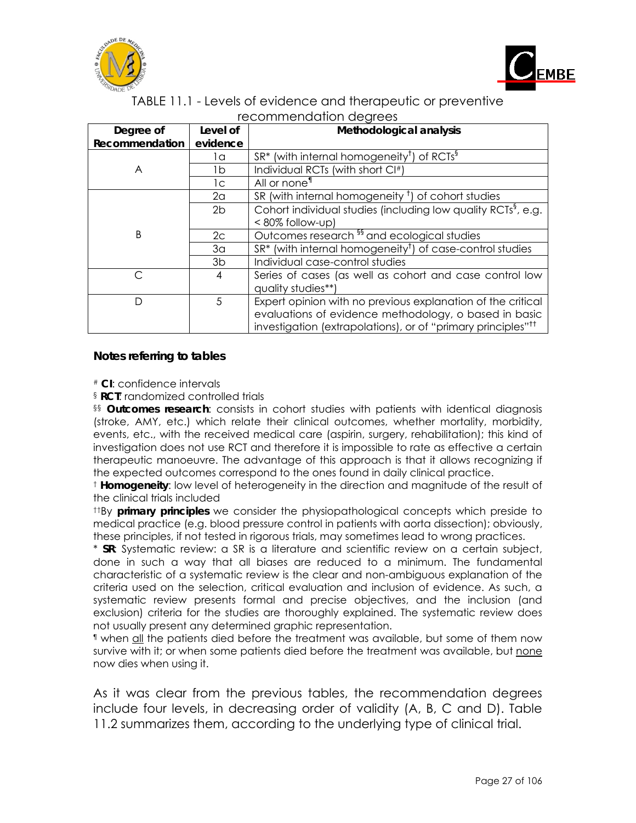



TABLE 11.1 - Levels of evidence and therapeutic or preventive recommendation degrees

| Degree of      | Level of       | Methodological analysis                                                   |
|----------------|----------------|---------------------------------------------------------------------------|
| Recommendation | evidence       |                                                                           |
|                | 1a             | $SR^*$ (with internal homogeneity <sup>†</sup> ) of RCTs <sup>§</sup>     |
| A              | 1b.            | Individual RCTs (with short CI#)                                          |
|                | 1c             | All or none <sup>11</sup>                                                 |
|                | 2a             | SR (with internal homogeneity $\bar{I}$ ) of cohort studies               |
|                | 2 <sub>b</sub> | Cohort individual studies (including low quality RCTs <sup>§</sup> , e.g. |
|                |                | <80% follow-up)                                                           |
| B              | 2 <sup>c</sup> | Outcomes research <sup>§§</sup> and ecological studies                    |
|                | 3 <sub>a</sub> | $SR^*$ (with internal homogeneity <sup>t</sup> ) of case-control studies  |
|                | 3 <sub>b</sub> | Individual case-control studies                                           |
| С              | 4              | Series of cases (as well as cohort and case control low                   |
|                |                | quality studies**)                                                        |
| D              | 5              | Expert opinion with no previous explanation of the critical               |
|                |                | evaluations of evidence methodology, o based in basic                     |
|                |                | investigation (extrapolations), or of "primary principles" <sup>11</sup>  |

#### *Notes referring to tables*

# **CI**: confidence intervals

§ **RCT**: randomized controlled trials

§§ **Outcomes research**: consists in cohort studies with patients with identical diagnosis (stroke, AMY, etc.) which relate their clinical outcomes, whether mortality, morbidity, events, etc., with the received medical care (aspirin, surgery, rehabilitation); this kind of investigation does not use RCT and therefore it is impossible to rate as effective a certain therapeutic manoeuvre. The advantage of this approach is that it allows recognizing if the expected outcomes correspond to the ones found in daily clinical practice.

† **Homogeneity**: low level of heterogeneity in the direction and magnitude of the result of the clinical trials included

††By **primary principles** we consider the physiopathological concepts which preside to medical practice (e.g. blood pressure control in patients with aorta dissection); obviously, these principles, if not tested in rigorous trials, may sometimes lead to wrong practices.

\* **SR**: Systematic review: a SR is a literature and scientific review on a certain subject, done in such a way that all biases are reduced to a minimum. The fundamental characteristic of a systematic review is the clear and non-ambiguous explanation of the criteria used on the selection, critical evaluation and inclusion of evidence. As such, a systematic review presents formal and precise objectives, and the inclusion (and exclusion) criteria for the studies are thoroughly explained. The systematic review does not usually present any determined graphic representation.

¶ when all the patients died before the treatment was available, but some of them now survive with it; or when some patients died before the treatment was available, but none now dies when using it.

As it was clear from the previous tables, the recommendation degrees include four levels, in decreasing order of validity (A, B, C and D). Table 11.2 summarizes them, according to the underlying type of clinical trial.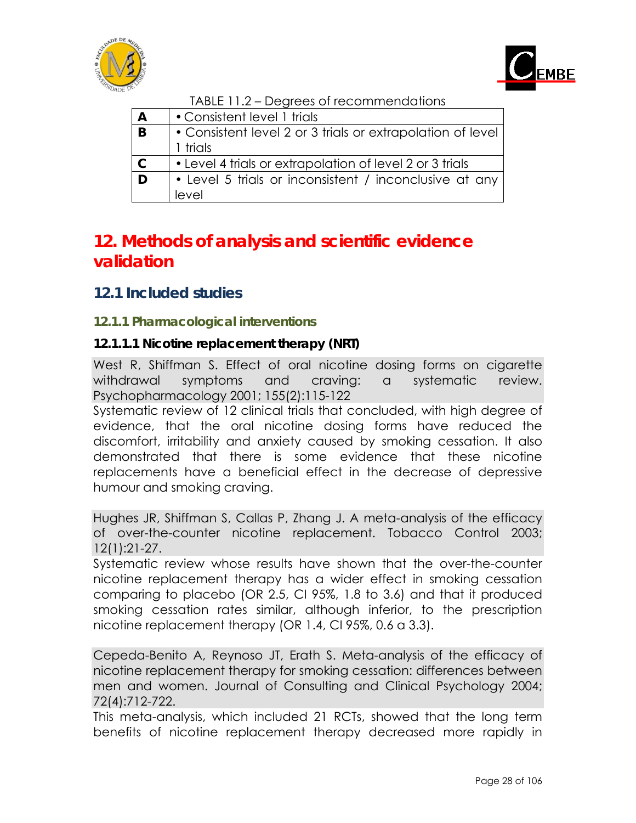<span id="page-28-0"></span>



| TABLE 11.2 – Degrees of recommendations |  |
|-----------------------------------------|--|
| . Osan sistematica con 1 del siste      |  |

| A | • Consistent level 1 trials                                  |
|---|--------------------------------------------------------------|
| B | • Consistent level 2 or 3 trials or extrapolation of level   |
|   | 1 trials                                                     |
|   | • Level 4 trials or extrapolation of level 2 or 3 trials     |
| D | $\cdot$ Level 5 trials or inconsistent / inconclusive at any |
|   | level                                                        |

# **12. Methods of analysis and scientific evidence validation**

## **12.1 Included studies**

## **12.1.1 Pharmacological interventions**

## **12.1.1.1 Nicotine replacement therapy (NRT)**

West R, Shiffman S. Effect of oral nicotine dosing forms on cigarette withdrawal symptoms and craving: a systematic review. Psychopharmacology 2001; 155(2):115-122

Systematic review of 12 clinical trials that concluded, with high degree of evidence, that the oral nicotine dosing forms have reduced the discomfort, irritability and anxiety caused by smoking cessation. It also demonstrated that there is some evidence that these nicotine replacements have a beneficial effect in the decrease of depressive humour and smoking craving.

Hughes JR, Shiffman S, Callas P, Zhang J. A meta-analysis of the efficacy of over-the-counter nicotine replacement. Tobacco Control 2003; 12(1):21-27.

Systematic review whose results have shown that the over-the-counter nicotine replacement therapy has a wider effect in smoking cessation comparing to placebo (OR 2.5, CI 95%, 1.8 to 3.6) and that it produced smoking cessation rates similar, although inferior, to the prescription nicotine replacement therapy (OR 1.4, CI 95%, 0.6 a 3.3).

Cepeda-Benito A, Reynoso JT, Erath S. Meta-analysis of the efficacy of nicotine replacement therapy for smoking cessation: differences between men and women. Journal of Consulting and Clinical Psychology 2004; 72(4):712-722.

This meta-analysis, which included 21 RCTs, showed that the long term benefits of nicotine replacement therapy decreased more rapidly in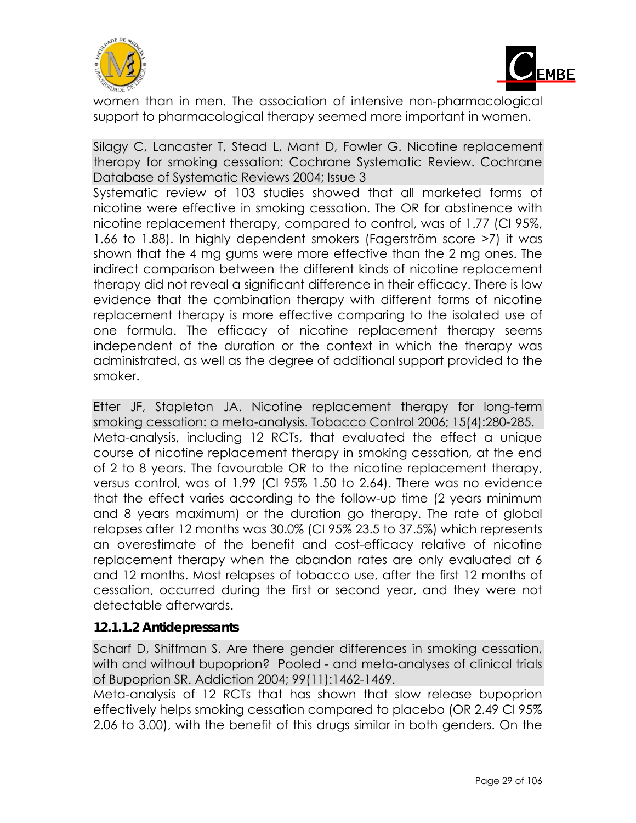



women than in men. The association of intensive non-pharmacological support to pharmacological therapy seemed more important in women.

Silagy C, Lancaster T, Stead L, Mant D, Fowler G. Nicotine replacement therapy for smoking cessation: Cochrane Systematic Review. Cochrane Database of Systematic Reviews 2004; Issue 3

Systematic review of 103 studies showed that all marketed forms of nicotine were effective in smoking cessation. The OR for abstinence with nicotine replacement therapy, compared to control, was of 1.77 (CI 95%, 1.66 to 1.88). In highly dependent smokers (Fagerström score >7) it was shown that the 4 mg gums were more effective than the 2 mg ones. The indirect comparison between the different kinds of nicotine replacement therapy did not reveal a significant difference in their efficacy. There is low evidence that the combination therapy with different forms of nicotine replacement therapy is more effective comparing to the isolated use of one formula. The efficacy of nicotine replacement therapy seems independent of the duration or the context in which the therapy was administrated, as well as the degree of additional support provided to the smoker.

Etter JF, Stapleton JA. Nicotine replacement therapy for long-term smoking cessation: a meta-analysis. Tobacco Control 2006; 15(4):280-285. Meta-analysis, including 12 RCTs, that evaluated the effect a unique course of nicotine replacement therapy in smoking cessation, at the end of 2 to 8 years. The favourable OR to the nicotine replacement therapy, versus control, was of 1.99 (CI 95% 1.50 to 2.64). There was no evidence that the effect varies according to the follow-up time (2 years minimum and 8 years maximum) or the duration go therapy. The rate of global relapses after 12 months was 30.0% (CI 95% 23.5 to 37.5%) which represents an overestimate of the benefit and cost-efficacy relative of nicotine replacement therapy when the abandon rates are only evaluated at 6 and 12 months. Most relapses of tobacco use, after the first 12 months of cessation, occurred during the first or second year, and they were not detectable afterwards.

#### **12.1.1.2 Antidepressants**

Scharf D, Shiffman S. Are there gender differences in smoking cessation, with and without bupoprion? Pooled - and meta-analyses of clinical trials of Bupoprion SR. Addiction 2004; 99(11):1462-1469.

Meta-analysis of 12 RCTs that has shown that slow release bupoprion effectively helps smoking cessation compared to placebo (OR 2.49 CI 95% 2.06 to 3.00), with the benefit of this drugs similar in both genders. On the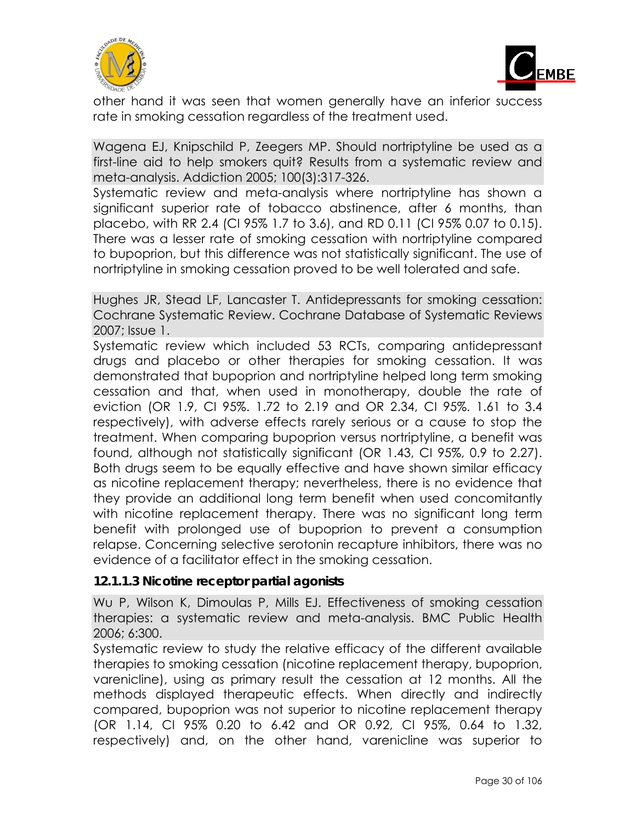



other hand it was seen that women generally have an inferior success rate in smoking cessation regardless of the treatment used.

Wagena EJ, Knipschild P, Zeegers MP. Should nortriptyline be used as a first-line aid to help smokers quit? Results from a systematic review and meta-analysis. Addiction 2005; 100(3):317-326.

Systematic review and meta-analysis where nortriptyline has shown a significant superior rate of tobacco abstinence, after 6 months, than placebo, with RR 2.4 (CI 95% 1.7 to 3.6), and RD 0.11 (CI 95% 0.07 to 0.15). There was a lesser rate of smoking cessation with nortriptyline compared to bupoprion, but this difference was not statistically significant. The use of nortriptyline in smoking cessation proved to be well tolerated and safe.

Hughes JR, Stead LF, Lancaster T. Antidepressants for smoking cessation: Cochrane Systematic Review. Cochrane Database of Systematic Reviews 2007; Issue 1.

Systematic review which included 53 RCTs, comparing antidepressant drugs and placebo or other therapies for smoking cessation. It was demonstrated that bupoprion and nortriptyline helped long term smoking cessation and that, when used in monotherapy, double the rate of eviction (OR 1.9, CI 95%. 1.72 to 2.19 and OR 2.34, CI 95%. 1.61 to 3.4 respectively), with adverse effects rarely serious or a cause to stop the treatment. When comparing bupoprion versus nortriptyline, a benefit was found, although not statistically significant (OR 1.43, CI 95%, 0.9 to 2.27). Both drugs seem to be equally effective and have shown similar efficacy as nicotine replacement therapy; nevertheless, there is no evidence that they provide an additional long term benefit when used concomitantly with nicotine replacement therapy. There was no significant long term benefit with prolonged use of bupoprion to prevent a consumption relapse. Concerning selective serotonin recapture inhibitors, there was no evidence of a facilitator effect in the smoking cessation.

## **12.1.1.3 Nicotine receptor partial agonists**

Wu P, Wilson K, Dimoulas P, Mills EJ. Effectiveness of smoking cessation therapies: a systematic review and meta-analysis. BMC Public Health 2006; 6:300.

Systematic review to study the relative efficacy of the different available therapies to smoking cessation (nicotine replacement therapy, bupoprion, varenicline), using as primary result the cessation at 12 months. All the methods displayed therapeutic effects. When directly and indirectly compared, bupoprion was not superior to nicotine replacement therapy (OR 1.14, CI 95% 0.20 to 6.42 and OR 0.92, CI 95%, 0.64 to 1.32, respectively) and, on the other hand, varenicline was superior to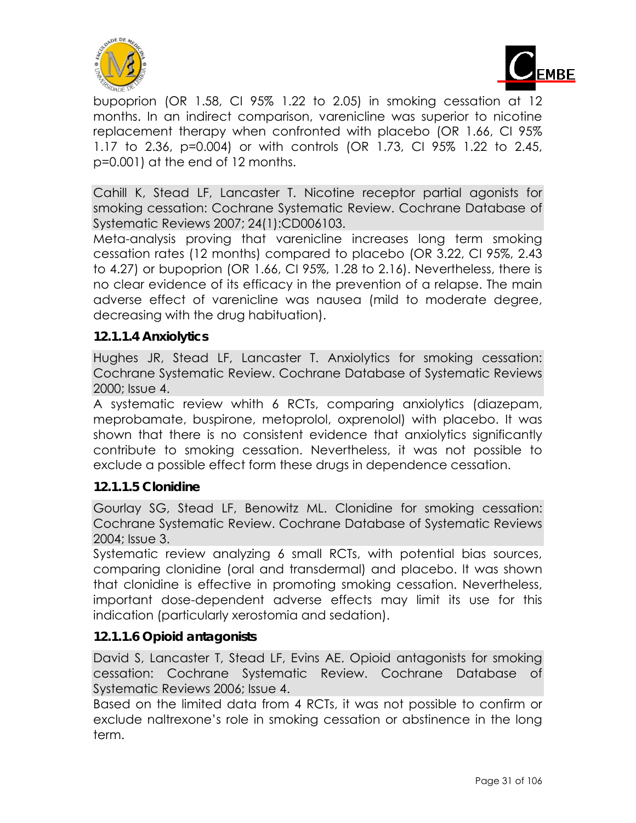



bupoprion (OR 1.58, CI 95% 1.22 to 2.05) in smoking cessation at 12 months. In an indirect comparison, varenicline was superior to nicotine replacement therapy when confronted with placebo (OR 1.66, CI 95% 1.17 to 2.36, p=0.004) or with controls (OR 1.73, CI 95% 1.22 to 2.45, p=0.001) at the end of 12 months.

Cahill K, Stead LF, Lancaster T. Nicotine receptor partial agonists for smoking cessation: Cochrane Systematic Review. Cochrane Database of Systematic Reviews 2007; 24(1):CD006103.

Meta-analysis proving that varenicline increases long term smoking cessation rates (12 months) compared to placebo (OR 3.22, CI 95%, 2.43 to 4.27) or bupoprion (OR 1.66, CI 95%, 1.28 to 2.16). Nevertheless, there is no clear evidence of its efficacy in the prevention of a relapse. The main adverse effect of varenicline was nausea (mild to moderate degree, decreasing with the drug habituation).

#### **12.1.1.4 Anxiolytics**

Hughes JR, Stead LF, Lancaster T. Anxiolytics for smoking cessation: Cochrane Systematic Review. Cochrane Database of Systematic Reviews 2000; Issue 4.

A systematic review whith 6 RCTs, comparing anxiolytics (diazepam, meprobamate, buspirone, metoprolol, oxprenolol) with placebo. It was shown that there is no consistent evidence that anxiolytics significantly contribute to smoking cessation. Nevertheless, it was not possible to exclude a possible effect form these drugs in dependence cessation.

#### **12.1.1.5 Clonidine**

Gourlay SG, Stead LF, Benowitz ML. Clonidine for smoking cessation: Cochrane Systematic Review. Cochrane Database of Systematic Reviews 2004; Issue 3.

Systematic review analyzing 6 small RCTs, with potential bias sources, comparing clonidine (oral and transdermal) and placebo. It was shown that clonidine is effective in promoting smoking cessation. Nevertheless, important dose-dependent adverse effects may limit its use for this indication (particularly xerostomia and sedation).

## **12.1.1.6 Opioid antagonists**

David S, Lancaster T, Stead LF, Evins AE. Opioid antagonists for smoking cessation: Cochrane Systematic Review. Cochrane Database of Systematic Reviews 2006; Issue 4.

Based on the limited data from 4 RCTs, it was not possible to confirm or exclude naltrexone's role in smoking cessation or abstinence in the long term.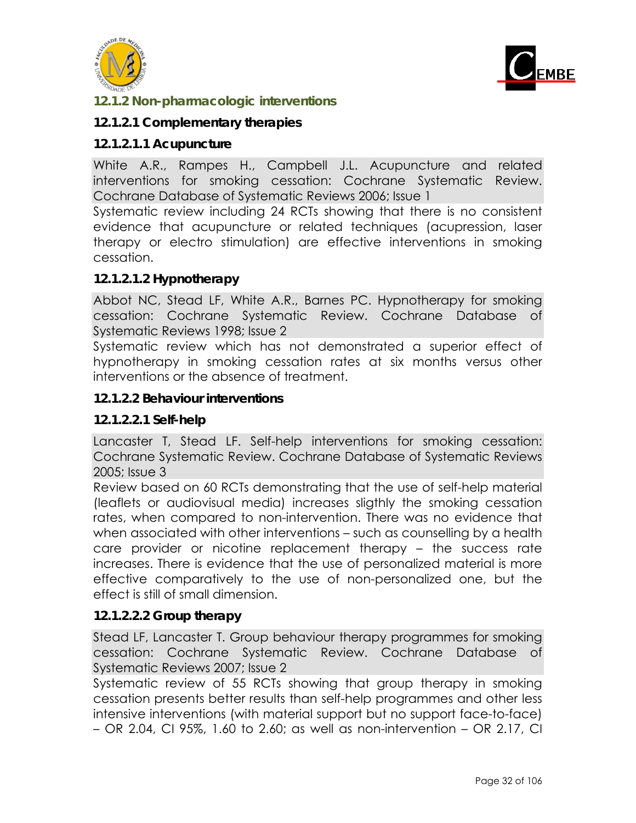



## **12.1.2 Non-pharmacologic interventions**

## **12.1.2.1 Complementary therapies**

### *12.1.2.1.1 Acupuncture*

White A.R., Rampes H., Campbell J.L. Acupuncture and related interventions for smoking cessation: Cochrane Systematic Review. Cochrane Database of Systematic Reviews 2006; Issue 1

Systematic review including 24 RCTs showing that there is no consistent evidence that acupuncture or related techniques (acupression, laser therapy or electro stimulation) are effective interventions in smoking cessation.

## *12.1.2.1.2 Hypnotherapy*

Abbot NC, Stead LF, White A.R., Barnes PC. Hypnotherapy for smoking cessation: Cochrane Systematic Review. Cochrane Database of Systematic Reviews 1998; Issue 2

Systematic review which has not demonstrated a superior effect of hypnotherapy in smoking cessation rates at six months versus other interventions or the absence of treatment.

#### **12.1.2.2 Behaviour interventions**

#### *12.1.2.2.1 Self-help*

Lancaster T, Stead LF. Self-help interventions for smoking cessation: Cochrane Systematic Review. Cochrane Database of Systematic Reviews 2005; Issue 3

Review based on 60 RCTs demonstrating that the use of self-help material (leaflets or audiovisual media) increases sligthly the smoking cessation rates, when compared to non-intervention. There was no evidence that when associated with other interventions – such as counselling by a health care provider or nicotine replacement therapy – the success rate increases. There is evidence that the use of personalized material is more effective comparatively to the use of non-personalized one, but the effect is still of small dimension.

## *12.1.2.2.2 Group therapy*

Stead LF, Lancaster T. Group behaviour therapy programmes for smoking cessation: Cochrane Systematic Review. Cochrane Database of Systematic Reviews 2007; Issue 2

Systematic review of 55 RCTs showing that group therapy in smoking cessation presents better results than self-help programmes and other less intensive interventions (with material support but no support face-to-face) – OR 2.04, CI 95%, 1.60 to 2.60; as well as non-intervention – OR 2.17, CI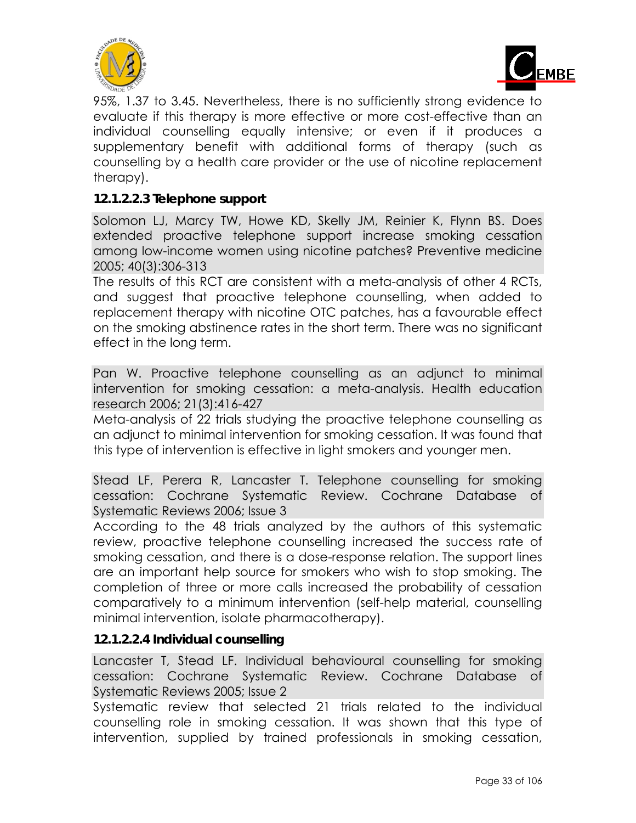



95%, 1.37 to 3.45. Nevertheless, there is no sufficiently strong evidence to evaluate if this therapy is more effective or more cost-effective than an individual counselling equally intensive; or even if it produces a supplementary benefit with additional forms of therapy (such as counselling by a health care provider or the use of nicotine replacement therapy).

### *12.1.2.2.3 Telephone support*

Solomon LJ, Marcy TW, Howe KD, Skelly JM, Reinier K, Flynn BS. Does extended proactive telephone support increase smoking cessation among low-income women using nicotine patches? Preventive medicine 2005; 40(3):306-313

The results of this RCT are consistent with a meta-analysis of other 4 RCTs, and suggest that proactive telephone counselling, when added to replacement therapy with nicotine OTC patches, has a favourable effect on the smoking abstinence rates in the short term. There was no significant effect in the long term.

Pan W. Proactive telephone counselling as an adjunct to minimal intervention for smoking cessation: a meta-analysis. Health education research 2006; 21(3):416-427

Meta-analysis of 22 trials studying the proactive telephone counselling as an adjunct to minimal intervention for smoking cessation. It was found that this type of intervention is effective in light smokers and younger men.

Stead LF, Perera R, Lancaster T. Telephone counselling for smoking cessation: Cochrane Systematic Review. Cochrane Database of Systematic Reviews 2006; Issue 3

According to the 48 trials analyzed by the authors of this systematic review, proactive telephone counselling increased the success rate of smoking cessation, and there is a dose-response relation. The support lines are an important help source for smokers who wish to stop smoking. The completion of three or more calls increased the probability of cessation comparatively to a minimum intervention (self-help material, counselling minimal intervention, isolate pharmacotherapy).

#### *12.1.2.2.4 Individual counselling*

Lancaster T, Stead LF. Individual behavioural counselling for smoking cessation: Cochrane Systematic Review. Cochrane Database of Systematic Reviews 2005; Issue 2

Systematic review that selected 21 trials related to the individual counselling role in smoking cessation. It was shown that this type of intervention, supplied by trained professionals in smoking cessation,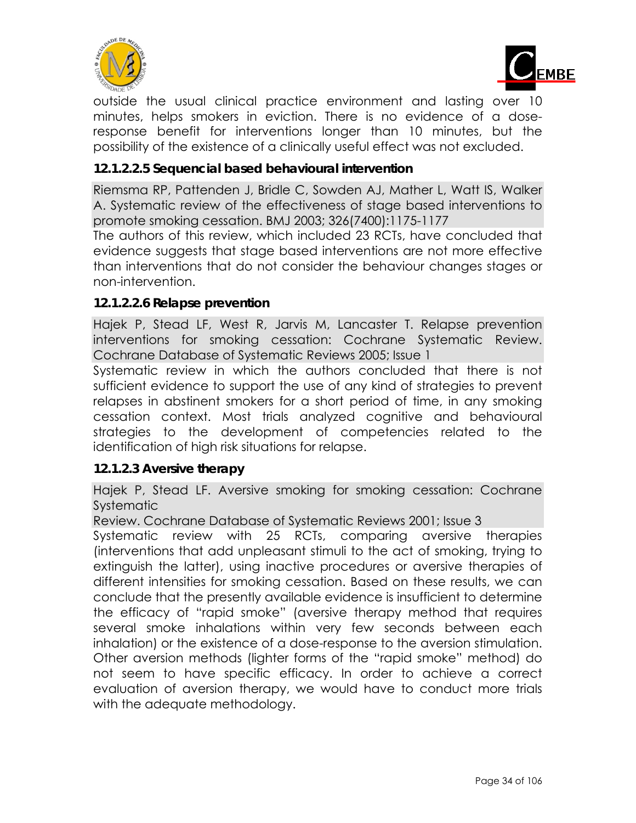



outside the usual clinical practice environment and lasting over 10 minutes, helps smokers in eviction. There is no evidence of a doseresponse benefit for interventions longer than 10 minutes, but the possibility of the existence of a clinically useful effect was not excluded.

## *12.1.2.2.5 Sequencial based behavioural intervention*

Riemsma RP, Pattenden J, Bridle C, Sowden AJ, Mather L, Watt IS, Walker A. Systematic review of the effectiveness of stage based interventions to promote smoking cessation. BMJ 2003; 326(7400):1175-1177

The authors of this review, which included 23 RCTs, have concluded that evidence suggests that stage based interventions are not more effective than interventions that do not consider the behaviour changes stages or non-intervention.

#### *12.1.2.2.6 Relapse prevention*

Hajek P, Stead LF, West R, Jarvis M, Lancaster T. Relapse prevention interventions for smoking cessation: Cochrane Systematic Review. Cochrane Database of Systematic Reviews 2005; Issue 1

Systematic review in which the authors concluded that there is not sufficient evidence to support the use of any kind of strategies to prevent relapses in abstinent smokers for a short period of time, in any smoking cessation context. Most trials analyzed cognitive and behavioural strategies to the development of competencies related to the identification of high risk situations for relapse.

#### **12.1.2.3 Aversive therapy**

Hajek P, Stead LF. Aversive smoking for smoking cessation: Cochrane **Systematic** 

Review. Cochrane Database of Systematic Reviews 2001; Issue 3

Systematic review with 25 RCTs, comparing aversive therapies (interventions that add unpleasant stimuli to the act of smoking, trying to extinguish the latter), using inactive procedures or aversive therapies of different intensities for smoking cessation. Based on these results, we can conclude that the presently available evidence is insufficient to determine the efficacy of "rapid smoke" (aversive therapy method that requires several smoke inhalations within very few seconds between each inhalation) or the existence of a dose-response to the aversion stimulation. Other aversion methods (lighter forms of the "rapid smoke" method) do not seem to have specific efficacy. In order to achieve a correct evaluation of aversion therapy, we would have to conduct more trials with the adequate methodology.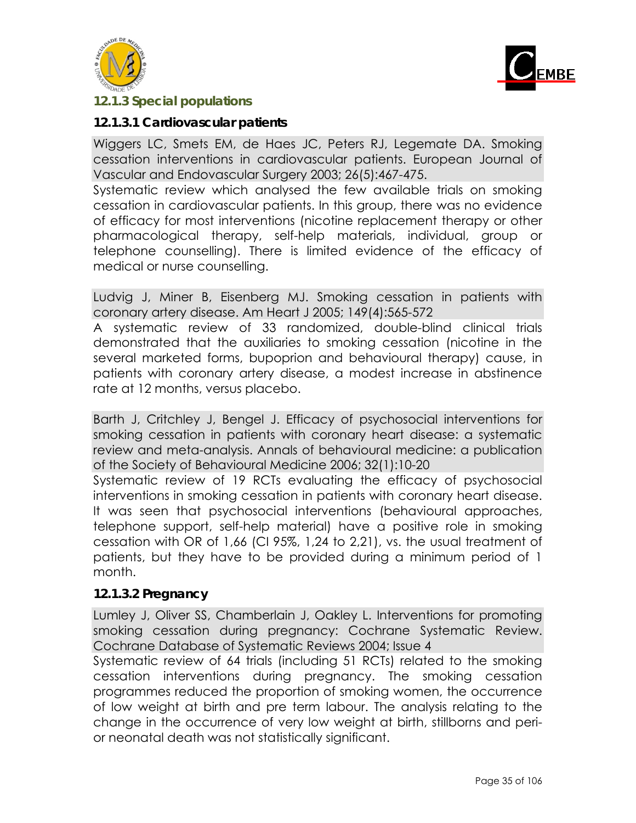



#### **12.1.3 Special populations**

#### **12.1.3.1 Cardiovascular patients**

Wiggers LC, Smets EM, de Haes JC, Peters RJ, Legemate DA. Smoking cessation interventions in cardiovascular patients. European Journal of Vascular and Endovascular Surgery 2003; 26(5):467-475.

Systematic review which analysed the few available trials on smoking cessation in cardiovascular patients. In this group, there was no evidence of efficacy for most interventions (nicotine replacement therapy or other pharmacological therapy, self-help materials, individual, group or telephone counselling). There is limited evidence of the efficacy of medical or nurse counselling.

Ludvig J, Miner B, Eisenberg MJ. Smoking cessation in patients with coronary artery disease. Am Heart J 2005; 149(4):565-572

A systematic review of 33 randomized, double-blind clinical trials demonstrated that the auxiliaries to smoking cessation (nicotine in the several marketed forms, bupoprion and behavioural therapy) cause, in patients with coronary artery disease, a modest increase in abstinence rate at 12 months, versus placebo.

Barth J, Critchley J, Bengel J. Efficacy of psychosocial interventions for smoking cessation in patients with coronary heart disease: a systematic review and meta-analysis. Annals of behavioural medicine: a publication of the Society of Behavioural Medicine 2006; 32(1):10-20

Systematic review of 19 RCTs evaluating the efficacy of psychosocial interventions in smoking cessation in patients with coronary heart disease. It was seen that psychosocial interventions (behavioural approaches, telephone support, self-help material) have a positive role in smoking cessation with OR of 1,66 (CI 95%, 1,24 to 2,21), vs. the usual treatment of patients, but they have to be provided during a minimum period of 1 month.

#### **12.1.3.2 Pregnancy**

Lumley J, Oliver SS, Chamberlain J, Oakley L. Interventions for promoting smoking cessation during pregnancy: Cochrane Systematic Review. Cochrane Database of Systematic Reviews 2004; Issue 4

Systematic review of 64 trials (including 51 RCTs) related to the smoking cessation interventions during pregnancy. The smoking cessation programmes reduced the proportion of smoking women, the occurrence of low weight at birth and pre term labour. The analysis relating to the change in the occurrence of very low weight at birth, stillborns and perior neonatal death was not statistically significant.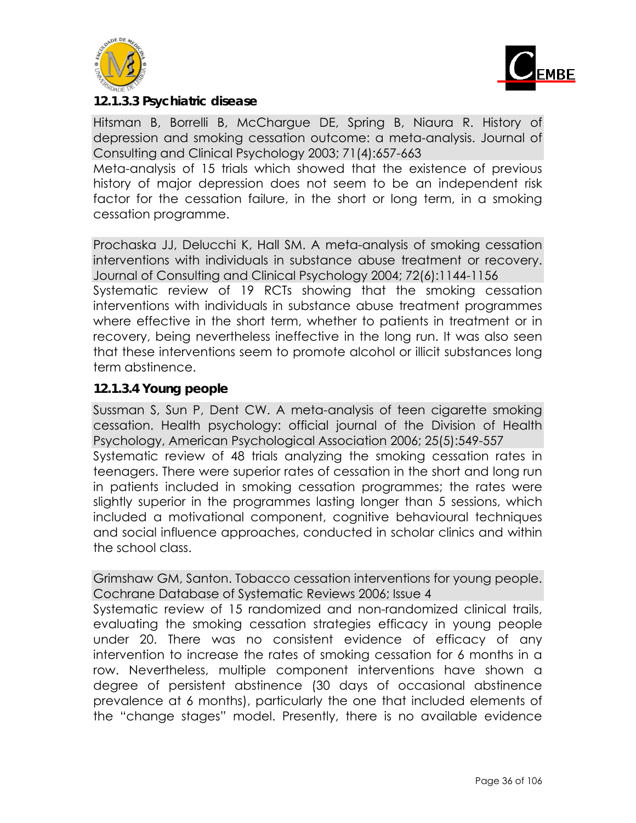



#### **12.1.3.3 Psychiatric disease**

Hitsman B, Borrelli B, McChargue DE, Spring B, Niaura R. History of depression and smoking cessation outcome: a meta-analysis. Journal of Consulting and Clinical Psychology 2003; 71(4):657-663

Meta-analysis of 15 trials which showed that the existence of previous history of major depression does not seem to be an independent risk factor for the cessation failure, in the short or long term, in a smoking cessation programme.

Prochaska JJ, Delucchi K, Hall SM. A meta-analysis of smoking cessation interventions with individuals in substance abuse treatment or recovery. Journal of Consulting and Clinical Psychology 2004; 72(6):1144-1156 Systematic review of 19 RCTs showing that the smoking cessation interventions with individuals in substance abuse treatment programmes where effective in the short term, whether to patients in treatment or in recovery, being nevertheless ineffective in the long run. It was also seen that these interventions seem to promote alcohol or illicit substances long term abstinence.

#### **12.1.3.4 Young people**

Sussman S, Sun P, Dent CW. A meta-analysis of teen cigarette smoking cessation. Health psychology: official journal of the Division of Health Psychology, American Psychological Association 2006; 25(5):549-557 Systematic review of 48 trials analyzing the smoking cessation rates in teenagers. There were superior rates of cessation in the short and long run in patients included in smoking cessation programmes; the rates were slightly superior in the programmes lasting longer than 5 sessions, which included a motivational component, cognitive behavioural techniques and social influence approaches, conducted in scholar clinics and within the school class.

Grimshaw GM, Santon. Tobacco cessation interventions for young people. Cochrane Database of Systematic Reviews 2006; Issue 4

Systematic review of 15 randomized and non-randomized clinical trails, evaluating the smoking cessation strategies efficacy in young people under 20. There was no consistent evidence of efficacy of any intervention to increase the rates of smoking cessation for 6 months in a row. Nevertheless, multiple component interventions have shown a degree of persistent abstinence (30 days of occasional abstinence prevalence at 6 months), particularly the one that included elements of the "change stages" model. Presently, there is no available evidence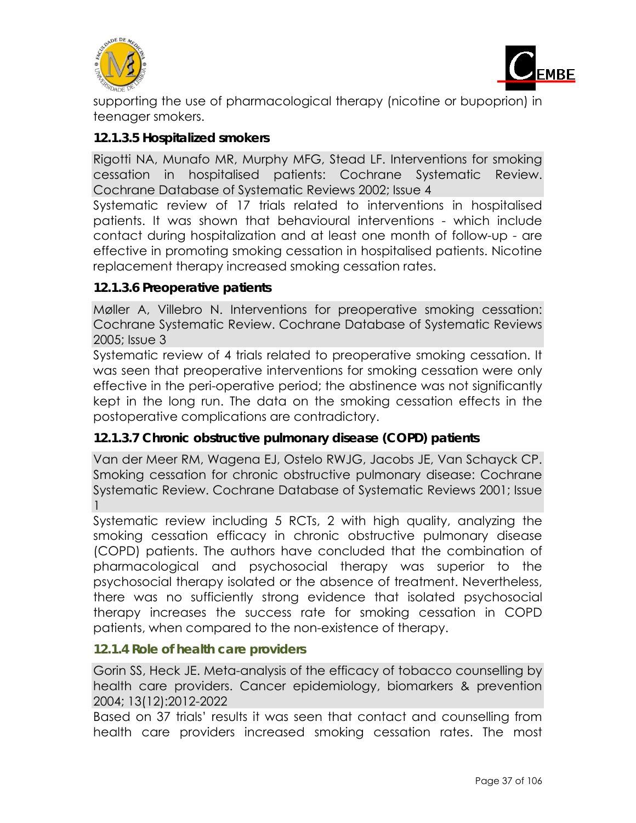



supporting the use of pharmacological therapy (nicotine or bupoprion) in teenager smokers.

#### **12.1.3.5 Hospitalized smokers**

Rigotti NA, Munafo MR, Murphy MFG, Stead LF. Interventions for smoking cessation in hospitalised patients: Cochrane Systematic Review. Cochrane Database of Systematic Reviews 2002; Issue 4

Systematic review of 17 trials related to interventions in hospitalised patients. It was shown that behavioural interventions - which include contact during hospitalization and at least one month of follow-up - are effective in promoting smoking cessation in hospitalised patients. Nicotine replacement therapy increased smoking cessation rates.

#### **12.1.3.6 Preoperative patients**

Møller A, Villebro N. Interventions for preoperative smoking cessation: Cochrane Systematic Review. Cochrane Database of Systematic Reviews 2005; Issue 3

Systematic review of 4 trials related to preoperative smoking cessation. It was seen that preoperative interventions for smoking cessation were only effective in the peri-operative period; the abstinence was not significantly kept in the long run. The data on the smoking cessation effects in the postoperative complications are contradictory.

#### **12.1.3.7 Chronic obstructive pulmonary disease (COPD) patients**

Van der Meer RM, Wagena EJ, Ostelo RWJG, Jacobs JE, Van Schayck CP. Smoking cessation for chronic obstructive pulmonary disease: Cochrane Systematic Review. Cochrane Database of Systematic Reviews 2001; Issue 1

Systematic review including 5 RCTs, 2 with high quality, analyzing the smoking cessation efficacy in chronic obstructive pulmonary disease (COPD) patients. The authors have concluded that the combination of pharmacological and psychosocial therapy was superior to the psychosocial therapy isolated or the absence of treatment. Nevertheless, there was no sufficiently strong evidence that isolated psychosocial therapy increases the success rate for smoking cessation in COPD patients, when compared to the non-existence of therapy.

#### **12.1.4 Role of health care providers**

Gorin SS, Heck JE. Meta-analysis of the efficacy of tobacco counselling by health care providers. Cancer epidemiology, biomarkers & prevention 2004; 13(12):2012-2022

Based on 37 trials' results it was seen that contact and counselling from health care providers increased smoking cessation rates. The most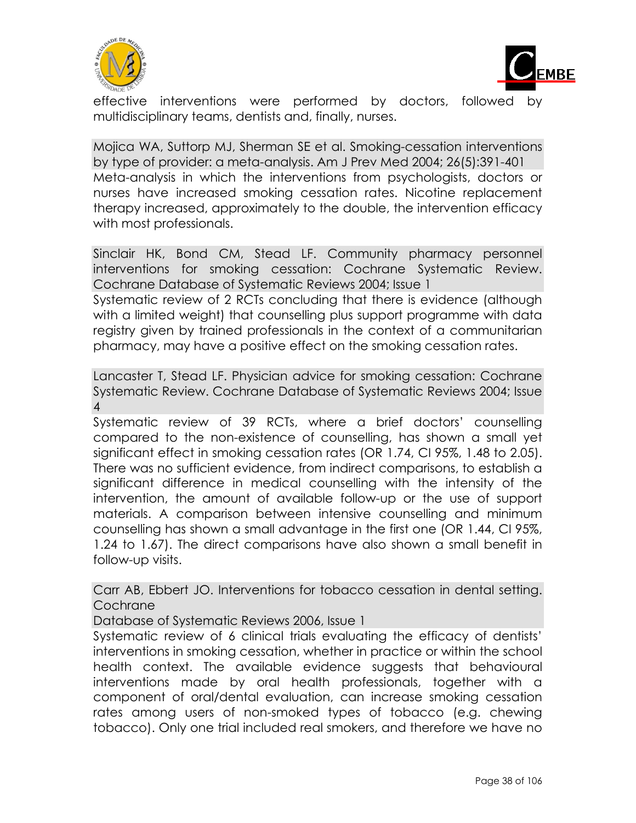



effective interventions were performed by doctors, followed multidisciplinary teams, dentists and, finally, nurses.

Mojica WA, Suttorp MJ, Sherman SE et al. Smoking-cessation interventions by type of provider: a meta-analysis. Am J Prev Med 2004; 26(5):391-401 Meta-analysis in which the interventions from psychologists, doctors or nurses have increased smoking cessation rates. Nicotine replacement therapy increased, approximately to the double, the intervention efficacy with most professionals.

Sinclair HK, Bond CM, Stead LF. Community pharmacy personnel interventions for smoking cessation: Cochrane Systematic Review. Cochrane Database of Systematic Reviews 2004; Issue 1

Systematic review of 2 RCTs concluding that there is evidence (although with a limited weight) that counselling plus support programme with data registry given by trained professionals in the context of a communitarian pharmacy, may have a positive effect on the smoking cessation rates.

Lancaster T, Stead LF. Physician advice for smoking cessation: Cochrane Systematic Review. Cochrane Database of Systematic Reviews 2004; Issue 4

Systematic review of 39 RCTs, where a brief doctors' counselling compared to the non-existence of counselling, has shown a small yet significant effect in smoking cessation rates (OR 1.74, CI 95%, 1.48 to 2.05). There was no sufficient evidence, from indirect comparisons, to establish a significant difference in medical counselling with the intensity of the intervention, the amount of available follow-up or the use of support materials. A comparison between intensive counselling and minimum counselling has shown a small advantage in the first one (OR 1.44, CI 95%, 1.24 to 1.67). The direct comparisons have also shown a small benefit in follow-up visits.

Carr AB, Ebbert JO. Interventions for tobacco cessation in dental setting. **Cochrane** 

Database of Systematic Reviews 2006, Issue 1

Systematic review of 6 clinical trials evaluating the efficacy of dentists' interventions in smoking cessation, whether in practice or within the school health context. The available evidence suggests that behavioural interventions made by oral health professionals, together with a component of oral/dental evaluation, can increase smoking cessation rates among users of non-smoked types of tobacco (e.g. chewing tobacco). Only one trial included real smokers, and therefore we have no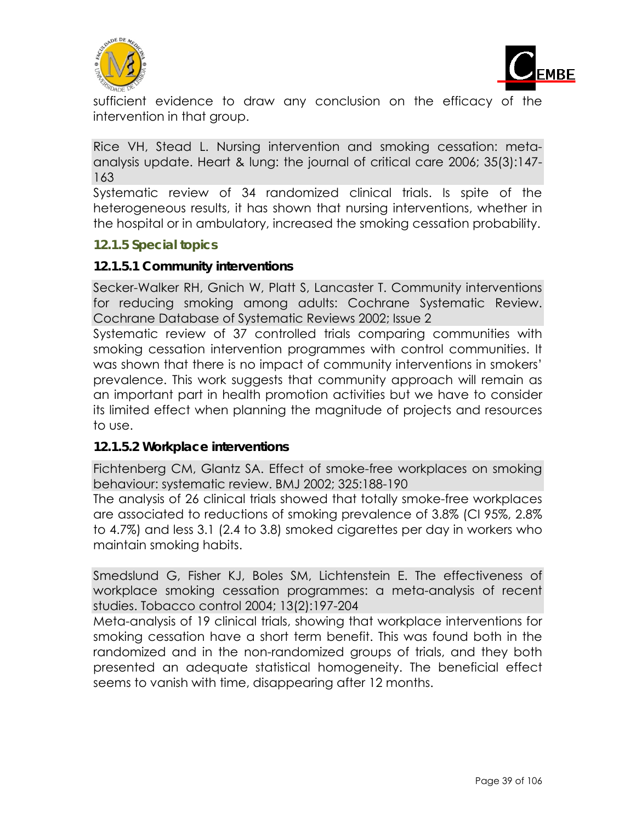



sufficient evidence to draw any conclusion on the efficacy of the intervention in that group.

Rice VH, Stead L. Nursing intervention and smoking cessation: metaanalysis update. Heart & lung: the journal of critical care 2006; 35(3):147- 163

Systematic review of 34 randomized clinical trials. Is spite of the heterogeneous results, it has shown that nursing interventions, whether in the hospital or in ambulatory, increased the smoking cessation probability.

#### **12.1.5 Special topics**

#### **12.1.5.1 Community interventions**

Secker-Walker RH, Gnich W, Platt S, Lancaster T. Community interventions for reducing smoking among adults: Cochrane Systematic Review. Cochrane Database of Systematic Reviews 2002; Issue 2

Systematic review of 37 controlled trials comparing communities with smoking cessation intervention programmes with control communities. It was shown that there is no impact of community interventions in smokers' prevalence. This work suggests that community approach will remain as an important part in health promotion activities but we have to consider its limited effect when planning the magnitude of projects and resources to use.

#### **12.1.5.2 Workplace interventions**

Fichtenberg CM, Glantz SA. Effect of smoke-free workplaces on smoking behaviour: systematic review. BMJ 2002; 325:188-190

The analysis of 26 clinical trials showed that totally smoke-free workplaces are associated to reductions of smoking prevalence of 3.8% (CI 95%, 2.8% to 4.7%) and less 3.1 (2.4 to 3.8) smoked cigarettes per day in workers who maintain smoking habits.

Smedslund G, Fisher KJ, Boles SM, Lichtenstein E. The effectiveness of workplace smoking cessation programmes: a meta-analysis of recent studies. Tobacco control 2004; 13(2):197-204

Meta-analysis of 19 clinical trials, showing that workplace interventions for smoking cessation have a short term benefit. This was found both in the randomized and in the non-randomized groups of trials, and they both presented an adequate statistical homogeneity. The beneficial effect seems to vanish with time, disappearing after 12 months.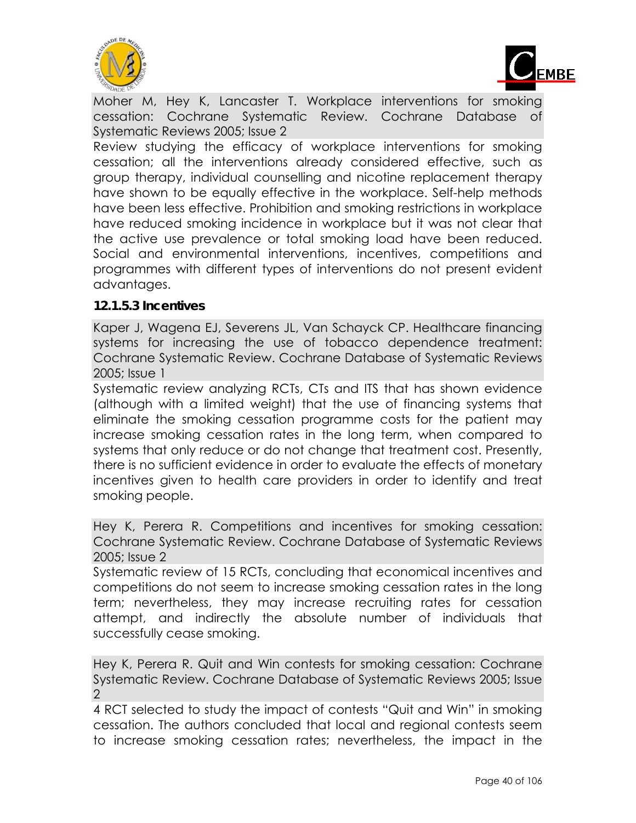



Moher M, Hey K, Lancaster T. Workplace interventions for smoking cessation: Cochrane Systematic Review. Cochrane Database of Systematic Reviews 2005; Issue 2

Review studying the efficacy of workplace interventions for smoking cessation; all the interventions already considered effective, such as group therapy, individual counselling and nicotine replacement therapy have shown to be equally effective in the workplace. Self-help methods have been less effective. Prohibition and smoking restrictions in workplace have reduced smoking incidence in workplace but it was not clear that the active use prevalence or total smoking load have been reduced. Social and environmental interventions, incentives, competitions and programmes with different types of interventions do not present evident advantages.

#### **12.1.5.3 Incentives**

Kaper J, Wagena EJ, Severens JL, Van Schayck CP. Healthcare financing systems for increasing the use of tobacco dependence treatment: Cochrane Systematic Review. Cochrane Database of Systematic Reviews 2005; Issue 1

Systematic review analyzing RCTs, CTs and ITS that has shown evidence (although with a limited weight) that the use of financing systems that eliminate the smoking cessation programme costs for the patient may increase smoking cessation rates in the long term, when compared to systems that only reduce or do not change that treatment cost. Presently, there is no sufficient evidence in order to evaluate the effects of monetary incentives given to health care providers in order to identify and treat smoking people.

Hey K, Perera R. Competitions and incentives for smoking cessation: Cochrane Systematic Review. Cochrane Database of Systematic Reviews 2005; Issue 2

Systematic review of 15 RCTs, concluding that economical incentives and competitions do not seem to increase smoking cessation rates in the long term; nevertheless, they may increase recruiting rates for cessation attempt, and indirectly the absolute number of individuals that successfully cease smoking.

Hey K, Perera R. Quit and Win contests for smoking cessation: Cochrane Systematic Review. Cochrane Database of Systematic Reviews 2005; Issue  $\mathcal{P}$ 

4 RCT selected to study the impact of contests "Quit and Win" in smoking cessation. The authors concluded that local and regional contests seem to increase smoking cessation rates; nevertheless, the impact in the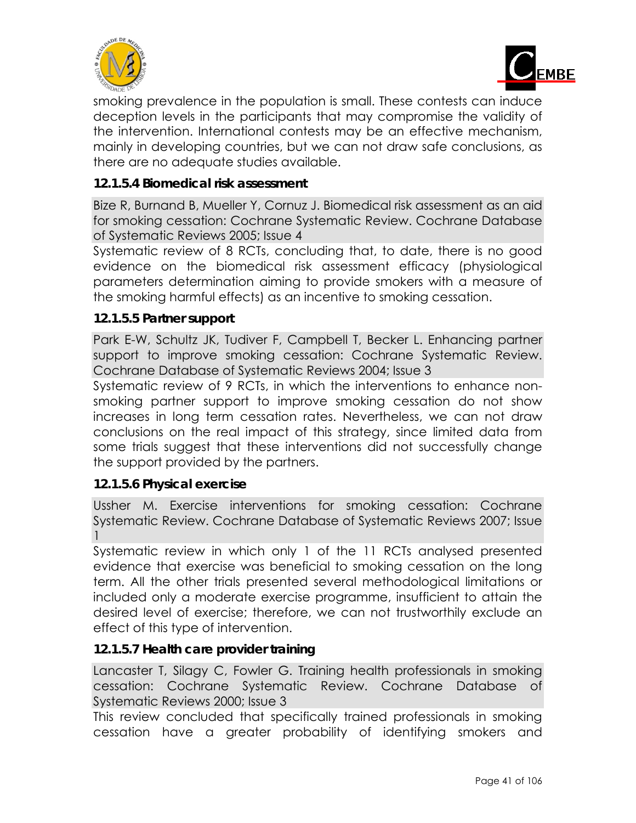



smoking prevalence in the population is small. These contests can induce deception levels in the participants that may compromise the validity of the intervention. International contests may be an effective mechanism, mainly in developing countries, but we can not draw safe conclusions, as there are no adequate studies available.

#### **12.1.5.4 Biomedical risk assessment**

Bize R, Burnand B, Mueller Y, Cornuz J. Biomedical risk assessment as an aid for smoking cessation: Cochrane Systematic Review. Cochrane Database of Systematic Reviews 2005; Issue 4

Systematic review of 8 RCTs, concluding that, to date, there is no good evidence on the biomedical risk assessment efficacy (physiological parameters determination aiming to provide smokers with a measure of the smoking harmful effects) as an incentive to smoking cessation.

#### **12.1.5.5 Partner support**

Park E-W, Schultz JK, Tudiver F, Campbell T, Becker L. Enhancing partner support to improve smoking cessation: Cochrane Systematic Review. Cochrane Database of Systematic Reviews 2004; Issue 3

Systematic review of 9 RCTs, in which the interventions to enhance nonsmoking partner support to improve smoking cessation do not show increases in long term cessation rates. Nevertheless, we can not draw conclusions on the real impact of this strategy, since limited data from some trials suggest that these interventions did not successfully change the support provided by the partners.

#### **12.1.5.6 Physical exercise**

Ussher M. Exercise interventions for smoking cessation: Cochrane Systematic Review. Cochrane Database of Systematic Reviews 2007; Issue 1

Systematic review in which only 1 of the 11 RCTs analysed presented evidence that exercise was beneficial to smoking cessation on the long term. All the other trials presented several methodological limitations or included only a moderate exercise programme, insufficient to attain the desired level of exercise; therefore, we can not trustworthily exclude an effect of this type of intervention.

#### **12.1.5.7 Health care provider training**

Lancaster T, Silagy C, Fowler G. Training health professionals in smoking cessation: Cochrane Systematic Review. Cochrane Database of Systematic Reviews 2000; Issue 3

This review concluded that specifically trained professionals in smoking cessation have a greater probability of identifying smokers and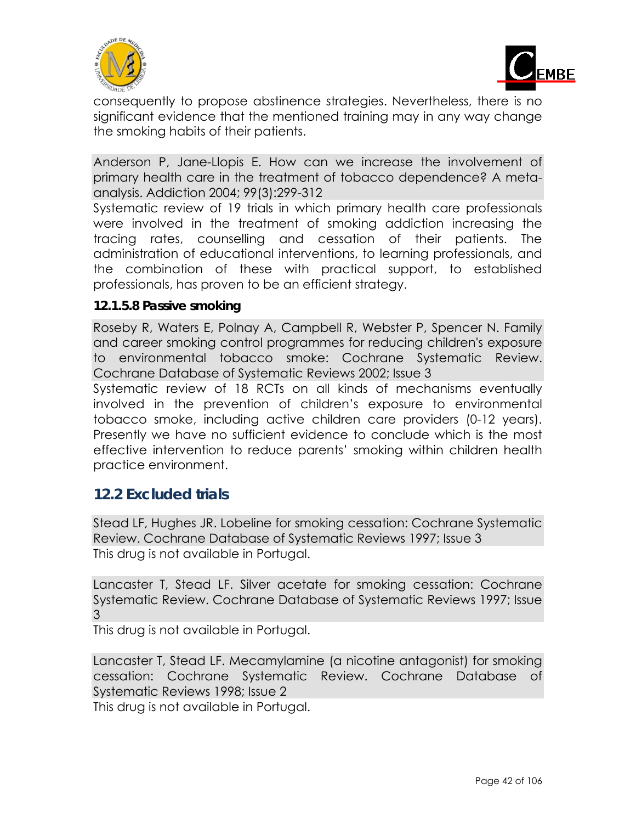



consequently to propose abstinence strategies. Nevertheless, there is no significant evidence that the mentioned training may in any way change the smoking habits of their patients.

Anderson P, Jane-Llopis E. How can we increase the involvement of primary health care in the treatment of tobacco dependence? A metaanalysis. Addiction 2004; 99(3):299-312

Systematic review of 19 trials in which primary health care professionals were involved in the treatment of smoking addiction increasing the tracing rates, counselling and cessation of their patients. The administration of educational interventions, to learning professionals, and the combination of these with practical support, to established professionals, has proven to be an efficient strategy.

#### **12.1.5.8 Passive smoking**

Roseby R, Waters E, Polnay A, Campbell R, Webster P, Spencer N. Family and career smoking control programmes for reducing children's exposure to environmental tobacco smoke: Cochrane Systematic Review. Cochrane Database of Systematic Reviews 2002; Issue 3

Systematic review of 18 RCTs on all kinds of mechanisms eventually involved in the prevention of children's exposure to environmental tobacco smoke, including active children care providers (0-12 years). Presently we have no sufficient evidence to conclude which is the most effective intervention to reduce parents' smoking within children health practice environment.

### **12.2 Excluded trials**

Stead LF, Hughes JR. Lobeline for smoking cessation: Cochrane Systematic Review. Cochrane Database of Systematic Reviews 1997; Issue 3 This drug is not available in Portugal.

Lancaster T, Stead LF. Silver acetate for smoking cessation: Cochrane Systematic Review. Cochrane Database of Systematic Reviews 1997; Issue 3

This drug is not available in Portugal.

Lancaster T, Stead LF. Mecamylamine (a nicotine antagonist) for smoking cessation: Cochrane Systematic Review. Cochrane Database of Systematic Reviews 1998; Issue 2

This drug is not available in Portugal.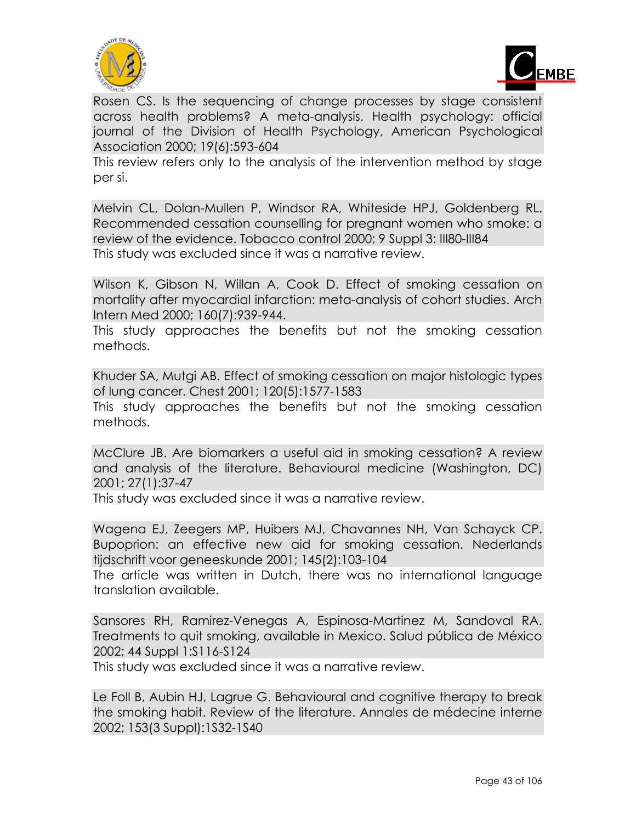



Rosen CS. Is the sequencing of change processes by stage consistent across health problems? A meta-analysis. Health psychology: official journal of the Division of Health Psychology, American Psychological Association 2000; 19(6):593-604

This review refers only to the analysis of the intervention method by stage per si.

Melvin CL, Dolan-Mullen P, Windsor RA, Whiteside HPJ, Goldenberg RL. Recommended cessation counselling for pregnant women who smoke: a review of the evidence. Tobacco control 2000; 9 Suppl 3: III80-III84 This study was excluded since it was a narrative review.

Wilson K, Gibson N, Willan A, Cook D. Effect of smoking cessation on mortality after myocardial infarction: meta-analysis of cohort studies. Arch Intern Med 2000; 160(7):939-944.

This study approaches the benefits but not the smoking cessation methods.

Khuder SA, Mutgi AB. Effect of smoking cessation on major histologic types of lung cancer. Chest 2001; 120(5):1577-1583

This study approaches the benefits but not the smoking cessation methods.

McClure JB. Are biomarkers a useful aid in smoking cessation? A review and analysis of the literature. Behavioural medicine (Washington, DC) 2001; 27(1):37-47

This study was excluded since it was a narrative review.

Wagena EJ, Zeegers MP, Huibers MJ, Chavannes NH, Van Schayck CP. Bupoprion: an effective new aid for smoking cessation. Nederlands tijdschrift voor geneeskunde 2001; 145(2):103-104

The article was written in Dutch, there was no international language translation available.

Sansores RH, Ramirez-Venegas A, Espinosa-Martinez M, Sandoval RA. Treatments to quit smoking, available in Mexico. Salud pública de México 2002; 44 Suppl 1:S116-S124

This study was excluded since it was a narrative review.

Le Foll B, Aubin HJ, Lagrue G. Behavioural and cognitive therapy to break the smoking habit. Review of the literature. Annales de médecine interne 2002; 153(3 Suppl):1S32-1S40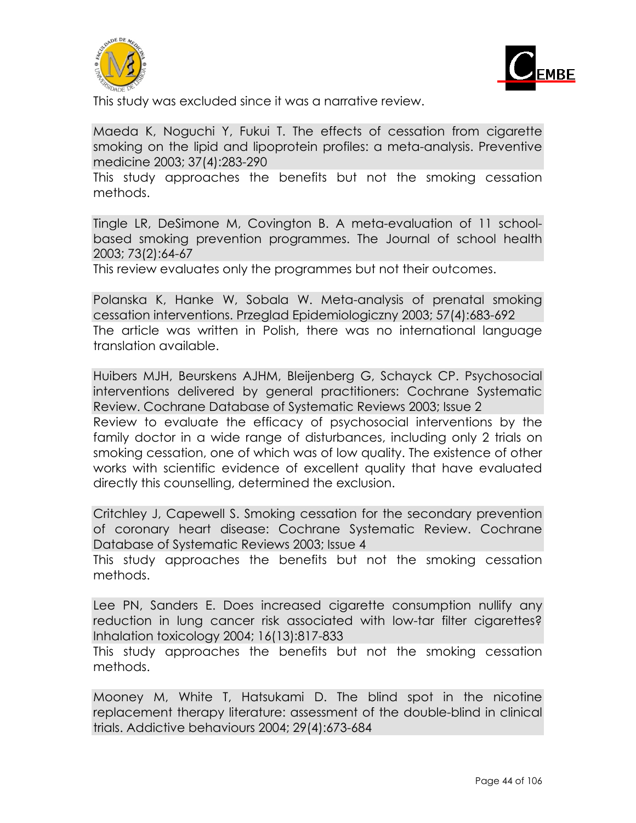



This study was excluded since it was a narrative review.

Maeda K, Noguchi Y, Fukui T. The effects of cessation from cigarette smoking on the lipid and lipoprotein profiles: a meta-analysis. Preventive medicine 2003; 37(4):283-290

This study approaches the benefits but not the smoking cessation methods.

Tingle LR, DeSimone M, Covington B. A meta-evaluation of 11 schoolbased smoking prevention programmes. The Journal of school health 2003; 73(2):64-67

This review evaluates only the programmes but not their outcomes.

Polanska K, Hanke W, Sobala W. Meta-analysis of prenatal smoking cessation interventions. Przeglad Epidemiologiczny 2003; 57(4):683-692 The article was written in Polish, there was no international language translation available.

Huibers MJH, Beurskens AJHM, Bleijenberg G, Schayck CP. Psychosocial interventions delivered by general practitioners: Cochrane Systematic Review. Cochrane Database of Systematic Reviews 2003; Issue 2 Review to evaluate the efficacy of psychosocial interventions by the family doctor in a wide range of disturbances, including only 2 trials on smoking cessation, one of which was of low quality. The existence of other works with scientific evidence of excellent quality that have evaluated

directly this counselling, determined the exclusion.

Critchley J, Capewell S. Smoking cessation for the secondary prevention of coronary heart disease: Cochrane Systematic Review. Cochrane Database of Systematic Reviews 2003; Issue 4

This study approaches the benefits but not the smoking cessation methods.

Lee PN, Sanders E. Does increased cigarette consumption nullify any reduction in lung cancer risk associated with low-tar filter cigarettes? Inhalation toxicology 2004; 16(13):817-833

This study approaches the benefits but not the smoking cessation methods.

Mooney M, White T, Hatsukami D. The blind spot in the nicotine replacement therapy literature: assessment of the double-blind in clinical trials. Addictive behaviours 2004; 29(4):673-684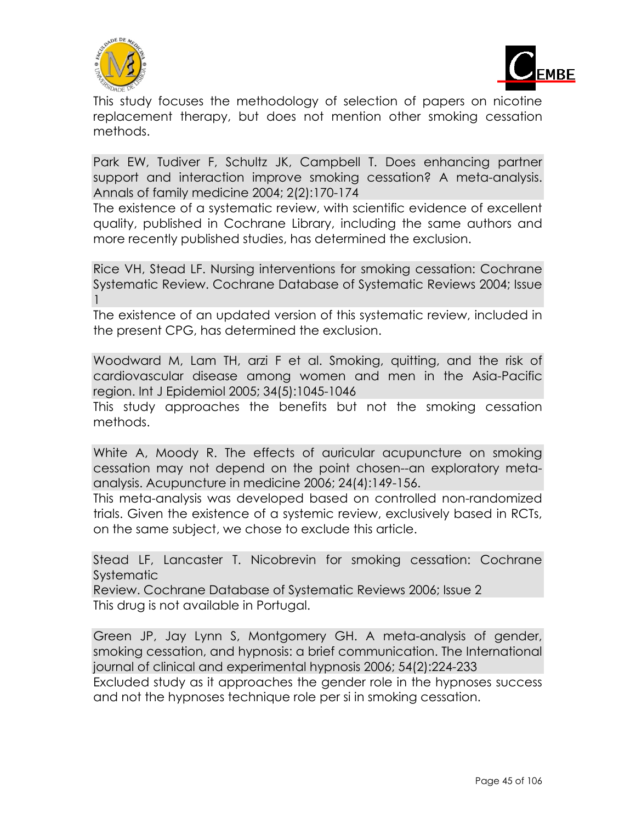



This study focuses the methodology of selection of papers on nicotine replacement therapy, but does not mention other smoking cessation methods.

Park EW, Tudiver F, Schultz JK, Campbell T. Does enhancing partner support and interaction improve smoking cessation? A meta-analysis. Annals of family medicine 2004; 2(2):170-174

The existence of a systematic review, with scientific evidence of excellent quality, published in Cochrane Library, including the same authors and more recently published studies, has determined the exclusion.

Rice VH, Stead LF. Nursing interventions for smoking cessation: Cochrane Systematic Review. Cochrane Database of Systematic Reviews 2004; Issue 1

The existence of an updated version of this systematic review, included in the present CPG, has determined the exclusion.

Woodward M, Lam TH, arzi F et al. Smoking, quitting, and the risk of cardiovascular disease among women and men in the Asia-Pacific region. Int J Epidemiol 2005; 34(5):1045-1046

This study approaches the benefits but not the smoking cessation methods.

White A, Moody R. The effects of auricular acupuncture on smoking cessation may not depend on the point chosen--an exploratory metaanalysis. Acupuncture in medicine 2006; 24(4):149-156.

This meta-analysis was developed based on controlled non-randomized trials. Given the existence of a systemic review, exclusively based in RCTs, on the same subject, we chose to exclude this article.

Stead LF, Lancaster T. Nicobrevin for smoking cessation: Cochrane **Systematic** 

Review. Cochrane Database of Systematic Reviews 2006; Issue 2 This drug is not available in Portugal.

Green JP, Jay Lynn S, Montgomery GH. A meta-analysis of gender, smoking cessation, and hypnosis: a brief communication. The International journal of clinical and experimental hypnosis 2006; 54(2):224-233

Excluded study as it approaches the gender role in the hypnoses success and not the hypnoses technique role per si in smoking cessation.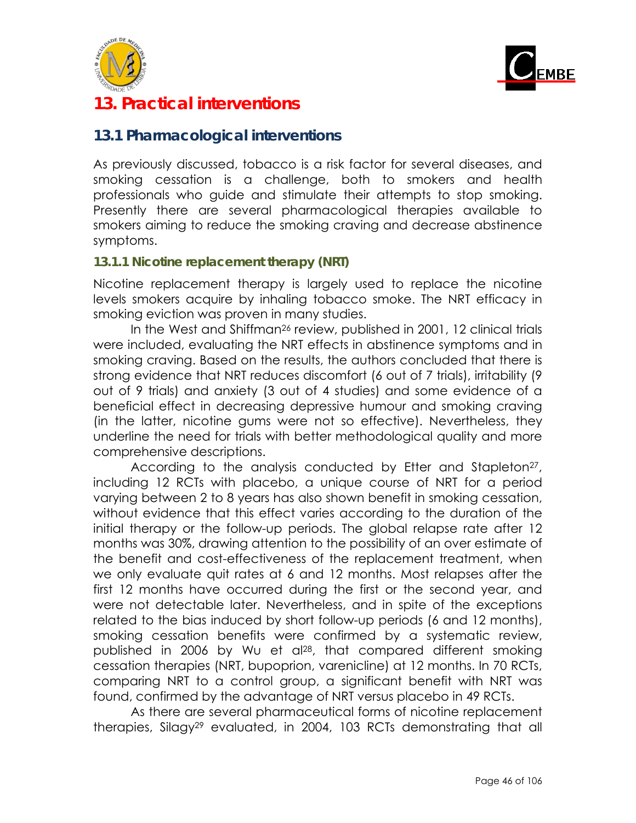



# **13. Practical interventions**

### **13.1 Pharmacological interventions**

As previously discussed, tobacco is a risk factor for several diseases, and smoking cessation is a challenge, both to smokers and health professionals who guide and stimulate their attempts to stop smoking. Presently there are several pharmacological therapies available to smokers aiming to reduce the smoking craving and decrease abstinence symptoms.

#### **13.1.1 Nicotine replacement therapy (NRT)**

Nicotine replacement therapy is largely used to replace the nicotine levels smokers acquire by inhaling tobacco smoke. The NRT efficacy in smoking eviction was proven in many studies.

In the West and Shiffman<sup>26</sup> review, published in 2001, 12 clinical trials were included, evaluating the NRT effects in abstinence symptoms and in smoking craving. Based on the results, the authors concluded that there is strong evidence that NRT reduces discomfort (6 out of 7 trials), irritability (9 out of 9 trials) and anxiety (3 out of 4 studies) and some evidence of a beneficial effect in decreasing depressive humour and smoking craving (in the latter, nicotine gums were not so effective). Nevertheless, they underline the need for trials with better methodological quality and more comprehensive descriptions.

According to the analysis conducted by Etter and Stapleton<sup>27</sup>, including 12 RCTs with placebo, a unique course of NRT for a period varying between 2 to 8 years has also shown benefit in smoking cessation, without evidence that this effect varies according to the duration of the initial therapy or the follow-up periods. The global relapse rate after 12 months was 30%, drawing attention to the possibility of an over estimate of the benefit and cost-effectiveness of the replacement treatment, when we only evaluate quit rates at 6 and 12 months. Most relapses after the first 12 months have occurred during the first or the second year, and were not detectable later. Nevertheless, and in spite of the exceptions related to the bias induced by short follow-up periods (6 and 12 months), smoking cessation benefits were confirmed by a systematic review, published in 2006 by Wu et al28, that compared different smoking cessation therapies (NRT, bupoprion, varenicline) at 12 months. In 70 RCTs, comparing NRT to a control group, a significant benefit with NRT was found, confirmed by the advantage of NRT versus placebo in 49 RCTs.

As there are several pharmaceutical forms of nicotine replacement therapies, Silagy29 evaluated, in 2004, 103 RCTs demonstrating that all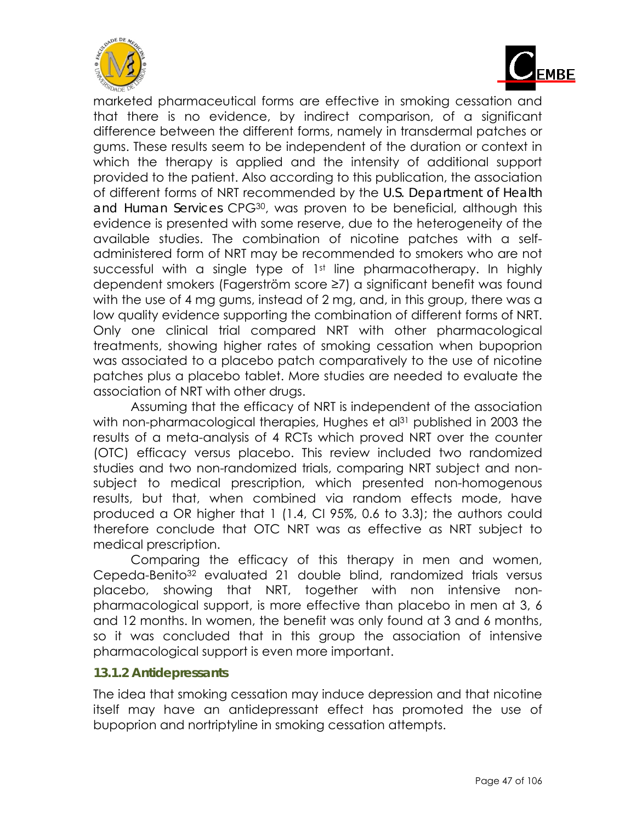



marketed pharmaceutical forms are effective in smoking cessation and that there is no evidence, by indirect comparison, of a significant difference between the different forms, namely in transdermal patches or gums. These results seem to be independent of the duration or context in which the therapy is applied and the intensity of additional support provided to the patient. Also according to this publication, the association of different forms of NRT recommended by the *U.S. Department of Health and Human Services* CPG30, was proven to be beneficial, although this evidence is presented with some reserve, due to the heterogeneity of the available studies. The combination of nicotine patches with a selfadministered form of NRT may be recommended to smokers who are not successful with a single type of 1<sup>st</sup> line pharmacotherapy. In highly dependent smokers (Fagerström score ≥7) a significant benefit was found with the use of 4 mg gums, instead of 2 mg, and, in this group, there was a low quality evidence supporting the combination of different forms of NRT. Only one clinical trial compared NRT with other pharmacological treatments, showing higher rates of smoking cessation when bupoprion was associated to a placebo patch comparatively to the use of nicotine patches plus a placebo tablet. More studies are needed to evaluate the association of NRT with other drugs.

Assuming that the efficacy of NRT is independent of the association with non-pharmacological therapies, Hughes et al<sup>31</sup> published in 2003 the results of a meta-analysis of 4 RCTs which proved NRT over the counter (OTC) efficacy versus placebo. This review included two randomized studies and two non-randomized trials, comparing NRT subject and nonsubject to medical prescription, which presented non-homogenous results, but that, when combined via random effects mode, have produced a OR higher that 1 (1.4, CI 95%, 0.6 to 3.3); the authors could therefore conclude that OTC NRT was as effective as NRT subject to medical prescription.

Comparing the efficacy of this therapy in men and women, Cepeda-Benito<sup>32</sup> evaluated 21 double blind, randomized trials versus placebo, showing that NRT, together with non intensive nonpharmacological support, is more effective than placebo in men at 3, 6 and 12 months. In women, the benefit was only found at 3 and 6 months, so it was concluded that in this group the association of intensive pharmacological support is even more important.

#### **13.1.2 Antidepressants**

The idea that smoking cessation may induce depression and that nicotine itself may have an antidepressant effect has promoted the use of bupoprion and nortriptyline in smoking cessation attempts.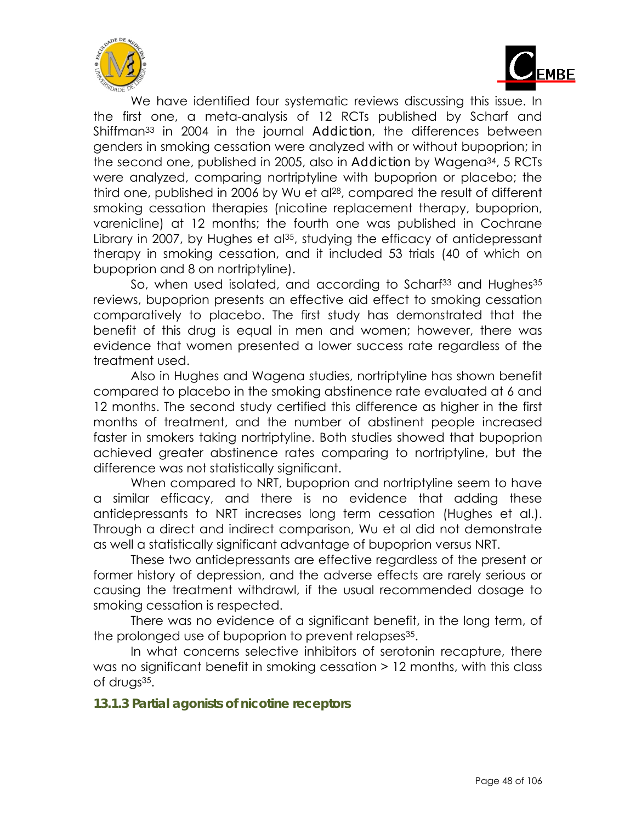



We have identified four systematic reviews discussing this issue. In the first one, a meta-analysis of 12 RCTs published by Scharf and Shiffman33 in 2004 in the journal *Addiction*, the differences between genders in smoking cessation were analyzed with or without bupoprion; in the second one, published in 2005, also in *Addiction* by Wagena34, 5 RCTs were analyzed, comparing nortriptyline with bupoprion or placebo; the third one, published in 2006 by Wu et al<sup>28</sup>, compared the result of different smoking cessation therapies (nicotine replacement therapy, bupoprion, varenicline) at 12 months; the fourth one was published in Cochrane Library in 2007, by Hughes et al<sup>35</sup>, studying the efficacy of antidepressant therapy in smoking cessation, and it included 53 trials (40 of which on bupoprion and 8 on nortriptyline).

So, when used isolated, and according to Scharf<sup>33</sup> and Hughes<sup>35</sup> reviews, bupoprion presents an effective aid effect to smoking cessation comparatively to placebo. The first study has demonstrated that the benefit of this drug is equal in men and women; however, there was evidence that women presented a lower success rate regardless of the treatment used.

Also in Hughes and Wagena studies, nortriptyline has shown benefit compared to placebo in the smoking abstinence rate evaluated at 6 and 12 months. The second study certified this difference as higher in the first months of treatment, and the number of abstinent people increased faster in smokers taking nortriptyline. Both studies showed that bupoprion achieved greater abstinence rates comparing to nortriptyline, but the difference was not statistically significant.

When compared to NRT, bupoprion and nortriptyline seem to have a similar efficacy, and there is no evidence that adding these antidepressants to NRT increases long term cessation (Hughes et al.). Through a direct and indirect comparison, Wu et al did not demonstrate as well a statistically significant advantage of bupoprion versus NRT.

These two antidepressants are effective regardless of the present or former history of depression, and the adverse effects are rarely serious or causing the treatment withdrawl, if the usual recommended dosage to smoking cessation is respected.

There was no evidence of a significant benefit, in the long term, of the prolonged use of bupoprion to prevent relapses<sup>35</sup>.

In what concerns selective inhibitors of serotonin recapture, there was no significant benefit in smoking cessation > 12 months, with this class of drugs35.

**13.1.3 Partial agonists of nicotine receptors**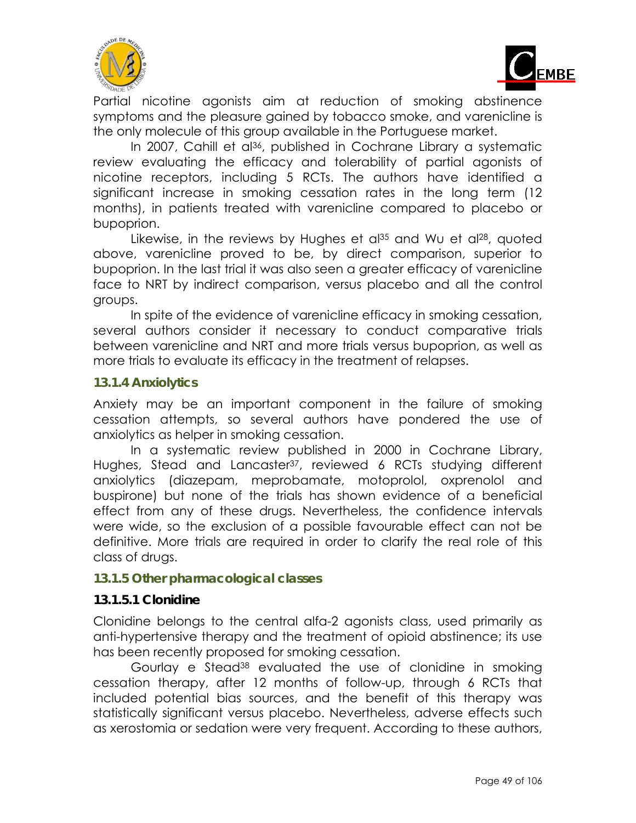



Partial nicotine agonists aim at reduction of smoking abstinence symptoms and the pleasure gained by tobacco smoke, and varenicline is the only molecule of this group available in the Portuguese market.

In 2007, Cahill et al<sup>36</sup>, published in Cochrane Library a systematic review evaluating the efficacy and tolerability of partial agonists of nicotine receptors, including 5 RCTs. The authors have identified a significant increase in smoking cessation rates in the long term (12 months), in patients treated with varenicline compared to placebo or bupoprion.

Likewise, in the reviews by Hughes et al<sup>35</sup> and Wu et al<sup>28</sup>, quoted above, varenicline proved to be, by direct comparison, superior to bupoprion. In the last trial it was also seen a greater efficacy of varenicline face to NRT by indirect comparison, versus placebo and all the control groups.

In spite of the evidence of varenicline efficacy in smoking cessation, several authors consider it necessary to conduct comparative trials between varenicline and NRT and more trials versus bupoprion, as well as more trials to evaluate its efficacy in the treatment of relapses.

#### **13.1.4 Anxiolytics**

Anxiety may be an important component in the failure of smoking cessation attempts, so several authors have pondered the use of anxiolytics as helper in smoking cessation.

In a systematic review published in 2000 in Cochrane Library, Hughes, Stead and Lancaster<sup>37</sup>, reviewed 6 RCTs studying different anxiolytics (diazepam, meprobamate, motoprolol, oxprenolol and buspirone) but none of the trials has shown evidence of a beneficial effect from any of these drugs. Nevertheless, the confidence intervals were wide, so the exclusion of a possible favourable effect can not be definitive. More trials are required in order to clarify the real role of this class of drugs.

#### **13.1.5 Other pharmacological classes**

#### **13.1.5.1 Clonidine**

Clonidine belongs to the central alfa-2 agonists class, used primarily as anti-hypertensive therapy and the treatment of opioid abstinence; its use has been recently proposed for smoking cessation.

Gourlay e Stead38 evaluated the use of clonidine in smoking cessation therapy, after 12 months of follow-up, through 6 RCTs that included potential bias sources, and the benefit of this therapy was statistically significant versus placebo. Nevertheless, adverse effects such as xerostomia or sedation were very frequent. According to these authors,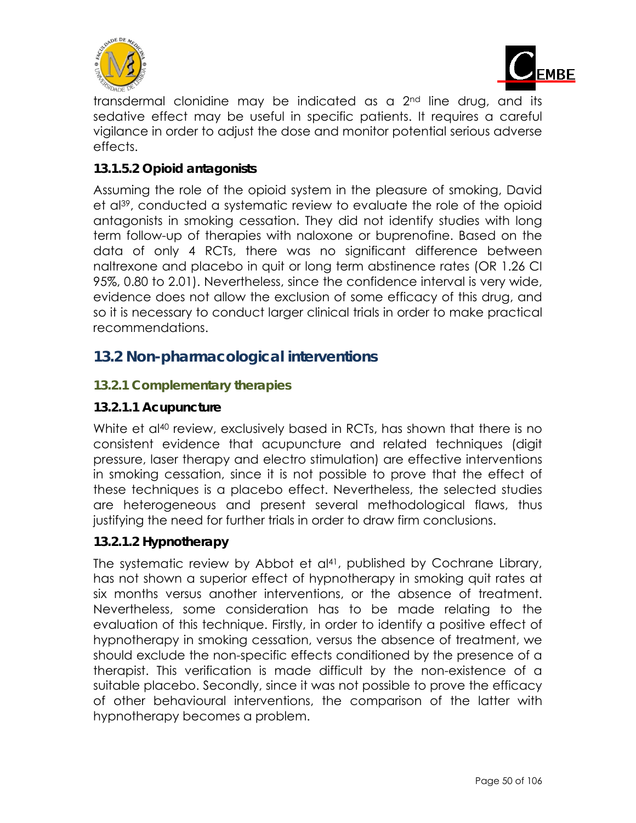



transdermal clonidine may be indicated as a 2nd line drug, and its sedative effect may be useful in specific patients. It requires a careful vigilance in order to adjust the dose and monitor potential serious adverse effects.

#### **13.1.5.2 Opioid antagonists**

Assuming the role of the opioid system in the pleasure of smoking, David et al39, conducted a systematic review to evaluate the role of the opioid antagonists in smoking cessation. They did not identify studies with long term follow-up of therapies with naloxone or buprenofine. Based on the data of only 4 RCTs, there was no significant difference between naltrexone and placebo in quit or long term abstinence rates (OR 1.26 CI 95%, 0.80 to 2.01). Nevertheless, since the confidence interval is very wide, evidence does not allow the exclusion of some efficacy of this drug, and so it is necessary to conduct larger clinical trials in order to make practical recommendations.

### **13.2 Non-pharmacological interventions**

#### **13.2.1 Complementary therapies**

#### **13.2.1.1 Acupuncture**

White et al<sup>40</sup> review, exclusively based in RCTs, has shown that there is no consistent evidence that acupuncture and related techniques (digit pressure, laser therapy and electro stimulation) are effective interventions in smoking cessation, since it is not possible to prove that the effect of these techniques is a placebo effect. Nevertheless, the selected studies are heterogeneous and present several methodological flaws, thus justifying the need for further trials in order to draw firm conclusions.

#### **13.2.1.2 Hypnotherapy**

The systematic review by Abbot et al<sup>41</sup>, published by Cochrane Library, has not shown a superior effect of hypnotherapy in smoking quit rates at six months versus another interventions, or the absence of treatment. Nevertheless, some consideration has to be made relating to the evaluation of this technique. Firstly, in order to identify a positive effect of hypnotherapy in smoking cessation, versus the absence of treatment, we should exclude the non-specific effects conditioned by the presence of a therapist. This verification is made difficult by the non-existence of a suitable placebo. Secondly, since it was not possible to prove the efficacy of other behavioural interventions, the comparison of the latter with hypnotherapy becomes a problem.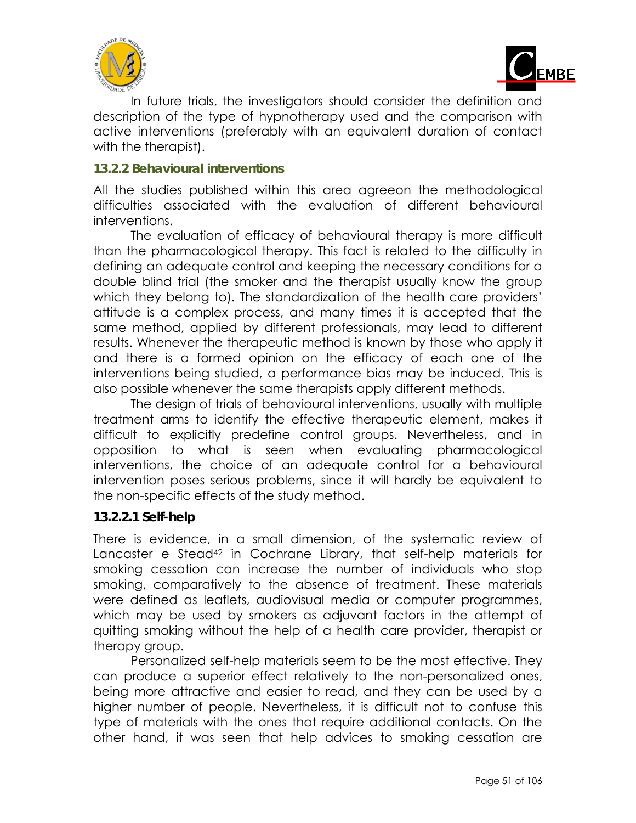



 In future trials, the investigators should consider the definition and description of the type of hypnotherapy used and the comparison with active interventions (preferably with an equivalent duration of contact with the therapist).

#### **13.2.2 Behavioural interventions**

All the studies published within this area agreeon the methodological difficulties associated with the evaluation of different behavioural interventions.

The evaluation of efficacy of behavioural therapy is more difficult than the pharmacological therapy. This fact is related to the difficulty in defining an adequate control and keeping the necessary conditions for a double blind trial (the smoker and the therapist usually know the group which they belong to). The standardization of the health care providers' attitude is a complex process, and many times it is accepted that the same method, applied by different professionals, may lead to different results. Whenever the therapeutic method is known by those who apply it and there is a formed opinion on the efficacy of each one of the interventions being studied, a performance bias may be induced. This is also possible whenever the same therapists apply different methods.

The design of trials of behavioural interventions, usually with multiple treatment arms to identify the effective therapeutic element, makes it difficult to explicitly predefine control groups. Nevertheless, and in opposition to what is seen when evaluating pharmacological interventions, the choice of an adequate control for a behavioural intervention poses serious problems, since it will hardly be equivalent to the non-specific effects of the study method.

#### **13.2.2.1 Self-help**

There is evidence, in a small dimension, of the systematic review of Lancaster e Stead<sup>42</sup> in Cochrane Library, that self-help materials for smoking cessation can increase the number of individuals who stop smoking, comparatively to the absence of treatment. These materials were defined as leaflets, audiovisual media or computer programmes, which may be used by smokers as adjuvant factors in the attempt of quitting smoking without the help of a health care provider, therapist or therapy group.

Personalized self-help materials seem to be the most effective. They can produce a superior effect relatively to the non-personalized ones, being more attractive and easier to read, and they can be used by a higher number of people. Nevertheless, it is difficult not to confuse this type of materials with the ones that require additional contacts. On the other hand, it was seen that help advices to smoking cessation are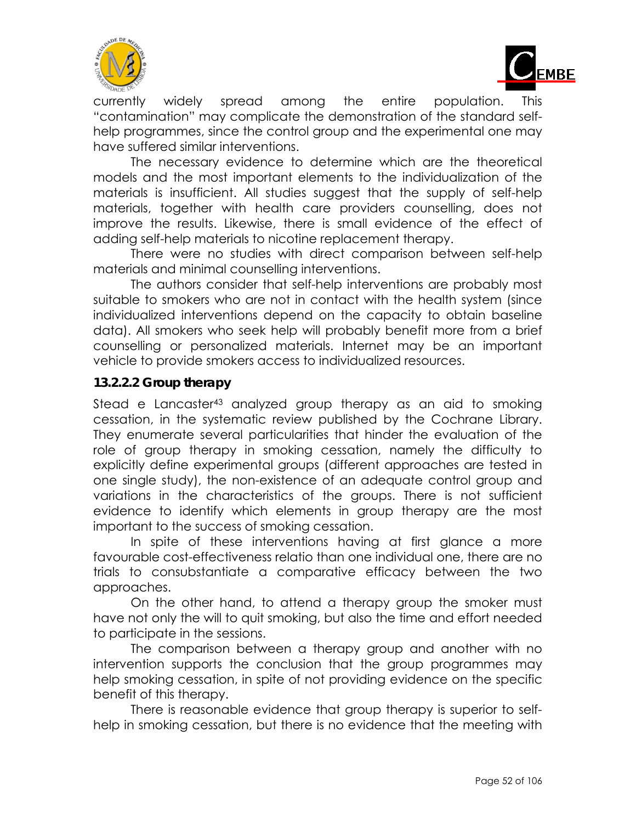



currently widely spread among the entire population. This "contamination" may complicate the demonstration of the standard selfhelp programmes, since the control group and the experimental one may have suffered similar interventions.

The necessary evidence to determine which are the theoretical models and the most important elements to the individualization of the materials is insufficient. All studies suggest that the supply of self-help materials, together with health care providers counselling, does not improve the results. Likewise, there is small evidence of the effect of adding self-help materials to nicotine replacement therapy.

There were no studies with direct comparison between self-help materials and minimal counselling interventions.

The authors consider that self-help interventions are probably most suitable to smokers who are not in contact with the health system (since individualized interventions depend on the capacity to obtain baseline data). All smokers who seek help will probably benefit more from a brief counselling or personalized materials. Internet may be an important vehicle to provide smokers access to individualized resources.

#### **13.2.2.2 Group therapy**

Stead e Lancaster<sup>43</sup> analyzed group therapy as an aid to smoking cessation, in the systematic review published by the Cochrane Library. They enumerate several particularities that hinder the evaluation of the role of group therapy in smoking cessation, namely the difficulty to explicitly define experimental groups (different approaches are tested in one single study), the non-existence of an adequate control group and variations in the characteristics of the groups. There is not sufficient evidence to identify which elements in group therapy are the most important to the success of smoking cessation.

In spite of these interventions having at first glance a more favourable cost-effectiveness relatio than one individual one, there are no trials to consubstantiate a comparative efficacy between the two approaches.

On the other hand, to attend a therapy group the smoker must have not only the will to quit smoking, but also the time and effort needed to participate in the sessions.

The comparison between a therapy group and another with no intervention supports the conclusion that the group programmes may help smoking cessation, in spite of not providing evidence on the specific benefit of this therapy.

There is reasonable evidence that group therapy is superior to selfhelp in smoking cessation, but there is no evidence that the meeting with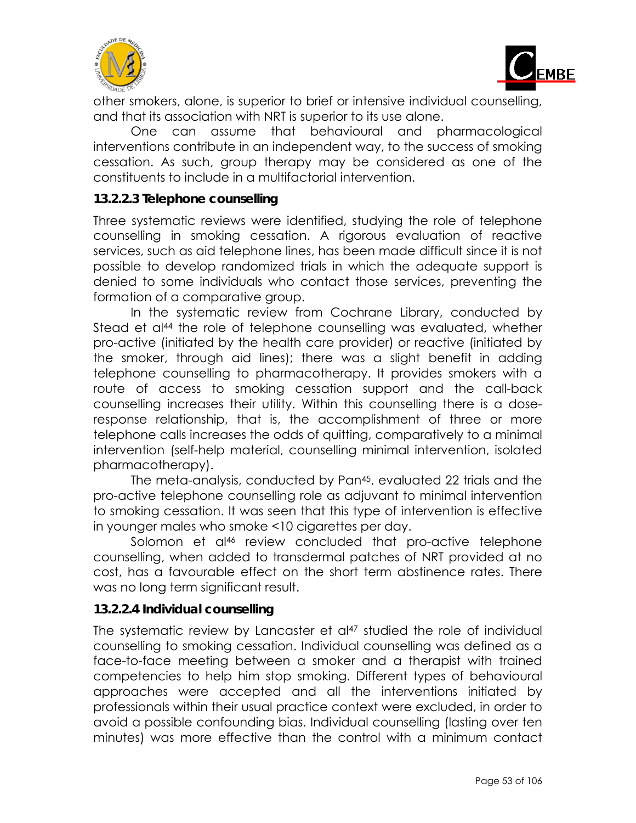



other smokers, alone, is superior to brief or intensive individual counselling, and that its association with NRT is superior to its use alone.

One can assume that behavioural and pharmacological interventions contribute in an independent way, to the success of smoking cessation. As such, group therapy may be considered as one of the constituents to include in a multifactorial intervention.

#### **13.2.2.3 Telephone counselling**

Three systematic reviews were identified, studying the role of telephone counselling in smoking cessation. A rigorous evaluation of reactive services, such as aid telephone lines, has been made difficult since it is not possible to develop randomized trials in which the adequate support is denied to some individuals who contact those services, preventing the formation of a comparative group.

In the systematic review from Cochrane Library, conducted by Stead et al<sup>44</sup> the role of telephone counselling was evaluated, whether pro-active (initiated by the health care provider) or reactive (initiated by the smoker, through aid lines); there was a slight benefit in adding telephone counselling to pharmacotherapy. It provides smokers with a route of access to smoking cessation support and the call-back counselling increases their utility. Within this counselling there is a doseresponse relationship, that is, the accomplishment of three or more telephone calls increases the odds of quitting, comparatively to a minimal intervention (self-help material, counselling minimal intervention, isolated pharmacotherapy).

The meta-analysis, conducted by Pan45, evaluated 22 trials and the pro-active telephone counselling role as adjuvant to minimal intervention to smoking cessation. It was seen that this type of intervention is effective in younger males who smoke <10 cigarettes per day.

Solomon et al<sup>46</sup> review concluded that pro-active telephone counselling, when added to transdermal patches of NRT provided at no cost, has a favourable effect on the short term abstinence rates. There was no long term significant result.

#### **13.2.2.4 Individual counselling**

The systematic review by Lancaster et al<sup>47</sup> studied the role of individual counselling to smoking cessation. Individual counselling was defined as a face-to-face meeting between a smoker and a therapist with trained competencies to help him stop smoking. Different types of behavioural approaches were accepted and all the interventions initiated by professionals within their usual practice context were excluded, in order to avoid a possible confounding bias. Individual counselling (lasting over ten minutes) was more effective than the control with a minimum contact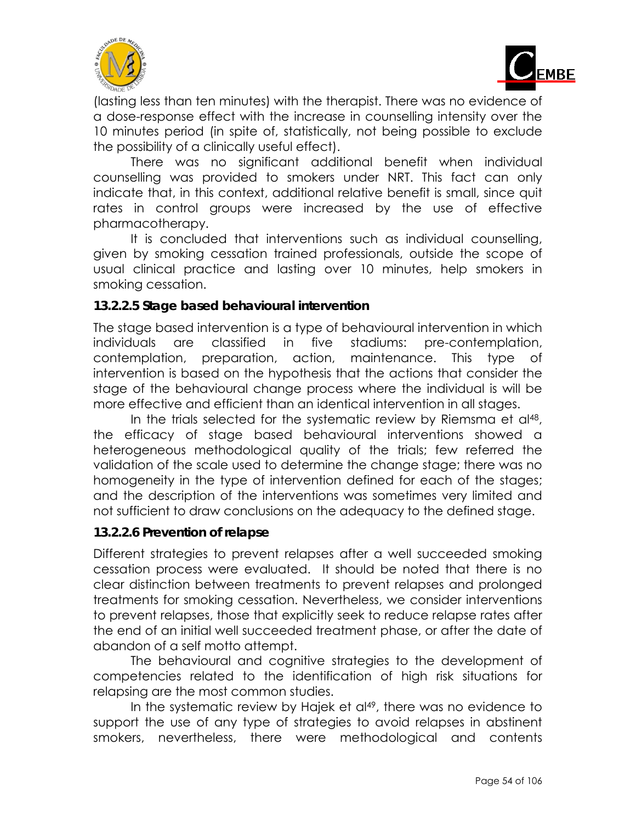



(lasting less than ten minutes) with the therapist. There was no evidence of a dose-response effect with the increase in counselling intensity over the 10 minutes period (in spite of, statistically, not being possible to exclude the possibility of a clinically useful effect).

There was no significant additional benefit when individual counselling was provided to smokers under NRT. This fact can only indicate that, in this context, additional relative benefit is small, since quit rates in control groups were increased by the use of effective pharmacotherapy.

It is concluded that interventions such as individual counselling, given by smoking cessation trained professionals, outside the scope of usual clinical practice and lasting over 10 minutes, help smokers in smoking cessation.

#### **13.2.2.5 Stage based behavioural intervention**

The stage based intervention is a type of behavioural intervention in which individuals are classified in five stadiums: pre-contemplation, contemplation, preparation, action, maintenance. This type of intervention is based on the hypothesis that the actions that consider the stage of the behavioural change process where the individual is will be more effective and efficient than an identical intervention in all stages.

In the trials selected for the systematic review by Riemsma et al<sup>48</sup>, the efficacy of stage based behavioural interventions showed a heterogeneous methodological quality of the trials; few referred the validation of the scale used to determine the change stage; there was no homogeneity in the type of intervention defined for each of the stages; and the description of the interventions was sometimes very limited and not sufficient to draw conclusions on the adequacy to the defined stage.

#### **13.2.2.6 Prevention of relapse**

Different strategies to prevent relapses after a well succeeded smoking cessation process were evaluated. It should be noted that there is no clear distinction between treatments to prevent relapses and prolonged treatments for smoking cessation. Nevertheless, we consider interventions to prevent relapses, those that explicitly seek to reduce relapse rates after the end of an initial well succeeded treatment phase, or after the date of abandon of a self motto attempt.

The behavioural and cognitive strategies to the development of competencies related to the identification of high risk situations for relapsing are the most common studies.

In the systematic review by Hajek et al<sup>49</sup>, there was no evidence to support the use of any type of strategies to avoid relapses in abstinent smokers, nevertheless, there were methodological and contents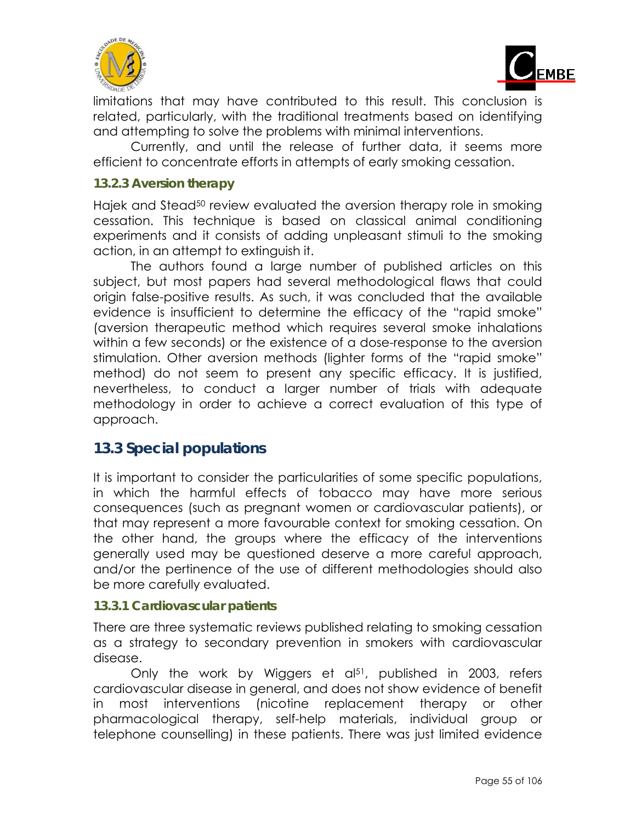



limitations that may have contributed to this result. This conclusion is related, particularly, with the traditional treatments based on identifying and attempting to solve the problems with minimal interventions.

Currently, and until the release of further data, it seems more efficient to concentrate efforts in attempts of early smoking cessation.

#### **13.2.3 Aversion therapy**

Hajek and Stead<sup>50</sup> review evaluated the aversion therapy role in smoking cessation. This technique is based on classical animal conditioning experiments and it consists of adding unpleasant stimuli to the smoking action, in an attempt to extinguish it.

The authors found a large number of published articles on this subject, but most papers had several methodological flaws that could origin false-positive results. As such, it was concluded that the available evidence is insufficient to determine the efficacy of the "rapid smoke" (aversion therapeutic method which requires several smoke inhalations within a few seconds) or the existence of a dose-response to the aversion stimulation. Other aversion methods (lighter forms of the "rapid smoke" method) do not seem to present any specific efficacy. It is justified, nevertheless, to conduct a larger number of trials with adequate methodology in order to achieve a correct evaluation of this type of approach.

### **13.3 Special populations**

It is important to consider the particularities of some specific populations, in which the harmful effects of tobacco may have more serious consequences (such as pregnant women or cardiovascular patients), or that may represent a more favourable context for smoking cessation. On the other hand, the groups where the efficacy of the interventions generally used may be questioned deserve a more careful approach, and/or the pertinence of the use of different methodologies should also be more carefully evaluated.

#### **13.3.1 Cardiovascular patients**

There are three systematic reviews published relating to smoking cessation as a strategy to secondary prevention in smokers with cardiovascular disease.

Only the work by Wiggers et al<sup>51</sup>, published in 2003, refers cardiovascular disease in general, and does not show evidence of benefit in most interventions (nicotine replacement therapy or other pharmacological therapy, self-help materials, individual group or telephone counselling) in these patients. There was just limited evidence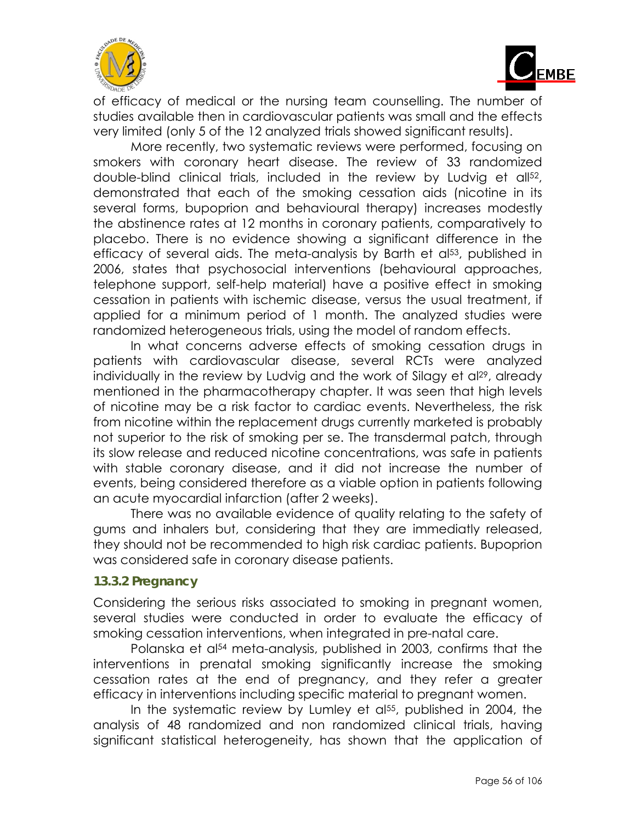



of efficacy of medical or the nursing team counselling. The number of studies available then in cardiovascular patients was small and the effects very limited (only 5 of the 12 analyzed trials showed significant results).

More recently, two systematic reviews were performed, focusing on smokers with coronary heart disease. The review of 33 randomized double-blind clinical trials, included in the review by Ludvig et all52, demonstrated that each of the smoking cessation aids (nicotine in its several forms, bupoprion and behavioural therapy) increases modestly the abstinence rates at 12 months in coronary patients, comparatively to placebo. There is no evidence showing a significant difference in the efficacy of several aids. The meta-analysis by Barth et al<sup>53</sup>, published in 2006, states that psychosocial interventions (behavioural approaches, telephone support, self-help material) have a positive effect in smoking cessation in patients with ischemic disease, versus the usual treatment, if applied for a minimum period of 1 month. The analyzed studies were randomized heterogeneous trials, using the model of random effects.

In what concerns adverse effects of smoking cessation drugs in patients with cardiovascular disease, several RCTs were analyzed individually in the review by Ludvig and the work of Silagy et al<sup>29</sup>, already mentioned in the pharmacotherapy chapter. It was seen that high levels of nicotine may be a risk factor to cardiac events. Nevertheless, the risk from nicotine within the replacement drugs currently marketed is probably not superior to the risk of smoking per se. The transdermal patch, through its slow release and reduced nicotine concentrations, was safe in patients with stable coronary disease, and it did not increase the number of events, being considered therefore as a viable option in patients following an acute myocardial infarction (after 2 weeks).

There was no available evidence of quality relating to the safety of gums and inhalers but, considering that they are immediatly released, they should not be recommended to high risk cardiac patients. Bupoprion was considered safe in coronary disease patients.

#### **13.3.2 Pregnancy**

Considering the serious risks associated to smoking in pregnant women, several studies were conducted in order to evaluate the efficacy of smoking cessation interventions, when integrated in pre-natal care.

Polanska et al<sup>54</sup> meta-analysis, published in 2003, confirms that the interventions in prenatal smoking significantly increase the smoking cessation rates at the end of pregnancy, and they refer a greater efficacy in interventions including specific material to pregnant women.

In the systematic review by Lumley et al<sup>55</sup>, published in 2004, the analysis of 48 randomized and non randomized clinical trials, having significant statistical heterogeneity, has shown that the application of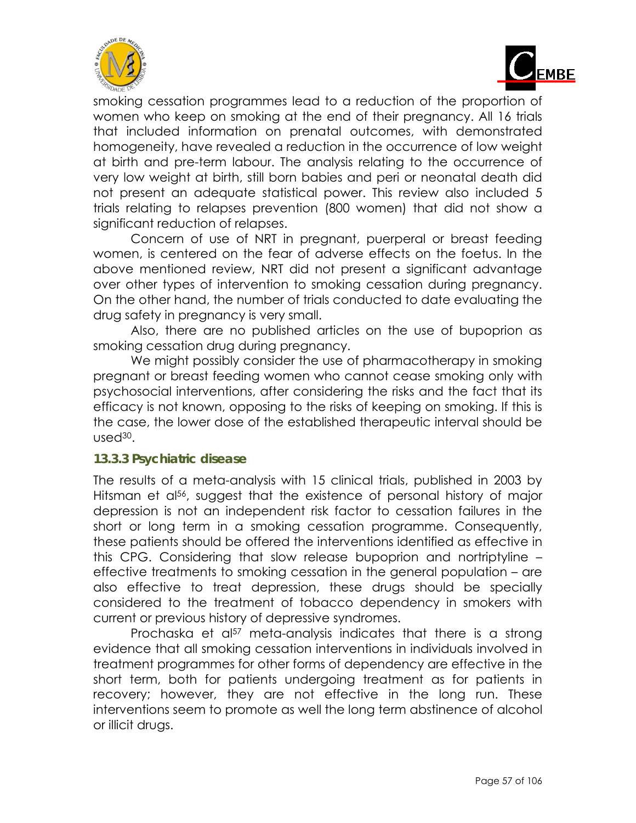



smoking cessation programmes lead to a reduction of the proportion of women who keep on smoking at the end of their pregnancy. All 16 trials that included information on prenatal outcomes, with demonstrated homogeneity, have revealed a reduction in the occurrence of low weight at birth and pre-term labour. The analysis relating to the occurrence of very low weight at birth, still born babies and peri or neonatal death did not present an adequate statistical power. This review also included 5 trials relating to relapses prevention (800 women) that did not show a significant reduction of relapses.

Concern of use of NRT in pregnant, puerperal or breast feeding women, is centered on the fear of adverse effects on the foetus. In the above mentioned review, NRT did not present a significant advantage over other types of intervention to smoking cessation during pregnancy. On the other hand, the number of trials conducted to date evaluating the drug safety in pregnancy is very small.

Also, there are no published articles on the use of bupoprion as smoking cessation drug during pregnancy.

We might possibly consider the use of pharmacotherapy in smoking pregnant or breast feeding women who cannot cease smoking only with psychosocial interventions, after considering the risks and the fact that its efficacy is not known, opposing to the risks of keeping on smoking. If this is the case, the lower dose of the established therapeutic interval should be  $u$ sed $30<sub>1</sub>$ 

#### **13.3.3 Psychiatric disease**

The results of a meta-analysis with 15 clinical trials, published in 2003 by Hitsman et al<sup>56</sup>, suggest that the existence of personal history of major depression is not an independent risk factor to cessation failures in the short or long term in a smoking cessation programme. Consequently, these patients should be offered the interventions identified as effective in this CPG. Considering that slow release bupoprion and nortriptyline – effective treatments to smoking cessation in the general population – are also effective to treat depression, these drugs should be specially considered to the treatment of tobacco dependency in smokers with current or previous history of depressive syndromes.

Prochaska et al<sup>57</sup> meta-analysis indicates that there is a strong evidence that all smoking cessation interventions in individuals involved in treatment programmes for other forms of dependency are effective in the short term, both for patients undergoing treatment as for patients in recovery; however, they are not effective in the long run. These interventions seem to promote as well the long term abstinence of alcohol or illicit drugs.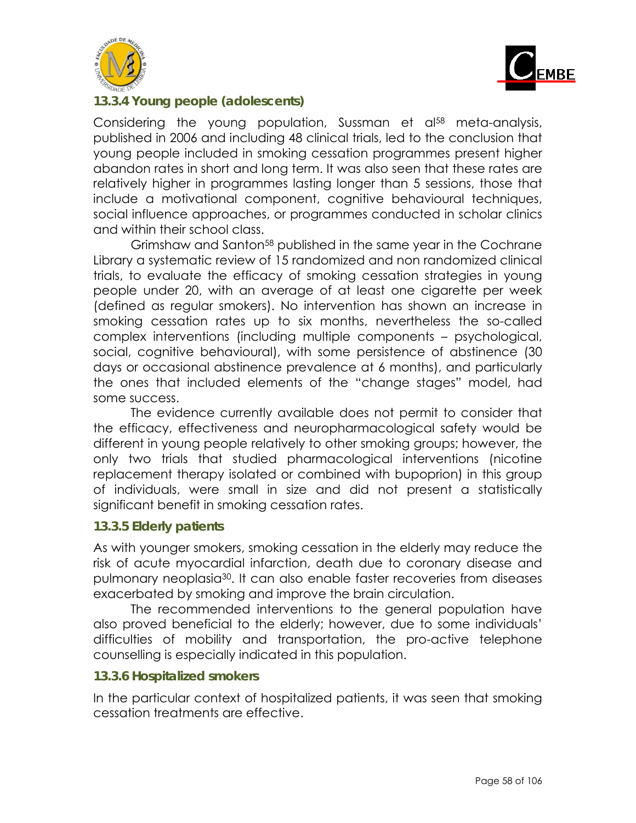



#### **13.3.4 Young people (adolescents)**

Considering the young population, Sussman et al<sup>58</sup> meta-analysis, published in 2006 and including 48 clinical trials, led to the conclusion that young people included in smoking cessation programmes present higher abandon rates in short and long term. It was also seen that these rates are relatively higher in programmes lasting longer than 5 sessions, those that include a motivational component, cognitive behavioural techniques, social influence approaches, or programmes conducted in scholar clinics and within their school class.

Grimshaw and Santon58 published in the same year in the Cochrane Library a systematic review of 15 randomized and non randomized clinical trials, to evaluate the efficacy of smoking cessation strategies in young people under 20, with an average of at least one cigarette per week (defined as regular smokers). No intervention has shown an increase in smoking cessation rates up to six months, nevertheless the so-called complex interventions (including multiple components – psychological, social, cognitive behavioural), with some persistence of abstinence (30 days or occasional abstinence prevalence at 6 months), and particularly the ones that included elements of the "change stages" model, had some success.

The evidence currently available does not permit to consider that the efficacy, effectiveness and neuropharmacological safety would be different in young people relatively to other smoking groups; however, the only two trials that studied pharmacological interventions (nicotine replacement therapy isolated or combined with bupoprion) in this group of individuals, were small in size and did not present a statistically significant benefit in smoking cessation rates.

#### **13.3.5 Elderly patients**

As with younger smokers, smoking cessation in the elderly may reduce the risk of acute myocardial infarction, death due to coronary disease and pulmonary neoplasia30. It can also enable faster recoveries from diseases exacerbated by smoking and improve the brain circulation.

The recommended interventions to the general population have also proved beneficial to the elderly; however, due to some individuals' difficulties of mobility and transportation, the pro-active telephone counselling is especially indicated in this population.

#### **13.3.6 Hospitalized smokers**

In the particular context of hospitalized patients, it was seen that smoking cessation treatments are effective.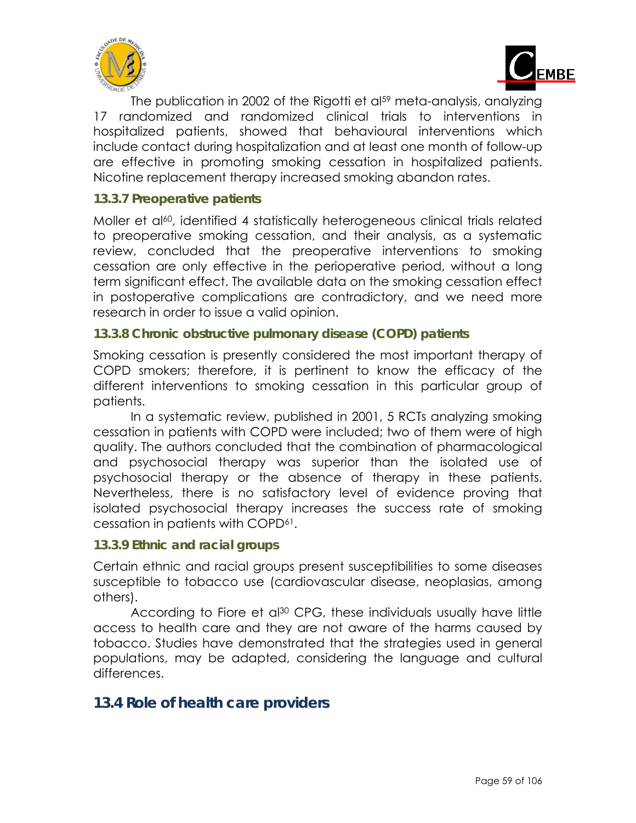



The publication in 2002 of the Rigotti et al<sup>59</sup> meta-analysis, analyzing 17 randomized and randomized clinical trials to interventions in hospitalized patients, showed that behavioural interventions which include contact during hospitalization and at least one month of follow-up are effective in promoting smoking cessation in hospitalized patients. Nicotine replacement therapy increased smoking abandon rates.

#### **13.3.7 Preoperative patients**

Moller et al<sup>60</sup>, identified 4 statistically heterogeneous clinical trials related to preoperative smoking cessation, and their analysis, as a systematic review, concluded that the preoperative interventions to smoking cessation are only effective in the perioperative period, without a long term significant effect. The available data on the smoking cessation effect in postoperative complications are contradictory, and we need more research in order to issue a valid opinion.

#### **13.3.8 Chronic obstructive pulmonary disease (COPD) patients**

Smoking cessation is presently considered the most important therapy of COPD smokers; therefore, it is pertinent to know the efficacy of the different interventions to smoking cessation in this particular group of patients.

In a systematic review, published in 2001, 5 RCTs analyzing smoking cessation in patients with COPD were included; two of them were of high quality. The authors concluded that the combination of pharmacological and psychosocial therapy was superior than the isolated use of psychosocial therapy or the absence of therapy in these patients. Nevertheless, there is no satisfactory level of evidence proving that isolated psychosocial therapy increases the success rate of smoking cessation in patients with COPD61.

#### **13.3.9 Ethnic and racial groups**

Certain ethnic and racial groups present susceptibilities to some diseases susceptible to tobacco use (cardiovascular disease, neoplasias, among others).

According to Fiore et al<sup>30</sup> CPG, these individuals usually have little access to health care and they are not aware of the harms caused by tobacco. Studies have demonstrated that the strategies used in general populations, may be adapted, considering the language and cultural differences.

#### **13.4 Role of health care providers**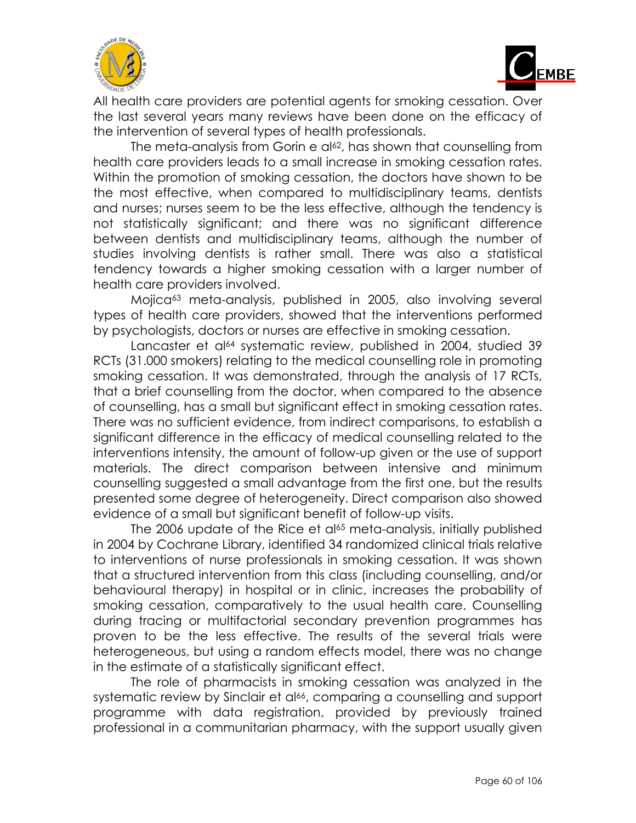



All health care providers are potential agents for smoking cessation. Over the last several years many reviews have been done on the efficacy of the intervention of several types of health professionals.

The meta-analysis from Gorin e al<sup>62</sup>, has shown that counselling from health care providers leads to a small increase in smoking cessation rates. Within the promotion of smoking cessation, the doctors have shown to be the most effective, when compared to multidisciplinary teams, dentists and nurses; nurses seem to be the less effective, although the tendency is not statistically significant; and there was no significant difference between dentists and multidisciplinary teams, although the number of studies involving dentists is rather small. There was also a statistical tendency towards a higher smoking cessation with a larger number of health care providers involved.

Mojica63 meta-analysis, published in 2005, also involving several types of health care providers, showed that the interventions performed by psychologists, doctors or nurses are effective in smoking cessation.

Lancaster et al<sup>64</sup> systematic review, published in 2004, studied 39 RCTs (31.000 smokers) relating to the medical counselling role in promoting smoking cessation. It was demonstrated, through the analysis of 17 RCTs, that a brief counselling from the doctor, when compared to the absence of counselling, has a small but significant effect in smoking cessation rates. There was no sufficient evidence, from indirect comparisons, to establish a significant difference in the efficacy of medical counselling related to the interventions intensity, the amount of follow-up given or the use of support materials. The direct comparison between intensive and minimum counselling suggested a small advantage from the first one, but the results presented some degree of heterogeneity. Direct comparison also showed evidence of a small but significant benefit of follow-up visits.

The 2006 update of the Rice et al<sup>65</sup> meta-analysis, initially published in 2004 by Cochrane Library, identified 34 randomized clinical trials relative to interventions of nurse professionals in smoking cessation. It was shown that a structured intervention from this class (including counselling, and/or behavioural therapy) in hospital or in clinic, increases the probability of smoking cessation, comparatively to the usual health care. Counselling during tracing or multifactorial secondary prevention programmes has proven to be the less effective. The results of the several trials were heterogeneous, but using a random effects model, there was no change in the estimate of a statistically significant effect.

The role of pharmacists in smoking cessation was analyzed in the systematic review by Sinclair et al<sup>66</sup>, comparing a counselling and support programme with data registration, provided by previously trained professional in a communitarian pharmacy, with the support usually given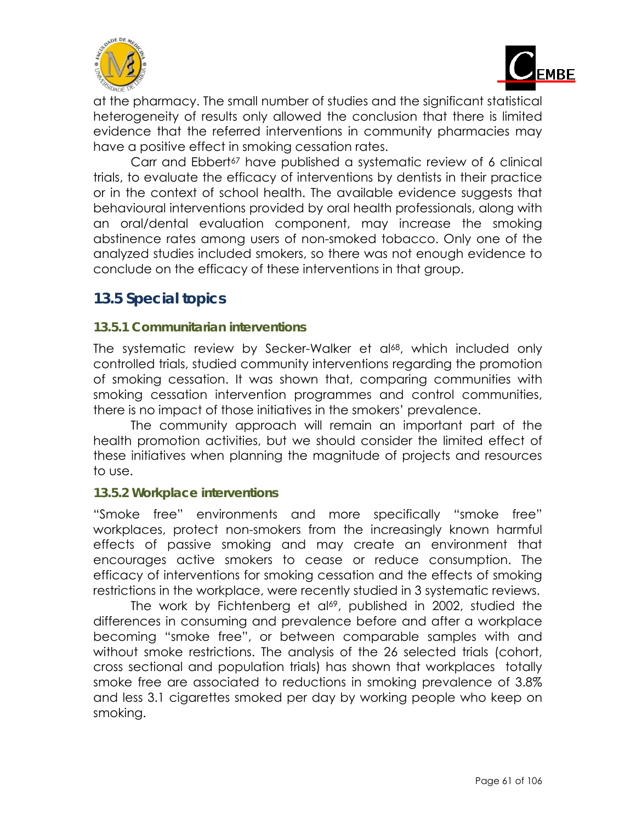



at the pharmacy. The small number of studies and the significant statistical heterogeneity of results only allowed the conclusion that there is limited evidence that the referred interventions in community pharmacies may have a positive effect in smoking cessation rates.

Carr and Ebbert<sup>67</sup> have published a systematic review of 6 clinical trials, to evaluate the efficacy of interventions by dentists in their practice or in the context of school health. The available evidence suggests that behavioural interventions provided by oral health professionals, along with an oral/dental evaluation component, may increase the smoking abstinence rates among users of non-smoked tobacco. Only one of the analyzed studies included smokers, so there was not enough evidence to conclude on the efficacy of these interventions in that group.

### **13.5 Special topics**

#### **13.5.1 Communitarian interventions**

The systematic review by Secker-Walker et al<sup>68</sup>, which included only controlled trials, studied community interventions regarding the promotion of smoking cessation. It was shown that, comparing communities with smoking cessation intervention programmes and control communities, there is no impact of those initiatives in the smokers' prevalence.

The community approach will remain an important part of the health promotion activities, but we should consider the limited effect of these initiatives when planning the magnitude of projects and resources to use.

#### **13.5.2 Workplace interventions**

"Smoke free" environments and more specifically "smoke free" workplaces, protect non-smokers from the increasingly known harmful effects of passive smoking and may create an environment that encourages active smokers to cease or reduce consumption. The efficacy of interventions for smoking cessation and the effects of smoking restrictions in the workplace, were recently studied in 3 systematic reviews.

The work by Fichtenberg et al<sup>69</sup>, published in 2002, studied the differences in consuming and prevalence before and after a workplace becoming "smoke free", or between comparable samples with and without smoke restrictions. The analysis of the 26 selected trials (cohort, cross sectional and population trials) has shown that workplaces totally smoke free are associated to reductions in smoking prevalence of 3.8% and less 3.1 cigarettes smoked per day by working people who keep on smoking.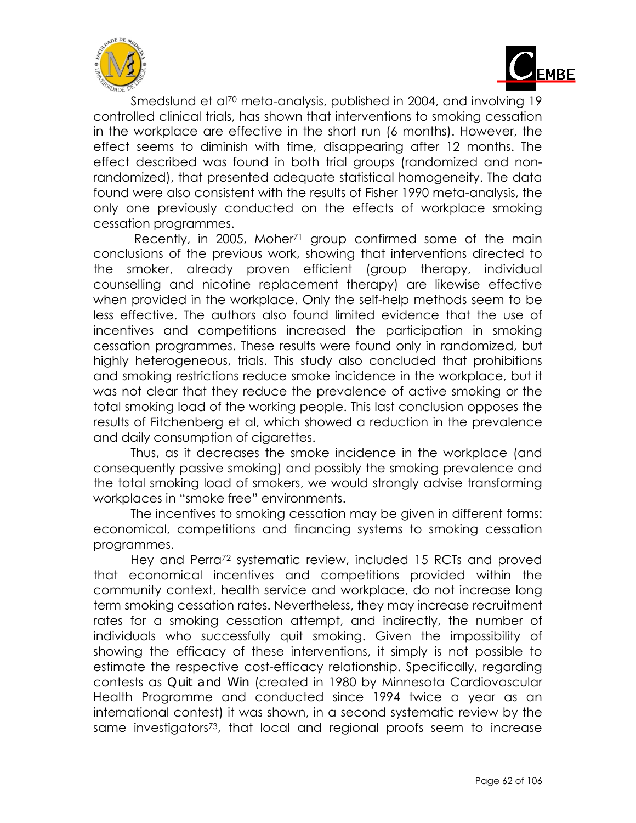



Smedslund et al<sup>70</sup> meta-analysis, published in 2004, and involving 19 controlled clinical trials, has shown that interventions to smoking cessation in the workplace are effective in the short run (6 months). However, the effect seems to diminish with time, disappearing after 12 months. The effect described was found in both trial groups (randomized and nonrandomized), that presented adequate statistical homogeneity. The data found were also consistent with the results of Fisher 1990 meta-analysis, the only one previously conducted on the effects of workplace smoking cessation programmes.

Recently, in 2005, Moher<sup>71</sup> group confirmed some of the main conclusions of the previous work, showing that interventions directed to the smoker, already proven efficient (group therapy, individual counselling and nicotine replacement therapy) are likewise effective when provided in the workplace. Only the self-help methods seem to be less effective. The authors also found limited evidence that the use of incentives and competitions increased the participation in smoking cessation programmes. These results were found only in randomized, but highly heterogeneous, trials. This study also concluded that prohibitions and smoking restrictions reduce smoke incidence in the workplace, but it was not clear that they reduce the prevalence of active smoking or the total smoking load of the working people. This last conclusion opposes the results of Fitchenberg et al, which showed a reduction in the prevalence and daily consumption of cigarettes.

Thus, as it decreases the smoke incidence in the workplace (and consequently passive smoking) and possibly the smoking prevalence and the total smoking load of smokers, we would strongly advise transforming workplaces in "smoke free" environments.

The incentives to smoking cessation may be given in different forms: economical, competitions and financing systems to smoking cessation programmes.

Hey and Perra72 systematic review, included 15 RCTs and proved that economical incentives and competitions provided within the community context, health service and workplace, do not increase long term smoking cessation rates. Nevertheless, they may increase recruitment rates for a smoking cessation attempt, and indirectly, the number of individuals who successfully quit smoking. Given the impossibility of showing the efficacy of these interventions, it simply is not possible to estimate the respective cost-efficacy relationship. Specifically, regarding contests as *Quit and Win* (created in 1980 by Minnesota Cardiovascular Health Programme and conducted since 1994 twice a year as an international contest) it was shown, in a second systematic review by the same investigators<sup>73</sup>, that local and regional proofs seem to increase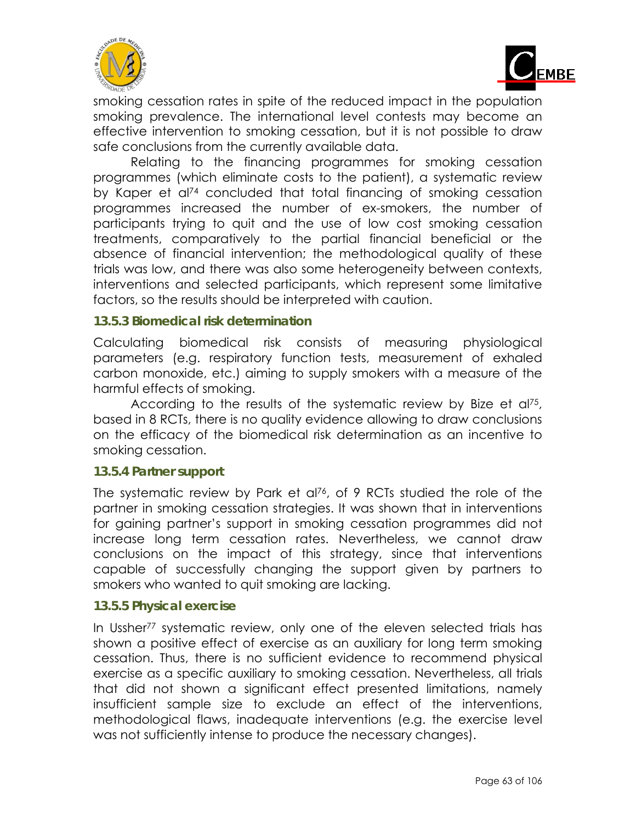



smoking cessation rates in spite of the reduced impact in the population smoking prevalence. The international level contests may become an effective intervention to smoking cessation, but it is not possible to draw safe conclusions from the currently available data.

Relating to the financing programmes for smoking cessation programmes (which eliminate costs to the patient), a systematic review by Kaper et al74 concluded that total financing of smoking cessation programmes increased the number of ex-smokers, the number of participants trying to quit and the use of low cost smoking cessation treatments, comparatively to the partial financial beneficial or the absence of financial intervention; the methodological quality of these trials was low, and there was also some heterogeneity between contexts, interventions and selected participants, which represent some limitative factors, so the results should be interpreted with caution.

#### **13.5.3 Biomedical risk determination**

Calculating biomedical risk consists of measuring physiological parameters (e.g. respiratory function tests, measurement of exhaled carbon monoxide, etc.) aiming to supply smokers with a measure of the harmful effects of smoking.

According to the results of the systematic review by Bize et al<sup>75</sup>, based in 8 RCTs, there is no quality evidence allowing to draw conclusions on the efficacy of the biomedical risk determination as an incentive to smoking cessation.

#### **13.5.4 Partner support**

The systematic review by Park et al<sup>76</sup>, of 9 RCTs studied the role of the partner in smoking cessation strategies. It was shown that in interventions for gaining partner's support in smoking cessation programmes did not increase long term cessation rates. Nevertheless, we cannot draw conclusions on the impact of this strategy, since that interventions capable of successfully changing the support given by partners to smokers who wanted to quit smoking are lacking.

#### **13.5.5 Physical exercise**

In Ussher77 systematic review, only one of the eleven selected trials has shown a positive effect of exercise as an auxiliary for long term smoking cessation. Thus, there is no sufficient evidence to recommend physical exercise as a specific auxiliary to smoking cessation. Nevertheless, all trials that did not shown a significant effect presented limitations, namely insufficient sample size to exclude an effect of the interventions, methodological flaws, inadequate interventions (e.g. the exercise level was not sufficiently intense to produce the necessary changes).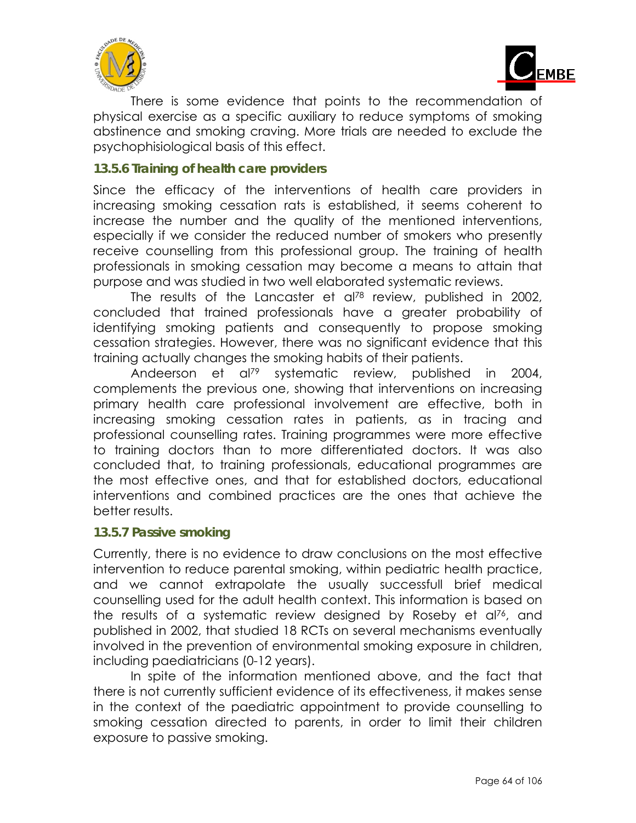



There is some evidence that points to the recommendation of physical exercise as a specific auxiliary to reduce symptoms of smoking abstinence and smoking craving. More trials are needed to exclude the psychophisiological basis of this effect.

#### **13.5.6 Training of health care providers**

Since the efficacy of the interventions of health care providers in increasing smoking cessation rats is established, it seems coherent to increase the number and the quality of the mentioned interventions, especially if we consider the reduced number of smokers who presently receive counselling from this professional group. The training of health professionals in smoking cessation may become a means to attain that purpose and was studied in two well elaborated systematic reviews.

The results of the Lancaster et al<sup>78</sup> review, published in 2002, concluded that trained professionals have a greater probability of identifying smoking patients and consequently to propose smoking cessation strategies. However, there was no significant evidence that this training actually changes the smoking habits of their patients.

Andeerson et al79 systematic review, published in 2004, complements the previous one, showing that interventions on increasing primary health care professional involvement are effective, both in increasing smoking cessation rates in patients, as in tracing and professional counselling rates. Training programmes were more effective to training doctors than to more differentiated doctors. It was also concluded that, to training professionals, educational programmes are the most effective ones, and that for established doctors, educational interventions and combined practices are the ones that achieve the better results.

#### **13.5.7 Passive smoking**

Currently, there is no evidence to draw conclusions on the most effective intervention to reduce parental smoking, within pediatric health practice, and we cannot extrapolate the usually successfull brief medical counselling used for the adult health context. This information is based on the results of a systematic review designed by Roseby et al76, and published in 2002, that studied 18 RCTs on several mechanisms eventually involved in the prevention of environmental smoking exposure in children, including paediatricians (0-12 years).

In spite of the information mentioned above, and the fact that there is not currently sufficient evidence of its effectiveness, it makes sense in the context of the paediatric appointment to provide counselling to smoking cessation directed to parents, in order to limit their children exposure to passive smoking.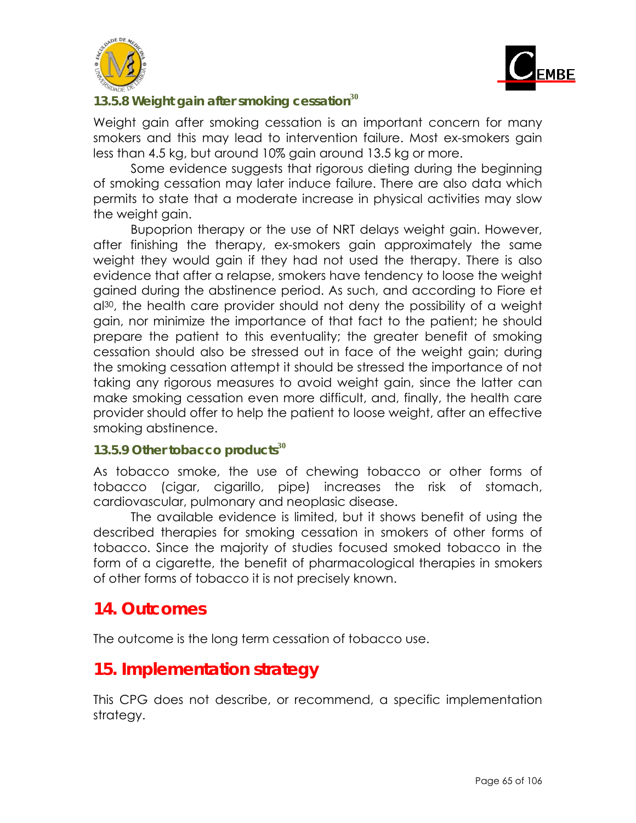



#### **13.5.8 Weight gain after smoking cessation<sup>30</sup>**

Weight gain after smoking cessation is an important concern for many smokers and this may lead to intervention failure. Most ex-smokers gain less than 4.5 kg, but around 10% gain around 13.5 kg or more.

Some evidence suggests that rigorous dieting during the beginning of smoking cessation may later induce failure. There are also data which permits to state that a moderate increase in physical activities may slow the weight gain.

Bupoprion therapy or the use of NRT delays weight gain. However, after finishing the therapy, ex-smokers gain approximately the same weight they would gain if they had not used the therapy. There is also evidence that after a relapse, smokers have tendency to loose the weight gained during the abstinence period. As such, and according to Fiore et al30, the health care provider should not deny the possibility of a weight gain, nor minimize the importance of that fact to the patient; he should prepare the patient to this eventuality; the greater benefit of smoking cessation should also be stressed out in face of the weight gain; during the smoking cessation attempt it should be stressed the importance of not taking any rigorous measures to avoid weight gain, since the latter can make smoking cessation even more difficult, and, finally, the health care provider should offer to help the patient to loose weight, after an effective smoking abstinence.

#### **13.5.9 Other tobacco products<sup>30</sup>**

As tobacco smoke, the use of chewing tobacco or other forms of tobacco (cigar, cigarillo, pipe) increases the risk of stomach, cardiovascular, pulmonary and neoplasic disease.

The available evidence is limited, but it shows benefit of using the described therapies for smoking cessation in smokers of other forms of tobacco. Since the majority of studies focused smoked tobacco in the form of a cigarette, the benefit of pharmacological therapies in smokers of other forms of tobacco it is not precisely known.

### **14. Outcomes**

The outcome is the long term cessation of tobacco use.

## **15. Implementation strategy**

This CPG does not describe, or recommend, a specific implementation strategy.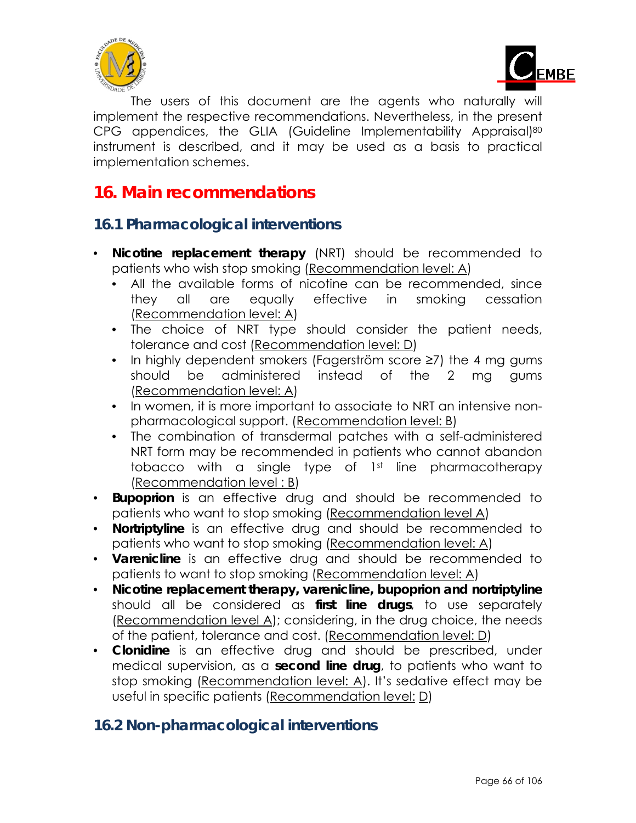



The users of this document are the agents who naturally will implement the respective recommendations. Nevertheless, in the present CPG appendices, the GLIA (Guideline Implementability Appraisal)<sup>80</sup> instrument is described, and it may be used as a basis to practical implementation schemes.

# **16. Main recommendations**

### **16.1 Pharmacological interventions**

- **Nicotine replacement therapy** (NRT) should be recommended to patients who wish stop smoking (Recommendation level: A)
	- All the available forms of nicotine can be recommended, since they all are equally effective in smoking cessation (Recommendation level: A)
	- The choice of NRT type should consider the patient needs, tolerance and cost (Recommendation level: D)
	- In highly dependent smokers (Fagerström score ≥7) the 4 mg gums should be administered instead of the 2 mg gums (Recommendation level: A)
	- In women, it is more important to associate to NRT an intensive nonpharmacological support. (Recommendation level: B)
	- The combination of transdermal patches with a self-administered NRT form may be recommended in patients who cannot abandon tobacco with a single type of 1st line pharmacotherapy (Recommendation level : B)
- **Bupoprion** is an effective drug and should be recommended to patients who want to stop smoking (Recommendation level A)
- **Nortriptyline** is an effective drug and should be recommended to patients who want to stop smoking (Recommendation level: A)
- **Varenicline** is an effective drug and should be recommended to patients to want to stop smoking (Recommendation level: A)
- **Nicotine replacement therapy, varenicline, bupoprion and nortriptyline** should all be considered as **first line drugs**, to use separately (Recommendation level A); considering, in the drug choice, the needs of the patient, tolerance and cost. (Recommendation level: D)
- **Clonidine** is an effective drug and should be prescribed, under medical supervision, as a **second line drug**, to patients who want to stop smoking (Recommendation level: A). It's sedative effect may be useful in specific patients (Recommendation level: D)

### **16.2 Non-pharmacological interventions**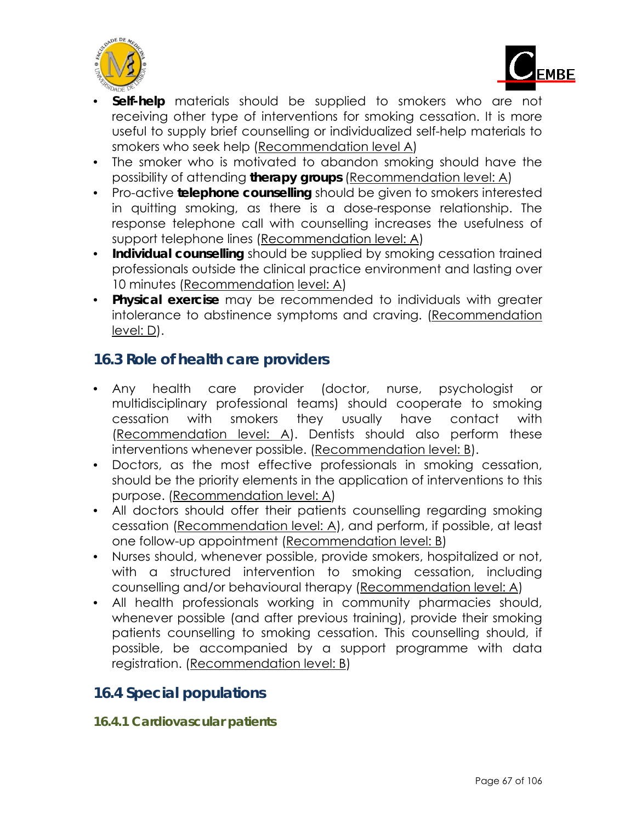



- **Self-help** materials should be supplied to smokers who are not receiving other type of interventions for smoking cessation. It is more useful to supply brief counselling or individualized self-help materials to smokers who seek help (Recommendation level A)
- The smoker who is motivated to abandon smoking should have the possibility of attending **therapy groups** (Recommendation level: A)
- Pro-active **telephone counselling** should be given to smokers interested in quitting smoking, as there is a dose-response relationship. The response telephone call with counselling increases the usefulness of support telephone lines (Recommendation level: A)
- **Individual counselling** should be supplied by smoking cessation trained professionals outside the clinical practice environment and lasting over 10 minutes (Recommendation level: A)
- **Physical exercise** may be recommended to individuals with greater intolerance to abstinence symptoms and craving. (Recommendation level: D).

### **16.3 Role of health care providers**

- Any health care provider (doctor, nurse, psychologist or multidisciplinary professional teams) should cooperate to smoking cessation with smokers they usually have contact with (Recommendation level: A). Dentists should also perform these interventions whenever possible. (Recommendation level: B).
- Doctors, as the most effective professionals in smoking cessation, should be the priority elements in the application of interventions to this purpose. (Recommendation level: A)
- All doctors should offer their patients counselling regarding smoking cessation (Recommendation level: A), and perform, if possible, at least one follow-up appointment (Recommendation level: B)
- Nurses should, whenever possible, provide smokers, hospitalized or not, with a structured intervention to smoking cessation, including counselling and/or behavioural therapy (Recommendation level: A)
- All health professionals working in community pharmacies should, whenever possible (and after previous training), provide their smoking patients counselling to smoking cessation. This counselling should, if possible, be accompanied by a support programme with data registration. (Recommendation level: B)

### **16.4 Special populations**

**16.4.1 Cardiovascular patients**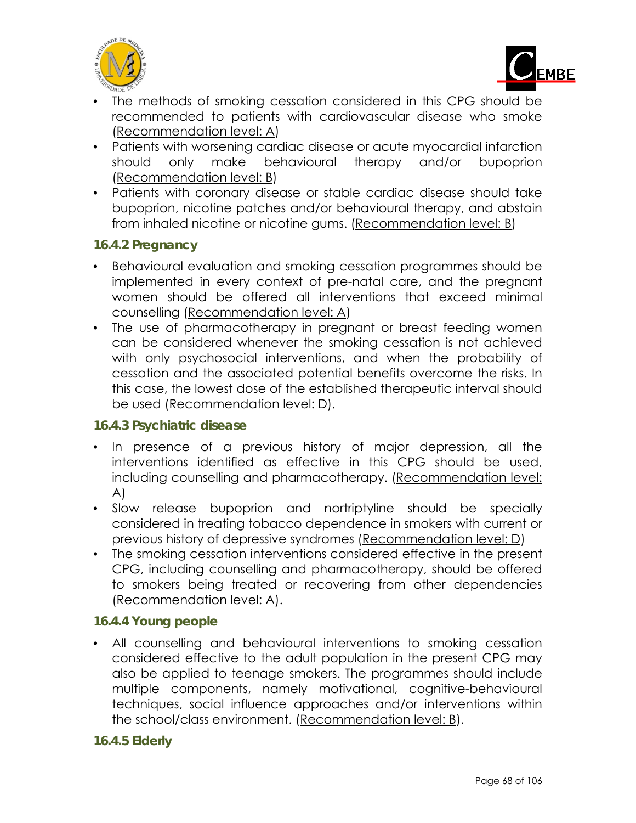



- The methods of smoking cessation considered in this CPG should be recommended to patients with cardiovascular disease who smoke (Recommendation level: A)
- Patients with worsening cardiac disease or acute myocardial infarction should only make behavioural therapy and/or bupoprion (Recommendation level: B)
- Patients with coronary disease or stable cardiac disease should take bupoprion, nicotine patches and/or behavioural therapy, and abstain from inhaled nicotine or nicotine gums. (Recommendation level: B)

#### **16.4.2 Pregnancy**

- Behavioural evaluation and smoking cessation programmes should be implemented in every context of pre-natal care, and the pregnant women should be offered all interventions that exceed minimal counselling (Recommendation level: A)
- The use of pharmacotherapy in pregnant or breast feeding women can be considered whenever the smoking cessation is not achieved with only psychosocial interventions, and when the probability of cessation and the associated potential benefits overcome the risks. In this case, the lowest dose of the established therapeutic interval should be used (Recommendation level: D).

#### **16.4.3 Psychiatric disease**

- In presence of a previous history of major depression, all the interventions identified as effective in this CPG should be used, including counselling and pharmacotherapy. (Recommendation level: A)
- Slow release bupoprion and nortriptyline should be specially considered in treating tobacco dependence in smokers with current or previous history of depressive syndromes (Recommendation level: D)
- The smoking cessation interventions considered effective in the present CPG, including counselling and pharmacotherapy, should be offered to smokers being treated or recovering from other dependencies (Recommendation level: A).

#### **16.4.4 Young people**

• All counselling and behavioural interventions to smoking cessation considered effective to the adult population in the present CPG may also be applied to teenage smokers. The programmes should include multiple components, namely motivational, cognitive-behavioural techniques, social influence approaches and/or interventions within the school/class environment. (Recommendation level: B).

#### **16.4.5 Elderly**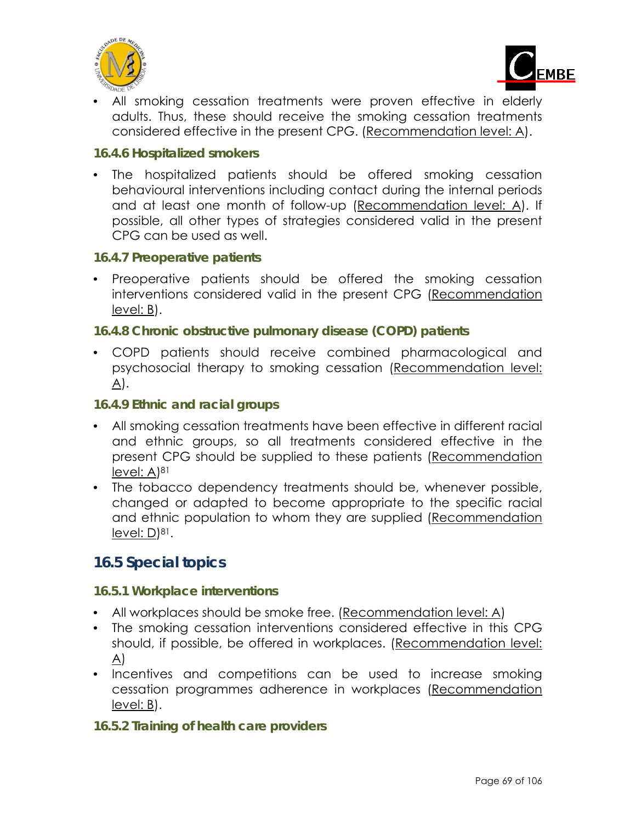



All smoking cessation treatments were proven effective in elderly adults. Thus, these should receive the smoking cessation treatments considered effective in the present CPG. (Recommendation level: A).

#### **16.4.6 Hospitalized smokers**

• The hospitalized patients should be offered smoking cessation behavioural interventions including contact during the internal periods and at least one month of follow-up (Recommendation level: A). If possible, all other types of strategies considered valid in the present CPG can be used as well.

#### **16.4.7 Preoperative patients**

• Preoperative patients should be offered the smoking cessation interventions considered valid in the present CPG (Recommendation level: B).

#### **16.4.8 Chronic obstructive pulmonary disease (COPD) patients**

• COPD patients should receive combined pharmacological and psychosocial therapy to smoking cessation (Recommendation level: A).

#### **16.4.9 Ethnic and racial groups**

- All smoking cessation treatments have been effective in different racial and ethnic groups, so all treatments considered effective in the present CPG should be supplied to these patients (Recommendation level: A)81
- The tobacco dependency treatments should be, whenever possible, changed or adapted to become appropriate to the specific racial and ethnic population to whom they are supplied (Recommendation  $level: D]^{81}$ .

### **16.5 Special topics**

#### **16.5.1 Workplace interventions**

- All workplaces should be smoke free. (Recommendation level: A)
- The smoking cessation interventions considered effective in this CPG should, if possible, be offered in workplaces. (Recommendation level: A)
- Incentives and competitions can be used to increase smoking cessation programmes adherence in workplaces (Recommendation level: B).

#### **16.5.2 Training of health care providers**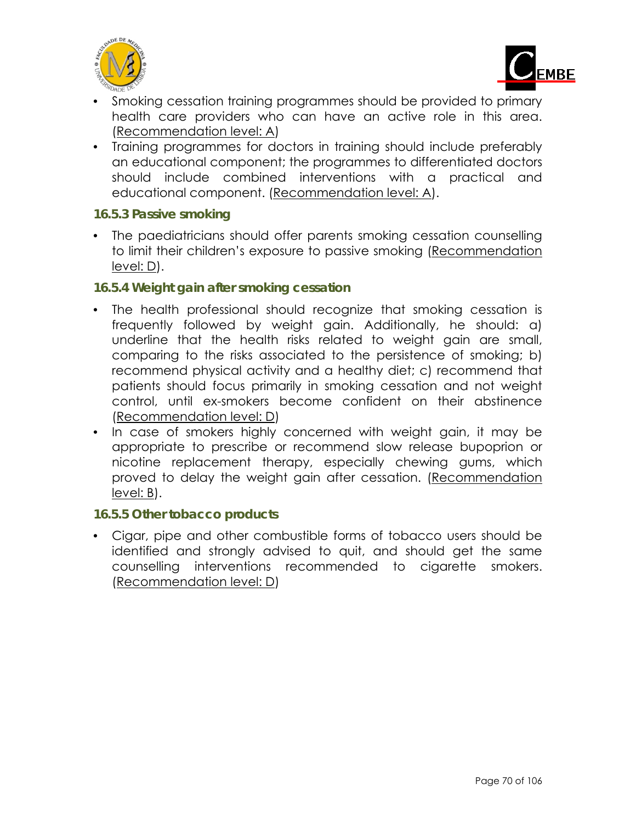



- Smoking cessation training programmes should be provided to primary health care providers who can have an active role in this area. (Recommendation level: A)
- Training programmes for doctors in training should include preferably an educational component; the programmes to differentiated doctors should include combined interventions with a practical and educational component. (Recommendation level: A).

#### **16.5.3 Passive smoking**

• The paediatricians should offer parents smoking cessation counselling to limit their children's exposure to passive smoking (Recommendation level: D).

#### **16.5.4 Weight gain after smoking cessation**

- The health professional should recognize that smoking cessation is frequently followed by weight gain. Additionally, he should: a) underline that the health risks related to weight gain are small, comparing to the risks associated to the persistence of smoking; b) recommend physical activity and a healthy diet; c) recommend that patients should focus primarily in smoking cessation and not weight control, until ex-smokers become confident on their abstinence (Recommendation level: D)
- In case of smokers highly concerned with weight gain, it may be appropriate to prescribe or recommend slow release bupoprion or nicotine replacement therapy, especially chewing gums, which proved to delay the weight gain after cessation. (Recommendation level: B).

#### **16.5.5 Other tobacco products**

• Cigar, pipe and other combustible forms of tobacco users should be identified and strongly advised to quit, and should get the same counselling interventions recommended to cigarette smokers. (Recommendation level: D)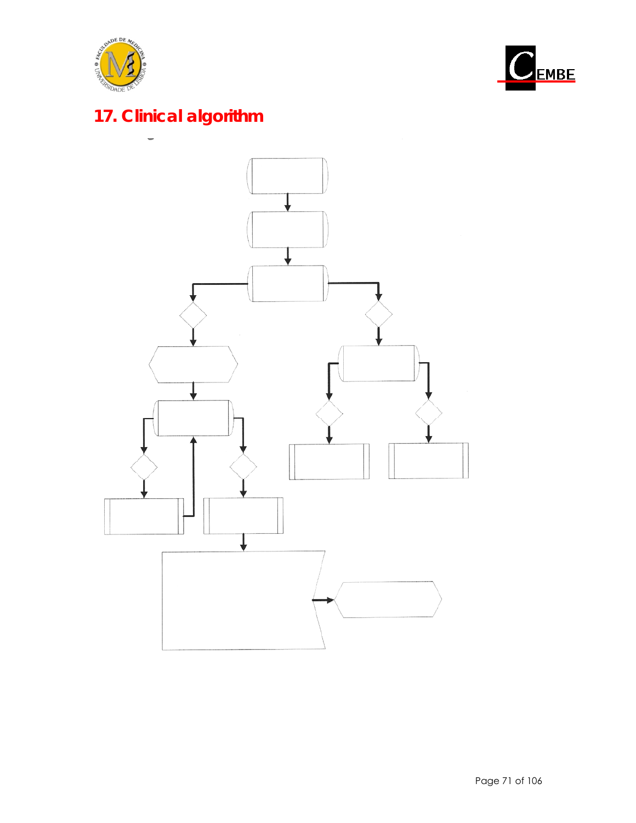



# **17. Clinical algorithm**

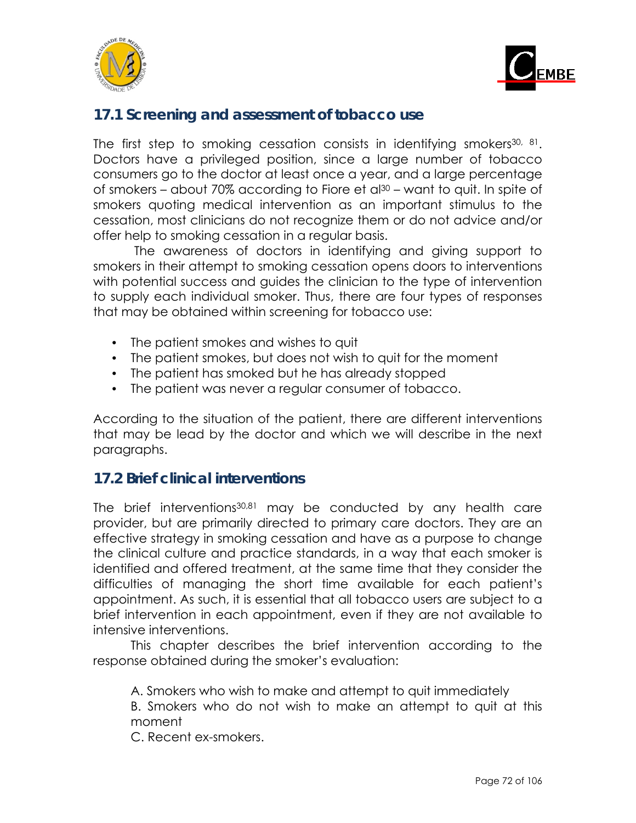



### **17.1 Screening and assessment of tobacco use**

The first step to smoking cessation consists in identifying smokers<sup>30, 81</sup>. Doctors have a privileged position, since a large number of tobacco consumers go to the doctor at least once a year, and a large percentage of smokers – about 70% according to Fiore et al30 – want to quit. In spite of smokers quoting medical intervention as an important stimulus to the cessation, most clinicians do not recognize them or do not advice and/or offer help to smoking cessation in a regular basis.

 The awareness of doctors in identifying and giving support to smokers in their attempt to smoking cessation opens doors to interventions with potential success and guides the clinician to the type of intervention to supply each individual smoker. Thus, there are four types of responses that may be obtained within screening for tobacco use:

- The patient smokes and wishes to quit
- The patient smokes, but does not wish to quit for the moment
- The patient has smoked but he has already stopped
- The patient was never a regular consumer of tobacco.

According to the situation of the patient, there are different interventions that may be lead by the doctor and which we will describe in the next paragraphs.

### **17.2 Brief clinical interventions**

The brief interventions30,81 may be conducted by any health care provider, but are primarily directed to primary care doctors. They are an effective strategy in smoking cessation and have as a purpose to change the clinical culture and practice standards, in a way that each smoker is identified and offered treatment, at the same time that they consider the difficulties of managing the short time available for each patient's appointment. As such, it is essential that all tobacco users are subject to a brief intervention in each appointment, even if they are not available to intensive interventions.

This chapter describes the brief intervention according to the response obtained during the smoker's evaluation:

A. Smokers who wish to make and attempt to quit immediately

B. Smokers who do not wish to make an attempt to quit at this moment

C. Recent ex-smokers.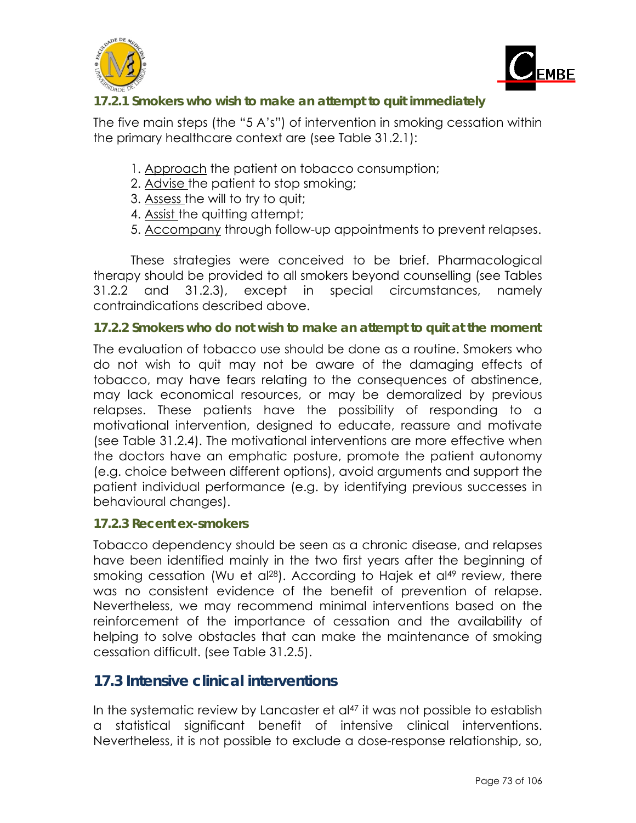



### **17.2.1 Smokers who wish to make an attempt to quit immediately**

The five main steps (the "5 A's") of intervention in smoking cessation within the primary healthcare context are (see Table 31.2.1):

- 1. Approach the patient on tobacco consumption;
- 2. Advise the patient to stop smoking;
- 3. Assess the will to try to quit;
- 4. Assist the quitting attempt;
- 5. Accompany through follow-up appointments to prevent relapses.

These strategies were conceived to be brief. Pharmacological therapy should be provided to all smokers beyond counselling (see Tables 31.2.2 and 31.2.3), except in special circumstances, namely contraindications described above.

#### **17.2.2 Smokers who do not wish to make an attempt to quit at the moment**

The evaluation of tobacco use should be done as a routine. Smokers who do not wish to quit may not be aware of the damaging effects of tobacco, may have fears relating to the consequences of abstinence, may lack economical resources, or may be demoralized by previous relapses. These patients have the possibility of responding to a motivational intervention, designed to educate, reassure and motivate (see Table 31.2.4). The motivational interventions are more effective when the doctors have an emphatic posture, promote the patient autonomy (e.g. choice between different options), avoid arguments and support the patient individual performance (e.g. by identifying previous successes in behavioural changes).

#### **17.2.3 Recent ex-smokers**

Tobacco dependency should be seen as a chronic disease, and relapses have been identified mainly in the two first years after the beginning of smoking cessation (Wu et al<sup>28</sup>). According to Hajek et al<sup>49</sup> review, there was no consistent evidence of the benefit of prevention of relapse. Nevertheless, we may recommend minimal interventions based on the reinforcement of the importance of cessation and the availability of helping to solve obstacles that can make the maintenance of smoking cessation difficult. (see Table 31.2.5).

### **17.3 Intensive clinical interventions**

In the systematic review by Lancaster et al<sup>47</sup> it was not possible to establish a statistical significant benefit of intensive clinical interventions. Nevertheless, it is not possible to exclude a dose-response relationship, so,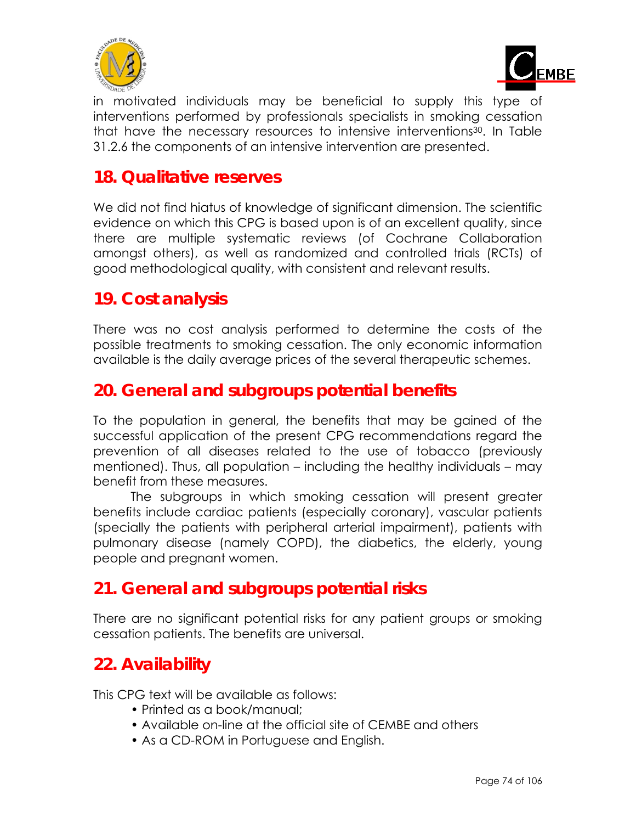



in motivated individuals may be beneficial to supply this type of interventions performed by professionals specialists in smoking cessation that have the necessary resources to intensive interventions30. In Table 31.2.6 the components of an intensive intervention are presented.

## **18. Qualitative reserves**

We did not find hiatus of knowledge of significant dimension. The scientific evidence on which this CPG is based upon is of an excellent quality, since there are multiple systematic reviews (of Cochrane Collaboration amongst others), as well as randomized and controlled trials (RCTs) of good methodological quality, with consistent and relevant results.

## **19. Cost analysis**

There was no cost analysis performed to determine the costs of the possible treatments to smoking cessation. The only economic information available is the daily average prices of the several therapeutic schemes.

## **20. General and subgroups potential benefits**

To the population in general, the benefits that may be gained of the successful application of the present CPG recommendations regard the prevention of all diseases related to the use of tobacco (previously mentioned). Thus, all population – including the healthy individuals – may benefit from these measures.

The subgroups in which smoking cessation will present greater benefits include cardiac patients (especially coronary), vascular patients (specially the patients with peripheral arterial impairment), patients with pulmonary disease (namely COPD), the diabetics, the elderly, young people and pregnant women.

# **21. General and subgroups potential risks**

There are no significant potential risks for any patient groups or smoking cessation patients. The benefits are universal.

# **22. Availability**

This CPG text will be available as follows:

- Printed as a book/manual;
- Available on-line at the official site of CEMBE and others
- As a CD-ROM in Portuguese and English.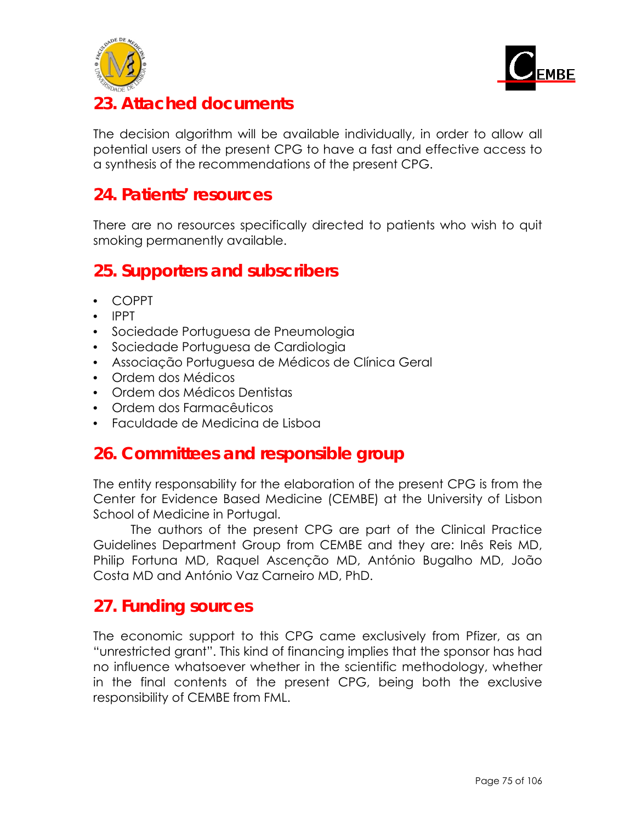



# **23. Attached documents**

The decision algorithm will be available individually, in order to allow all potential users of the present CPG to have a fast and effective access to a synthesis of the recommendations of the present CPG.

## **24. Patients' resources**

There are no resources specifically directed to patients who wish to quit smoking permanently available.

## **25. Supporters and subscribers**

- COPPT
- IPPT
- Sociedade Portuguesa de Pneumologia
- Sociedade Portuguesa de Cardiologia
- Associação Portuguesa de Médicos de Clínica Geral
- Ordem dos Médicos
- Ordem dos Médicos Dentistas
- Ordem dos Farmacêuticos
- Faculdade de Medicina de Lisboa

## **26. Committees and responsible group**

The entity responsability for the elaboration of the present CPG is from the Center for Evidence Based Medicine (CEMBE) at the University of Lisbon School of Medicine in Portugal.

The authors of the present CPG are part of the Clinical Practice Guidelines Department Group from CEMBE and they are: Inês Reis MD, Philip Fortuna MD, Raquel Ascenção MD, António Bugalho MD, João Costa MD and António Vaz Carneiro MD, PhD.

## **27. Funding sources**

The economic support to this CPG came exclusively from Pfizer, as an "unrestricted grant". This kind of financing implies that the sponsor has had no influence whatsoever whether in the scientific methodology, whether in the final contents of the present CPG, being both the exclusive responsibility of CEMBE from FML.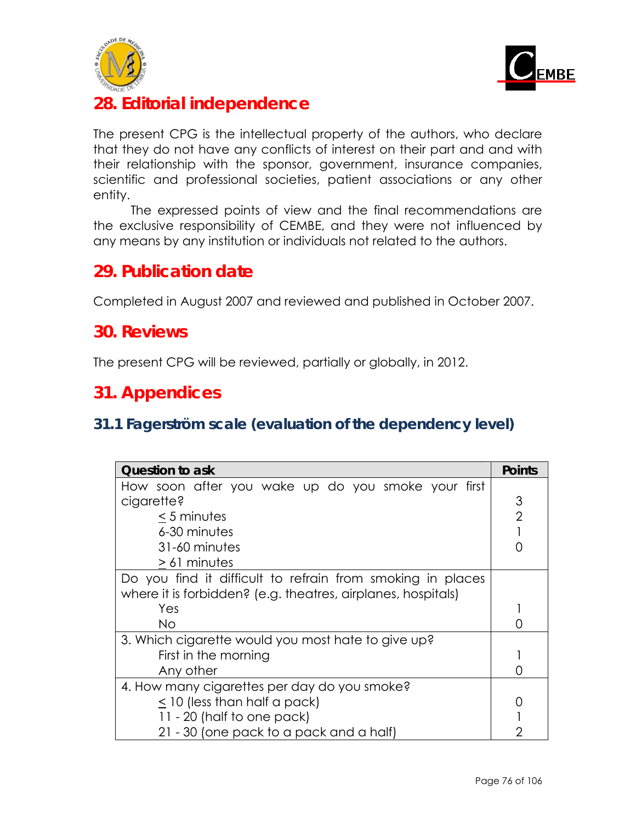



# **28. Editorial independence**

The present CPG is the intellectual property of the authors, who declare that they do not have any conflicts of interest on their part and and with their relationship with the sponsor, government, insurance companies, scientific and professional societies, patient associations or any other entity.

 The expressed points of view and the final recommendations are the exclusive responsibility of CEMBE, and they were not influenced by any means by any institution or individuals not related to the authors.

# **29. Publication date**

Completed in August 2007 and reviewed and published in October 2007.

## **30. Reviews**

The present CPG will be reviewed, partially or globally, in 2012.

# **31. Appendices**

## **31.1 Fagerström scale (evaluation of the dependency level)**

| <b>Question to ask</b>                                       | <b>Points</b>  |
|--------------------------------------------------------------|----------------|
| How soon after you wake up do you smoke your first           |                |
| cigarette?                                                   | 3              |
| $< 5$ minutes                                                | $\overline{2}$ |
| 6-30 minutes                                                 |                |
| 31-60 minutes                                                |                |
| $> 61$ minutes                                               |                |
| Do you find it difficult to refrain from smoking in places   |                |
| where it is forbidden? (e.g. theatres, airplanes, hospitals) |                |
| Yes                                                          |                |
| No                                                           |                |
| 3. Which cigarette would you most hate to give up?           |                |
| First in the morning                                         |                |
| Any other                                                    |                |
| 4. How many cigarettes per day do you smoke?                 |                |
| < 10 (less than half a pack)                                 |                |
| 11 - 20 (half to one pack)                                   |                |
| 21 - 30 (one pack to a pack and a half)                      |                |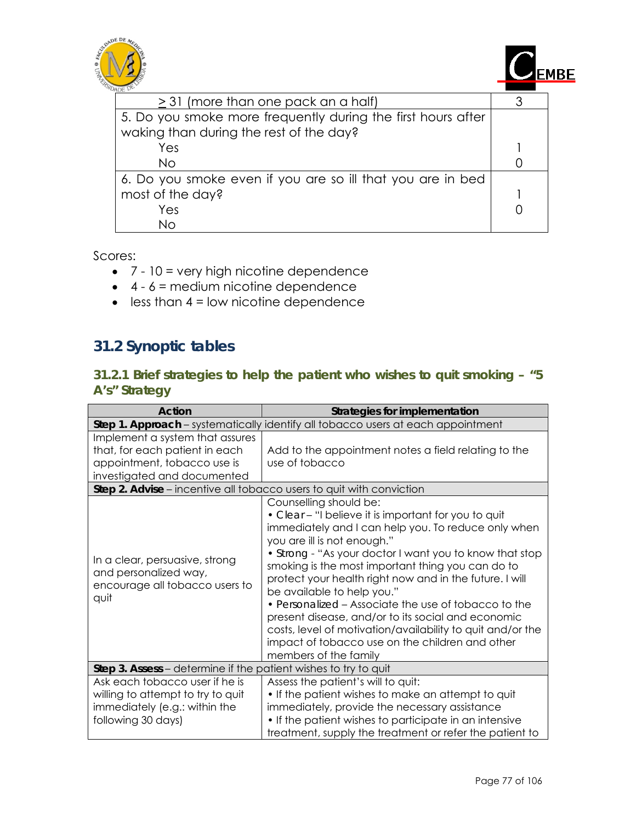



| DF DE                                                        |  |
|--------------------------------------------------------------|--|
| > 31 (more than one pack an a half)                          |  |
| 5. Do you smoke more frequently during the first hours after |  |
| waking than during the rest of the day?                      |  |
| Yes                                                          |  |
| No                                                           |  |
| 6. Do you smoke even if you are so ill that you are in bed   |  |
| most of the day?                                             |  |
| Yes                                                          |  |
| Nο                                                           |  |

Scores:

- 7 10 = very high nicotine dependence
- $\bullet$  4 6 = medium nicotine dependence
- $\bullet$  less than  $4 =$  low nicotine dependence

## **31.2 Synoptic tables**

### **31.2.1 Brief strategies to help the patient who wishes to quit smoking – "5 A's" Strategy**

| <b>Action</b>                                                                                                                   | Strategies for implementation                                                                                                                                                                                                                                                                                                                                                                                                                                                                                                                                                                                                         |
|---------------------------------------------------------------------------------------------------------------------------------|---------------------------------------------------------------------------------------------------------------------------------------------------------------------------------------------------------------------------------------------------------------------------------------------------------------------------------------------------------------------------------------------------------------------------------------------------------------------------------------------------------------------------------------------------------------------------------------------------------------------------------------|
|                                                                                                                                 | Step 1. Approach – systematically identify all tobacco users at each appointment                                                                                                                                                                                                                                                                                                                                                                                                                                                                                                                                                      |
| Implement a system that assures<br>that, for each patient in each<br>appointment, tobacco use is<br>investigated and documented | Add to the appointment notes a field relating to the<br>use of tobacco                                                                                                                                                                                                                                                                                                                                                                                                                                                                                                                                                                |
| Step 2. Advise - incentive all tobacco users to quit with conviction                                                            |                                                                                                                                                                                                                                                                                                                                                                                                                                                                                                                                                                                                                                       |
| In a clear, persuasive, strong<br>and personalized way,<br>encourage all tobacco users to<br>quit                               | Counselling should be:<br>• Clear - "I believe it is important for you to quit<br>immediately and I can help you. To reduce only when<br>you are ill is not enough."<br>• Strong - "As your doctor I want you to know that stop<br>smoking is the most important thing you can do to<br>protect your health right now and in the future. I will<br>be available to help you."<br>• Personalized – Associate the use of tobacco to the<br>present disease, and/or to its social and economic<br>costs, level of motivation/availability to quit and/or the<br>impact of tobacco use on the children and other<br>members of the family |
| Step 3. Assess - determine if the patient wishes to try to quit                                                                 |                                                                                                                                                                                                                                                                                                                                                                                                                                                                                                                                                                                                                                       |
| Ask each tobacco user if he is<br>willing to attempt to try to quit<br>immediately (e.g.: within the<br>following 30 days)      | Assess the patient's will to quit:<br>• If the patient wishes to make an attempt to quit<br>immediately, provide the necessary assistance<br>• If the patient wishes to participate in an intensive<br>treatment, supply the treatment or refer the patient to                                                                                                                                                                                                                                                                                                                                                                        |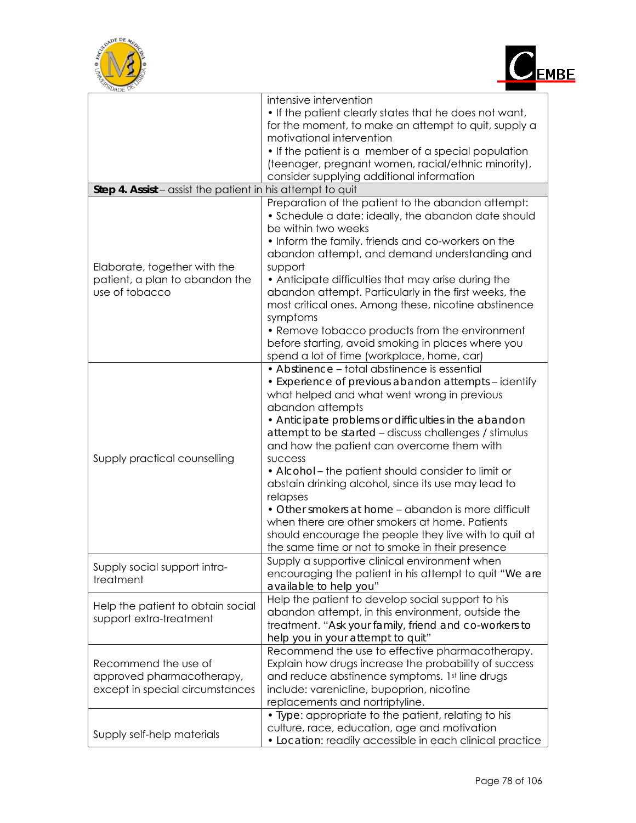



| DADE DE                                                                              |                                                                                                                                                                                                                                                                                                                                                                                                                                                                                                                                                                                                                                                                                                |
|--------------------------------------------------------------------------------------|------------------------------------------------------------------------------------------------------------------------------------------------------------------------------------------------------------------------------------------------------------------------------------------------------------------------------------------------------------------------------------------------------------------------------------------------------------------------------------------------------------------------------------------------------------------------------------------------------------------------------------------------------------------------------------------------|
|                                                                                      | intensive intervention<br>. If the patient clearly states that he does not want,<br>for the moment, to make an attempt to quit, supply a<br>motivational intervention<br>• If the patient is a member of a special population<br>(teenager, pregnant women, racial/ethnic minority),<br>consider supplying additional information                                                                                                                                                                                                                                                                                                                                                              |
| Step 4. Assist - assist the patient in his attempt to quit                           |                                                                                                                                                                                                                                                                                                                                                                                                                                                                                                                                                                                                                                                                                                |
| Elaborate, together with the<br>patient, a plan to abandon the<br>use of tobacco     | Preparation of the patient to the abandon attempt:<br>• Schedule a date: ideally, the abandon date should<br>be within two weeks<br>• Inform the family, friends and co-workers on the<br>abandon attempt, and demand understanding and<br>support<br>• Anticipate difficulties that may arise during the<br>abandon attempt. Particularly in the first weeks, the<br>most critical ones. Among these, nicotine abstinence<br>symptoms<br>• Remove tobacco products from the environment<br>before starting, avoid smoking in places where you<br>spend a lot of time (workplace, home, car)                                                                                                   |
| Supply practical counselling                                                         | • Abstinence – total abstinence is essential<br>• Experience of previous abandon attempts - identify<br>what helped and what went wrong in previous<br>abandon attempts<br>• Anticipate problems or difficulties in the abandon<br>attempt to be started - discuss challenges / stimulus<br>and how the patient can overcome them with<br>success<br>• Alcohol-the patient should consider to limit or<br>abstain drinking alcohol, since its use may lead to<br>relapses<br>• Other smokers at home - abandon is more difficult<br>when there are other smokers at home. Patients<br>should encourage the people they live with to quit at<br>the same time or not to smoke in their presence |
| Supply social support intra-<br>treatment                                            | Supply a supportive clinical environment when<br>encouraging the patient in his attempt to quit "We are<br>available to help you"                                                                                                                                                                                                                                                                                                                                                                                                                                                                                                                                                              |
| Help the patient to obtain social<br>support extra-treatment                         | Help the patient to develop social support to his<br>abandon attempt, in this environment, outside the<br>treatment. "Ask your family, friend and co-workers to<br>help you in your attempt to quit"                                                                                                                                                                                                                                                                                                                                                                                                                                                                                           |
| Recommend the use of<br>approved pharmacotherapy,<br>except in special circumstances | Recommend the use to effective pharmacotherapy.<br>Explain how drugs increase the probability of success<br>and reduce abstinence symptoms. 1st line drugs<br>include: varenicline, bupoprion, nicotine<br>replacements and nortriptyline.                                                                                                                                                                                                                                                                                                                                                                                                                                                     |
| Supply self-help materials                                                           | • Type: appropriate to the patient, relating to his<br>culture, race, education, age and motivation<br>• Location: readily accessible in each clinical practice                                                                                                                                                                                                                                                                                                                                                                                                                                                                                                                                |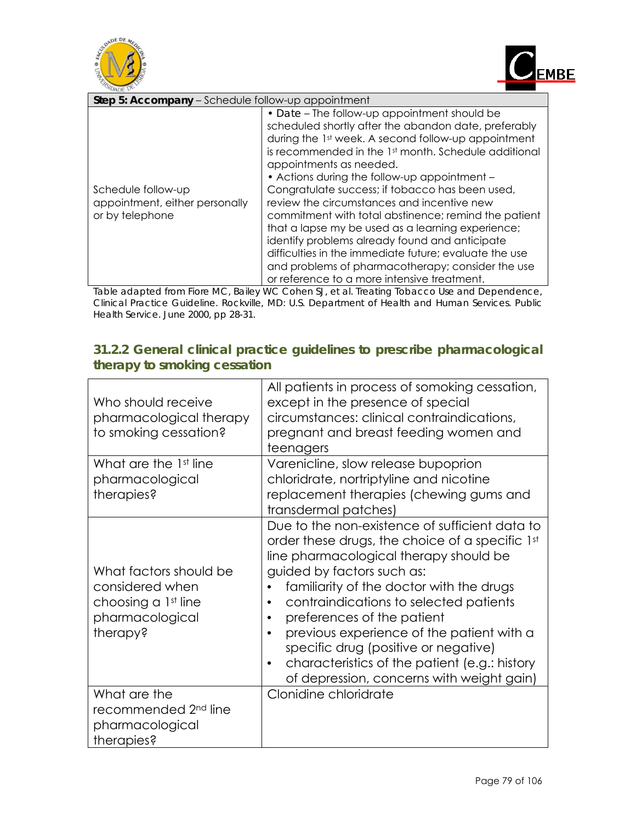



| Step 5: Accompany - Schedule follow-up appointment                      |                                                                                                                                                                                                                                                                                                                                                                                                                                                                                                                                                                                                                                                                                                                              |  |  |  |  |  |
|-------------------------------------------------------------------------|------------------------------------------------------------------------------------------------------------------------------------------------------------------------------------------------------------------------------------------------------------------------------------------------------------------------------------------------------------------------------------------------------------------------------------------------------------------------------------------------------------------------------------------------------------------------------------------------------------------------------------------------------------------------------------------------------------------------------|--|--|--|--|--|
| Schedule follow-up<br>appointment, either personally<br>or by telephone | • Date – The follow-up appointment should be<br>scheduled shortly after the abandon date, preferably<br>during the 1st week. A second follow-up appointment<br>is recommended in the 1st month. Schedule additional<br>appointments as needed.<br>• Actions during the follow-up appointment -<br>Congratulate success; if tobacco has been used,<br>review the circumstances and incentive new<br>commitment with total abstinence; remind the patient<br>that a lapse my be used as a learning experience;<br>identify problems already found and anticipate<br>difficulties in the immediate future; evaluate the use<br>and problems of pharmacotherapy; consider the use<br>or reference to a more intensive treatment. |  |  |  |  |  |

*Table adapted from Fiore MC, Bailey WC Cohen SJ, et al. Treating Tobacco Use and Dependence, Clinical Practice Guideline. Rockville, MD: U.S. Department of Health and Human Services. Public Health Service. June 2000, pp 28-31.* 

### **31.2.2 General clinical practice guidelines to prescribe pharmacological therapy to smoking cessation**

| Who should receive<br>pharmacological therapy<br>to smoking cessation?                          | All patients in process of somoking cessation,<br>except in the presence of special<br>circumstances: clinical contraindications,<br>pregnant and breast feeding women and<br>teenagers                                                                                                                                                                                                                                                                                                       |
|-------------------------------------------------------------------------------------------------|-----------------------------------------------------------------------------------------------------------------------------------------------------------------------------------------------------------------------------------------------------------------------------------------------------------------------------------------------------------------------------------------------------------------------------------------------------------------------------------------------|
| What are the 1st line<br>pharmacological<br>therapies?                                          | Varenicline, slow release bupoprion<br>chloridrate, nortriptyline and nicotine<br>replacement therapies (chewing gums and<br>transdermal patches)                                                                                                                                                                                                                                                                                                                                             |
| What factors should be<br>considered when<br>choosing a 1st line<br>pharmacological<br>therapy? | Due to the non-existence of sufficient data to<br>order these drugs, the choice of a specific 1st<br>line pharmacological therapy should be<br>guided by factors such as:<br>familiarity of the doctor with the drugs<br>contraindications to selected patients<br>$\bullet$<br>preferences of the patient<br>previous experience of the patient with a<br>specific drug (positive or negative)<br>characteristics of the patient (e.g.: history<br>of depression, concerns with weight gain) |
| What are the<br>recommended 2 <sup>nd</sup> line<br>pharmacological<br>therapies?               | Clonidine chloridrate                                                                                                                                                                                                                                                                                                                                                                                                                                                                         |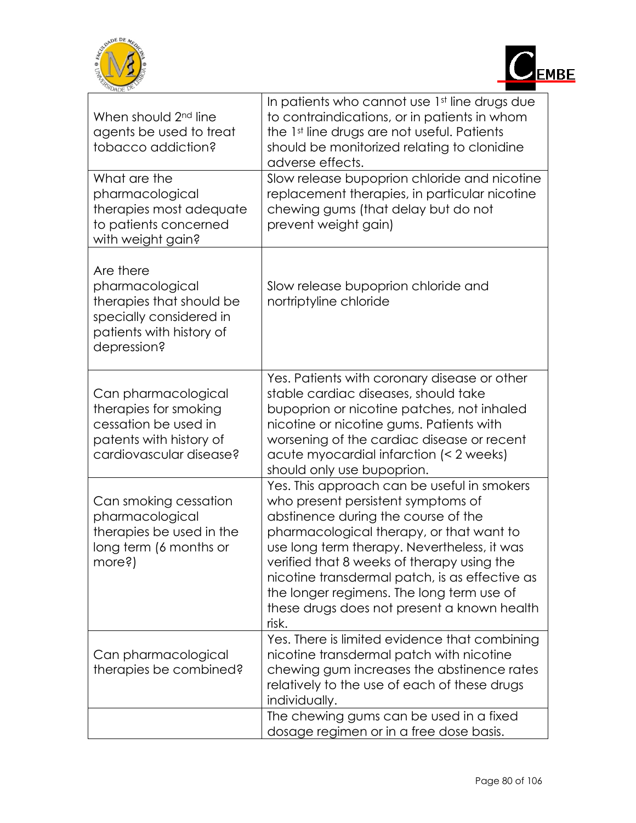



| PS/DADE DE                                                                                                                     |                                                                                                                                                                                                                                                                                                                                                                                                                          |
|--------------------------------------------------------------------------------------------------------------------------------|--------------------------------------------------------------------------------------------------------------------------------------------------------------------------------------------------------------------------------------------------------------------------------------------------------------------------------------------------------------------------------------------------------------------------|
| When should 2 <sup>nd</sup> line<br>agents be used to treat<br>tobacco addiction?                                              | In patients who cannot use 1st line drugs due<br>to contraindications, or in patients in whom<br>the 1 <sup>st</sup> line drugs are not useful. Patients<br>should be monitorized relating to clonidine<br>adverse effects.                                                                                                                                                                                              |
| What are the<br>pharmacological<br>therapies most adequate<br>to patients concerned<br>with weight gain?                       | Slow release bupoprion chloride and nicotine<br>replacement therapies, in particular nicotine<br>chewing gums (that delay but do not<br>prevent weight gain)                                                                                                                                                                                                                                                             |
| Are there<br>pharmacological<br>therapies that should be<br>specially considered in<br>patients with history of<br>depression? | Slow release bupoprion chloride and<br>nortriptyline chloride                                                                                                                                                                                                                                                                                                                                                            |
| Can pharmacological<br>therapies for smoking<br>cessation be used in<br>patents with history of<br>cardiovascular disease?     | Yes. Patients with coronary disease or other<br>stable cardiac diseases, should take<br>bupoprion or nicotine patches, not inhaled<br>nicotine or nicotine gums. Patients with<br>worsening of the cardiac disease or recent<br>acute myocardial infarction (< 2 weeks)<br>should only use bupoprion.                                                                                                                    |
| Can smoking cessation<br>pharmacological<br>therapies be used in the<br>long term (6 months or<br>more?)                       | Yes. This approach can be useful in smokers<br>who present persistent symptoms of<br>abstinence during the course of the<br>pharmacological therapy, or that want to<br>use long term therapy. Nevertheless, it was<br>verified that 8 weeks of therapy using the<br>nicotine transdermal patch, is as effective as<br>the longer regimens. The long term use of<br>these drugs does not present a known health<br>risk. |
| Can pharmacological<br>therapies be combined?                                                                                  | Yes. There is limited evidence that combining<br>nicotine transdermal patch with nicotine<br>chewing gum increases the abstinence rates<br>relatively to the use of each of these drugs<br>individually.                                                                                                                                                                                                                 |
|                                                                                                                                | The chewing gums can be used in a fixed<br>dosage regimen or in a free dose basis.                                                                                                                                                                                                                                                                                                                                       |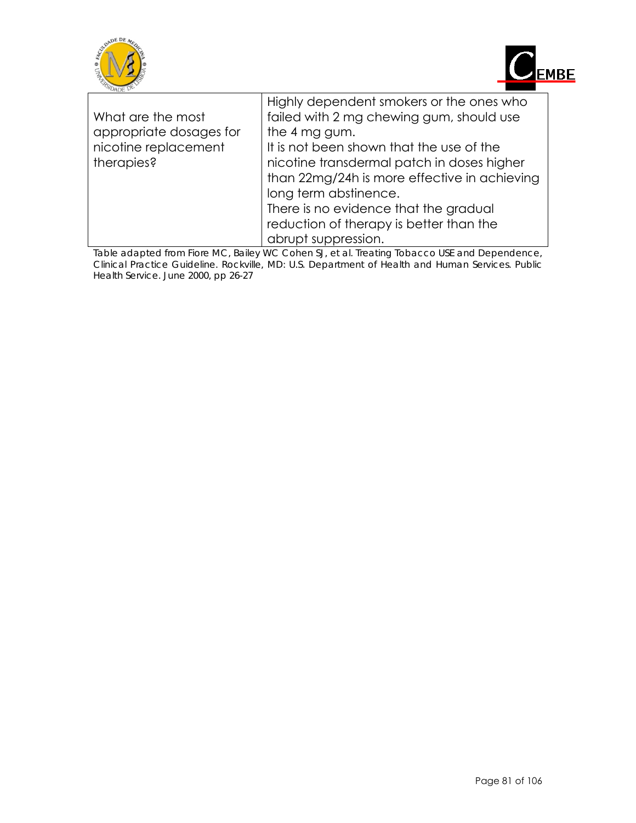



*Table adapted from Fiore MC, Bailey WC Cohen SJ, et al. Treating Tobacco USE and Dependence, Clinical Practice Guideline. Rockville, MD: U.S. Department of Health and Human Services. Public Health Service. June 2000, pp 26-27*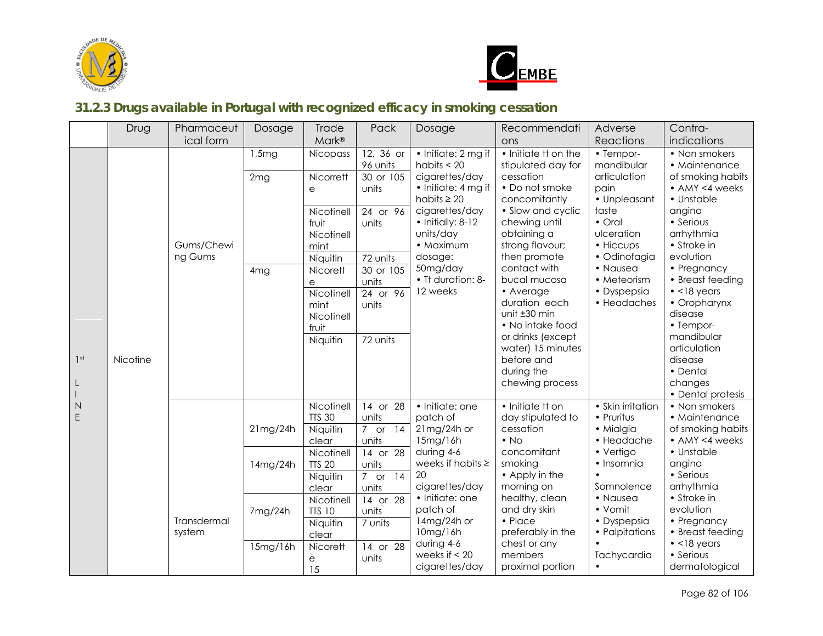



## **31.2.3 Drugs available in Portugal with recognized efficacy in smoking cessation**

|                 | Drug     | Pharmaceut  | Dosage          | Trade                     | Pack                                          | Dosage                                                                      | Recommendati                                                                        | Adverse                 | Contra-                      |
|-----------------|----------|-------------|-----------------|---------------------------|-----------------------------------------------|-----------------------------------------------------------------------------|-------------------------------------------------------------------------------------|-------------------------|------------------------------|
|                 |          | ical form   |                 | Mark <sup>®</sup>         |                                               |                                                                             | ons                                                                                 | Reactions               | indications                  |
|                 |          |             | 1,5mg           | Nicopass                  | 12, 36 or                                     | • Initiate: 2 mg if                                                         | • Initiate tt on the                                                                | • Tempor-               | • Non smokers                |
|                 |          |             |                 |                           | 96 units                                      | habits $<$ 20                                                               | stipulated day for                                                                  | mandibular              | • Maintenance                |
|                 |          |             | 2mg             | Nicorrett                 | 30 or 105                                     | cigarettes/day                                                              | cessation                                                                           | articulation            | of smoking habits            |
|                 |          |             |                 | e                         | units                                         | • Initiate: 4 mg if                                                         | • Do not smoke                                                                      | pain                    | • AMY <4 weeks               |
|                 |          |             |                 |                           |                                               | habits $\geq 20$                                                            | concomitantly                                                                       | • Unpleasant            | • Unstable                   |
|                 |          |             |                 | Nicotinell                | 24 or 96                                      | cigarettes/day                                                              | • Slow and cyclic                                                                   | taste                   | angina                       |
|                 |          |             |                 | fruit                     | units                                         | • Initially: 8-12                                                           | chewing until                                                                       | $\bullet$ Oral          | • Serious                    |
|                 |          | Gums/Chewi  |                 | Nicotinell                |                                               | units/day<br>• Maximum                                                      | obtaining a                                                                         | ulceration<br>• Hiccups | arrhythmia<br>• Stroke in    |
|                 |          | ng Gums     |                 | mint                      |                                               | dosage:                                                                     | strong flavour;<br>then promote                                                     | · Odinofagia            | evolution                    |
|                 |          |             |                 | Niquitin<br>Nicorett      | 72 units<br>30 or 105                         | 50mg/day                                                                    | contact with                                                                        | • Nausea                | • Pregnancy                  |
|                 |          |             | 4 <sub>mg</sub> |                           | units                                         | • Tt duration: 8-                                                           | bucal mucosa                                                                        | • Meteorism             | • Breast feeding             |
|                 |          |             |                 | e<br>Nicotinell           | 24 or 96                                      | 12 weeks                                                                    | • Average                                                                           | • Dyspepsia             | $\cdot$ <18 years            |
|                 |          |             |                 | mint                      | units                                         |                                                                             | duration each                                                                       | • Headaches             | • Oropharynx                 |
|                 |          |             |                 | Nicotinell                |                                               |                                                                             | unit ±30 min                                                                        |                         | disease                      |
|                 |          |             |                 | fruit                     |                                               |                                                                             | • No intake food                                                                    |                         | • Tempor-                    |
|                 |          |             |                 | Niquitin                  | 72 units                                      |                                                                             | or drinks (except                                                                   |                         | mandibular                   |
|                 |          |             |                 |                           |                                               |                                                                             | water) 15 minutes                                                                   |                         | articulation                 |
| 1 <sup>st</sup> | Nicotine |             |                 |                           |                                               |                                                                             | before and                                                                          |                         | disease                      |
|                 |          |             |                 |                           |                                               |                                                                             | during the                                                                          |                         | • Dental                     |
| L               |          |             |                 |                           |                                               |                                                                             | chewing process                                                                     |                         | changes                      |
|                 |          |             |                 |                           |                                               |                                                                             |                                                                                     |                         | • Dental protesis            |
| $\mathsf{N}$    |          |             |                 | Nicotinell                | 14 or 28                                      | · Initiate: one                                                             | • Initiate tt on                                                                    | • Skin irritation       | • Non smokers                |
| E               |          |             | 21mg/24h        | <b>TTS 30</b>             | units                                         | patch of<br>21mg/24h or<br>15mg/16h<br>during 4-6<br>weeks if habits $\geq$ | day stipulated to<br>cessation<br>$\cdot$ No<br>concomitant<br>• Vertigo<br>smoking | • Pruritus              | • Maintenance                |
|                 |          |             |                 | Niquitin                  | $7^{\circ}$<br>or $14$                        |                                                                             |                                                                                     | • Mialgia               | of smoking habits            |
|                 |          |             | 14mg/24h        | clear                     | units                                         |                                                                             |                                                                                     | • Headache              | • AMY <4 weeks<br>• Unstable |
|                 |          |             |                 | Nicotinell                | 14 or 28                                      |                                                                             |                                                                                     | • Insomnia              | angina                       |
|                 |          |             |                 | <b>TTS 20</b><br>Niquitin | units<br>$\overline{7}$ or<br>$\overline{14}$ | 20                                                                          | • Apply in the                                                                      |                         | • Serious                    |
|                 |          |             |                 | clear                     | units                                         | cigarettes/day                                                              | morning on<br>Somnolence                                                            | arrhythmia              |                              |
|                 |          |             |                 | Nicotinell                | 14 or $\overline{28}$                         | • Initiate: one                                                             | healthy, clean                                                                      | • Nausea                | • Stroke in                  |
|                 |          |             | 7mg/24h         | <b>TTS 10</b>             | units                                         | patch of                                                                    | and dry skin                                                                        | • Vomit                 | evolution                    |
|                 |          | Transdermal |                 | Niquitin                  | 7 units                                       | 14mg/24h or<br>10mg/16h                                                     | • Place                                                                             | • Dyspepsia             | • Pregnancy                  |
|                 |          | system      |                 | clear                     |                                               |                                                                             | preferably in the                                                                   | • Palpitations          | • Breast feeding             |
|                 |          |             | 15mg/16h        | Nicorett                  | 14 or 28                                      | during 4-6                                                                  | chest or any                                                                        |                         | $\bullet$ <18 years          |
|                 |          |             |                 | е                         | units                                         | weeks if $<$ 20                                                             | members                                                                             | Tachycardia             | • Serious                    |
|                 |          |             |                 | 15                        |                                               | cigarettes/day                                                              | proximal portion                                                                    |                         | dermatological               |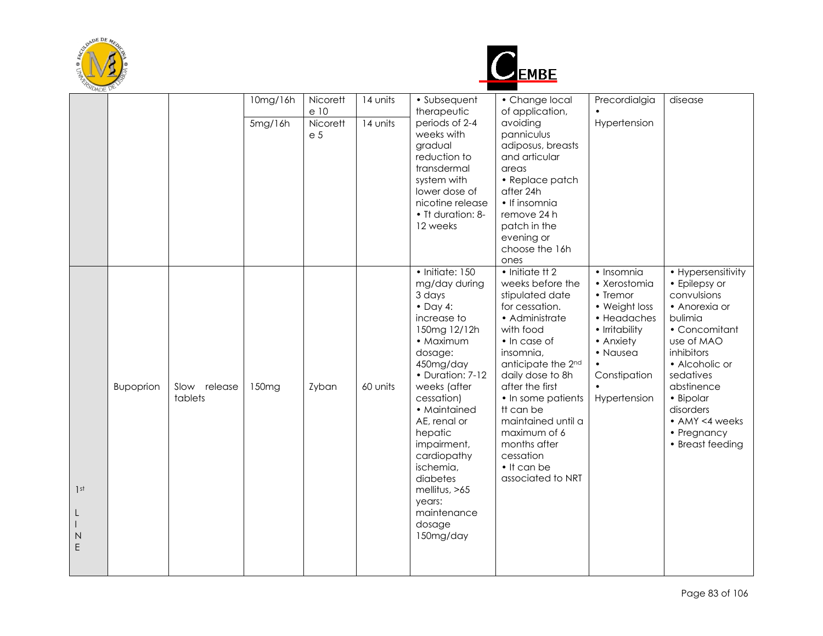



| בתרי                           |           |                         | 10mg/16h | Nicorett                           | 14 units | • Subsequent                                                                                                                                                                                                                                                                                                                                                    | • Change local                                                                                                                                                                                                                                                                                                                              | Precordialgia                                                                                                                                     | disease                                                                                                                                                                                                                                                 |  |
|--------------------------------|-----------|-------------------------|----------|------------------------------------|----------|-----------------------------------------------------------------------------------------------------------------------------------------------------------------------------------------------------------------------------------------------------------------------------------------------------------------------------------------------------------------|---------------------------------------------------------------------------------------------------------------------------------------------------------------------------------------------------------------------------------------------------------------------------------------------------------------------------------------------|---------------------------------------------------------------------------------------------------------------------------------------------------|---------------------------------------------------------------------------------------------------------------------------------------------------------------------------------------------------------------------------------------------------------|--|
|                                |           |                         | 5mg/16h  | e 10<br>Nicorett<br>e <sub>5</sub> | 14 units | therapeutic<br>periods of 2-4<br>weeks with<br>gradual<br>reduction to<br>transdermal<br>system with<br>lower dose of<br>nicotine release<br>• Tt duration: 8-<br>12 weeks                                                                                                                                                                                      | of application,<br>avoiding<br>Hypertension<br>panniculus<br>adiposus, breasts<br>and articular<br>areas<br>• Replace patch<br>after 24h<br>• If insomnia<br>remove 24 h<br>patch in the<br>evening or<br>choose the 16h<br>ones                                                                                                            |                                                                                                                                                   |                                                                                                                                                                                                                                                         |  |
| 1 <sup>st</sup><br>L<br>N<br>E | Bupoprion | Slow release<br>tablets | 150mg    | Zyban                              | 60 units | $\bullet$ Initiate: 150<br>mg/day during<br>3 days<br>$\bullet$ Day 4:<br>increase to<br>150mg 12/12h<br>• Maximum<br>dosage:<br>450mg/day<br>• Duration: 7-12<br>weeks (after<br>cessation)<br>• Maintained<br>AE, renal or<br>hepatic<br>impairment,<br>cardiopathy<br>ischemia,<br>diabetes<br>mellitus, >65<br>years:<br>maintenance<br>dosage<br>150mg/day | • Initiate tt 2<br>weeks before the<br>stipulated date<br>for cessation.<br>• Administrate<br>with food<br>• In case of<br>insomnia.<br>anticipate the 2nd<br>daily dose to 8h<br>after the first<br>• In some patients<br>tt can be<br>maintained until a<br>maximum of 6<br>months after<br>cessation<br>• It can be<br>associated to NRT | • Insomnia<br>• Xerostomia<br>• Tremor<br>• Weight loss<br>• Headaches<br>• Irritability<br>• Anxiety<br>• Nausea<br>Constipation<br>Hypertension | • Hypersensitivity<br>• Epilepsy or<br>convulsions<br>• Anorexia or<br>bulimia<br>• Concomitant<br>use of MAO<br>inhibitors<br>• Alcoholic or<br>sedatives<br>abstinence<br>• Bipolar<br>disorders<br>• AMY <4 weeks<br>• Pregnancy<br>• Breast feeding |  |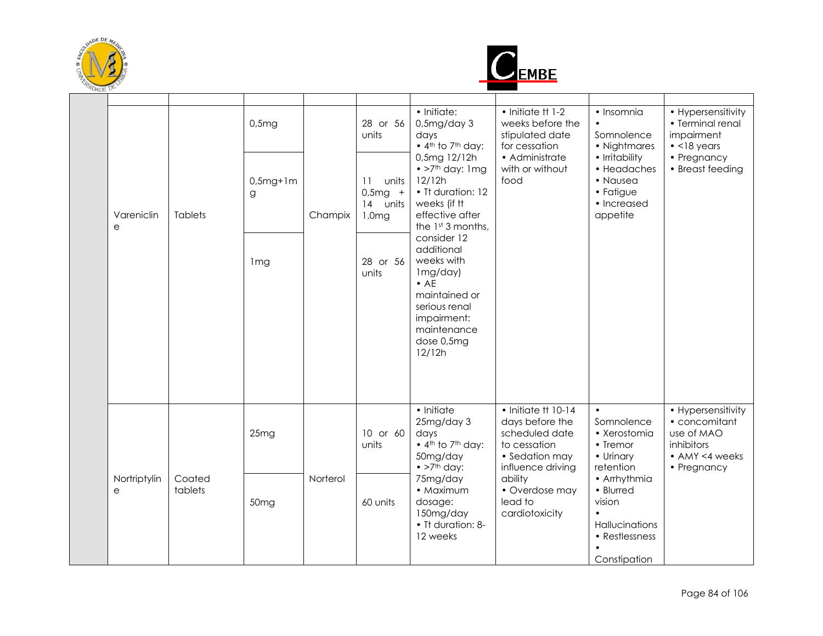



|  | Vareniclin<br>e              | <b>Tablets</b>    | 0,5mg            | Champix  |                                               | 28 or 56<br>units                                                                                                                                                                                                                                                                                                                                               | • Initiate:<br>$0,5$ mg/day 3<br>days                                                                                 | • Initiate tt 1-2<br>weeks before the<br>stipulated date                                             | • Insomnia<br>Somnolence                                                                         | • Hypersensitivity<br>• Terminal renal<br>impairment |
|--|------------------------------|-------------------|------------------|----------|-----------------------------------------------|-----------------------------------------------------------------------------------------------------------------------------------------------------------------------------------------------------------------------------------------------------------------------------------------------------------------------------------------------------------------|-----------------------------------------------------------------------------------------------------------------------|------------------------------------------------------------------------------------------------------|--------------------------------------------------------------------------------------------------|------------------------------------------------------|
|  |                              |                   | $0.5mg+1m$<br>g  |          | units<br>11<br>$0.5mg +$<br>14 units<br>1,0mg | $\bullet$ 4 <sup>th</sup> to 7 <sup>th</sup> day:<br>0,5mg 12/12h<br>$\bullet$ >7 <sup>th</sup> day: 1 mg<br>12/12h<br>• Tt duration: 12<br>weeks (if tt<br>effective after<br>the 1st 3 months,<br>consider 12<br>additional<br>weeks with<br>1mg/day)<br>$\bullet$ AE<br>maintained or<br>serious renal<br>impairment:<br>maintenance<br>dose 0,5mg<br>12/12h | for cessation<br>• Administrate<br>with or without<br>food                                                            | • Nightmares<br>• Irritability<br>• Headaches<br>• Nausea<br>• Fatigue<br>• Increased<br>appetite    | $\cdot$ <18 years<br>• Pregnancy<br>• Breast feeding                                             |                                                      |
|  |                              |                   | 1 <sub>mg</sub>  |          | 28 or 56<br>units                             |                                                                                                                                                                                                                                                                                                                                                                 |                                                                                                                       |                                                                                                      |                                                                                                  |                                                      |
|  |                              |                   | 25mg             |          | 10 or 60<br>units                             | • Initiate<br>25mg/day 3<br>days<br>$\bullet$ 4 <sup>th</sup> to 7 <sup>th</sup> day:<br>50mg/day<br>$\bullet$ >7 <sup>th</sup> day:                                                                                                                                                                                                                            | $\cdot$ Initiate tt 10-14<br>days before the<br>scheduled date<br>to cessation<br>• Sedation may<br>influence driving | $\bullet$<br>Somnolence<br>• Xerostomia<br>• Tremor<br>• Urinary<br>retention                        | • Hypersensitivity<br>• concomitant<br>use of MAO<br>inhibitors<br>• AMY <4 weeks<br>• Pregnancy |                                                      |
|  | Nortriptylin<br>$\mathsf{e}$ | Coated<br>tablets | 50 <sub>mg</sub> | Norterol | 60 units                                      | 75mg/day<br>• Maximum<br>dosage:<br>150mg/day<br>• Tt duration: 8-<br>12 weeks                                                                                                                                                                                                                                                                                  | ability<br>• Overdose may<br>lead to<br>cardiotoxicity                                                                | • Arrhythmia<br>• Blurred<br>vision<br>Hallucinations<br>• Restlessness<br>$\bullet$<br>Constipation |                                                                                                  |                                                      |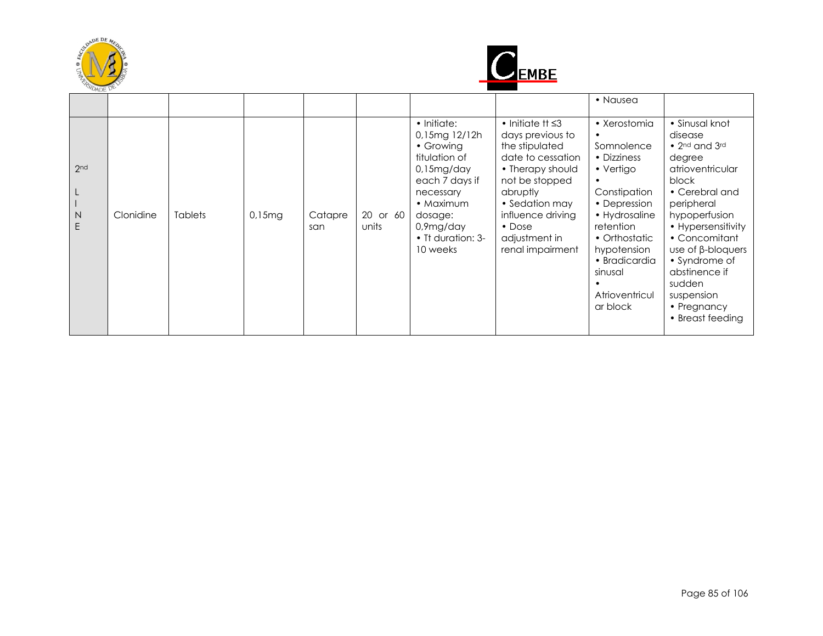



|          |           |                |        |                |                   |                                                                                                                                                                                  |                                                                                                                                                                                                                                           | • Nausea                                                                                                                                                                                                       |                                                                                                                                                                                                                                                                                                                                      |
|----------|-----------|----------------|--------|----------------|-------------------|----------------------------------------------------------------------------------------------------------------------------------------------------------------------------------|-------------------------------------------------------------------------------------------------------------------------------------------------------------------------------------------------------------------------------------------|----------------------------------------------------------------------------------------------------------------------------------------------------------------------------------------------------------------|--------------------------------------------------------------------------------------------------------------------------------------------------------------------------------------------------------------------------------------------------------------------------------------------------------------------------------------|
| 2nd<br>N | Clonidine | <b>Tablets</b> | 0.15mg | Catapre<br>san | 20 or 60<br>units | • Initiate:<br>0,15mg 12/12h<br>• Growing<br>titulation of<br>0.15mg/day<br>each 7 days if<br>necessary<br>• Maximum<br>dosage:<br>$0.9$ ma/day<br>• Tt duration: 3-<br>10 weeks | $\bullet$ Initiate tt $\leq$ 3<br>days previous to<br>the stipulated<br>date to cessation<br>• Therapy should<br>not be stopped<br>abruptly<br>• Sedation may<br>influence driving<br>$\bullet$ Dose<br>adjustment in<br>renal impairment | • Xerostomia<br>Somnolence<br>• Dizziness<br>• Vertigo<br>Constipation<br>• Depression<br>• Hydrosaline<br>retention<br>• Orthostatic<br>hypotension<br>• Bradicardia<br>sinusal<br>Atrioventricul<br>ar block | • Sinusal knot<br>disease<br>$\bullet$ 2 <sup>nd</sup> and 3 <sup>rd</sup><br>degree<br>atrioventricular<br>block<br>• Cerebral and<br>peripheral<br>hypoperfusion<br>• Hypersensitivity<br>• Concomitant<br>$use$ of $\beta$ -bloquers<br>• Syndrome of<br>abstinence if<br>sudden<br>suspension<br>• Pregnancy<br>• Breast feeding |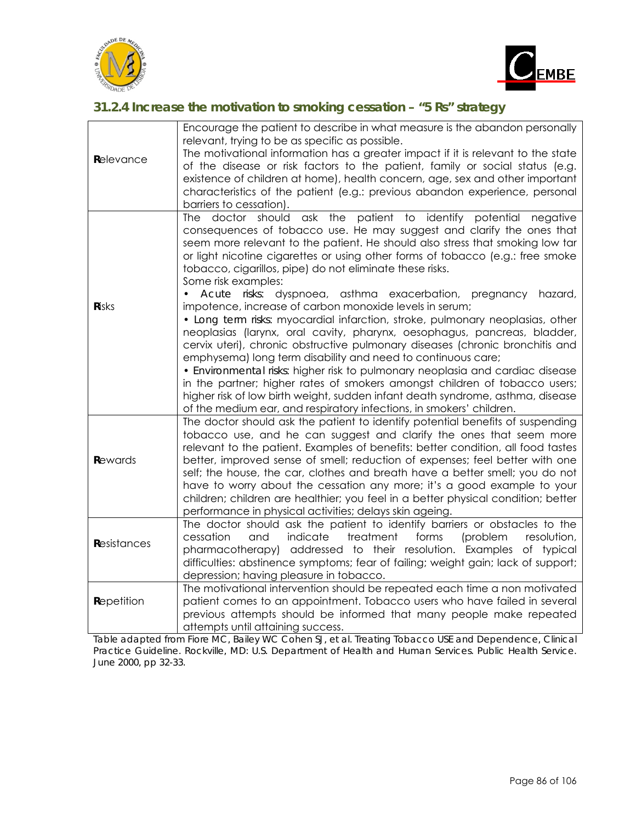



### **31.2.4 Increase the motivation to smoking cessation – "5 Rs" strategy**

| Relevance    | Encourage the patient to describe in what measure is the abandon personally<br>relevant, trying to be as specific as possible.<br>The motivational information has a greater impact if it is relevant to the state<br>of the disease or risk factors to the patient, family or social status (e.g.<br>existence of children at home), health concern, age, sex and other important<br>characteristics of the patient (e.g.: previous abandon experience, personal<br>barriers to cessation).                                                                                                                                                                                                                                                                                                                                                                                                                                                                                                                                                                                                        |
|--------------|-----------------------------------------------------------------------------------------------------------------------------------------------------------------------------------------------------------------------------------------------------------------------------------------------------------------------------------------------------------------------------------------------------------------------------------------------------------------------------------------------------------------------------------------------------------------------------------------------------------------------------------------------------------------------------------------------------------------------------------------------------------------------------------------------------------------------------------------------------------------------------------------------------------------------------------------------------------------------------------------------------------------------------------------------------------------------------------------------------|
| <b>Risks</b> | doctor should ask the<br>patient to identify potential negative<br>The<br>consequences of tobacco use. He may suggest and clarify the ones that<br>seem more relevant to the patient. He should also stress that smoking low tar<br>or light nicotine cigarettes or using other forms of tobacco (e.g.: free smoke<br>tobacco, cigarillos, pipe) do not eliminate these risks.<br>Some risk examples:<br>Acute risks: dyspnoea, asthma exacerbation, pregnancy<br>hazard,<br>impotence, increase of carbon monoxide levels in serum;<br>• Long term risks: myocardial infarction, stroke, pulmonary neoplasias, other<br>neoplasias (larynx, oral cavity, pharynx, oesophagus, pancreas, bladder,<br>cervix uteri), chronic obstructive pulmonary diseases (chronic bronchitis and<br>emphysema) long term disability and need to continuous care;<br>• Environmental risks: higher risk to pulmonary neoplasia and cardiac disease<br>in the partner; higher rates of smokers amongst children of tobacco users;<br>higher risk of low birth weight, sudden infant death syndrome, asthma, disease |
| Rewards      | of the medium ear, and respiratory infections, in smokers' children.<br>The doctor should ask the patient to identify potential benefits of suspending<br>tobacco use, and he can suggest and clarify the ones that seem more<br>relevant to the patient. Examples of benefits: better condition, all food tastes<br>better, improved sense of smell; reduction of expenses; feel better with one<br>self; the house, the car, clothes and breath have a better smell; you do not<br>have to worry about the cessation any more; it's a good example to your<br>children; children are healthier; you feel in a better physical condition; better<br>performance in physical activities; delays skin ageing.                                                                                                                                                                                                                                                                                                                                                                                        |
| Resistances  | The doctor should ask the patient to identify barriers or obstacles to the<br>cessation<br>and<br>indicate<br>treatment<br>resolution,<br>forms<br>(problem<br>pharmacotherapy) addressed to their resolution. Examples of typical<br>difficulties: abstinence symptoms; fear of failing; weight gain; lack of support;<br>depression; having pleasure in tobacco.                                                                                                                                                                                                                                                                                                                                                                                                                                                                                                                                                                                                                                                                                                                                  |
| Repetition   | The motivational intervention should be repeated each time a non motivated<br>patient comes to an appointment. Tobacco users who have failed in several<br>previous attempts should be informed that many people make repeated<br>attempts until attaining success.                                                                                                                                                                                                                                                                                                                                                                                                                                                                                                                                                                                                                                                                                                                                                                                                                                 |

*Table adapted from Fiore MC, Bailey WC Cohen SJ, et al. Treating Tobacco USE and Dependence, Clinical Practice Guideline. Rockville, MD: U.S. Department of Health and Human Services. Public Health Service. June 2000, pp 32-33.*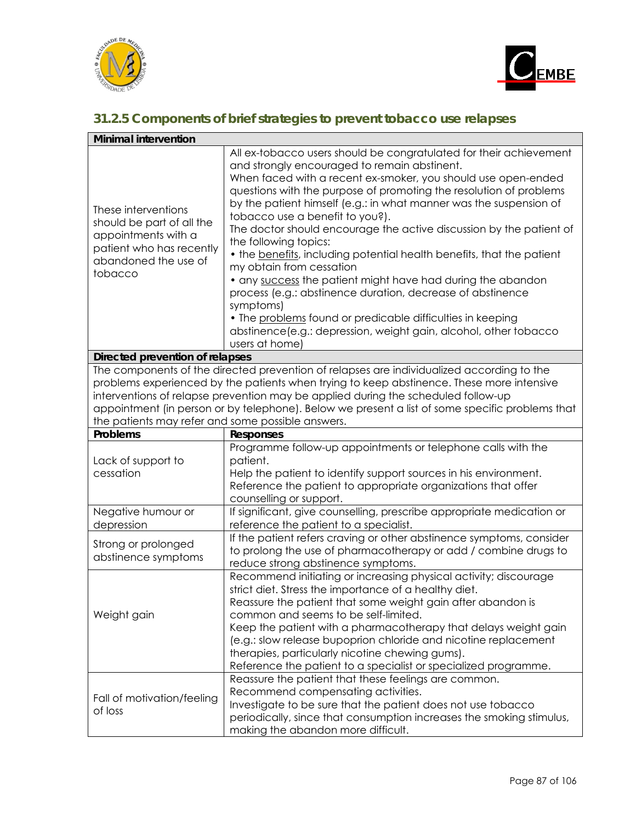



### **31.2.5 Components of brief strategies to prevent tobacco use relapses**

| <b>Minimal intervention</b>                                                                                                            |                                                                                                                                                                                                                                                                                                                                                                                                                                                                                                                                                                                                                                                                                                                                                                                                                                                      |
|----------------------------------------------------------------------------------------------------------------------------------------|------------------------------------------------------------------------------------------------------------------------------------------------------------------------------------------------------------------------------------------------------------------------------------------------------------------------------------------------------------------------------------------------------------------------------------------------------------------------------------------------------------------------------------------------------------------------------------------------------------------------------------------------------------------------------------------------------------------------------------------------------------------------------------------------------------------------------------------------------|
| These interventions<br>should be part of all the<br>appointments with a<br>patient who has recently<br>abandoned the use of<br>tobacco | All ex-tobacco users should be congratulated for their achievement<br>and strongly encouraged to remain abstinent.<br>When faced with a recent ex-smoker, you should use open-ended<br>questions with the purpose of promoting the resolution of problems<br>by the patient himself (e.g.: in what manner was the suspension of<br>tobacco use a benefit to you?).<br>The doctor should encourage the active discussion by the patient of<br>the following topics:<br>• the benefits, including potential health benefits, that the patient<br>my obtain from cessation<br>• any success the patient might have had during the abandon<br>process (e.g.: abstinence duration, decrease of abstinence<br>symptoms)<br>• The problems found or predicable difficulties in keeping<br>abstinence (e.g.: depression, weight gain, alcohol, other tobacco |
| Directed prevention of relapses                                                                                                        | users at home                                                                                                                                                                                                                                                                                                                                                                                                                                                                                                                                                                                                                                                                                                                                                                                                                                        |
| the patients may refer and some possible answers.                                                                                      | The components of the directed prevention of relapses are individualized according to the<br>problems experienced by the patients when trying to keep abstinence. These more intensive<br>interventions of relapse prevention may be applied during the scheduled follow-up<br>appointment (in person or by telephone). Below we present a list of some specific problems that                                                                                                                                                                                                                                                                                                                                                                                                                                                                       |
| Problems                                                                                                                               | <b>Responses</b>                                                                                                                                                                                                                                                                                                                                                                                                                                                                                                                                                                                                                                                                                                                                                                                                                                     |
| Lack of support to<br>cessation                                                                                                        | Programme follow-up appointments or telephone calls with the<br>patient.<br>Help the patient to identify support sources in his environment.<br>Reference the patient to appropriate organizations that offer<br>counselling or support.                                                                                                                                                                                                                                                                                                                                                                                                                                                                                                                                                                                                             |
| Negative humour or<br>depression                                                                                                       | If significant, give counselling, prescribe appropriate medication or<br>reference the patient to a specialist.                                                                                                                                                                                                                                                                                                                                                                                                                                                                                                                                                                                                                                                                                                                                      |
| Strong or prolonged<br>abstinence symptoms                                                                                             | If the patient refers craving or other abstinence symptoms, consider<br>to prolong the use of pharmacotherapy or add / combine drugs to<br>reduce strong abstinence symptoms.                                                                                                                                                                                                                                                                                                                                                                                                                                                                                                                                                                                                                                                                        |
| Weight gain                                                                                                                            | Recommend initiating or increasing physical activity; discourage<br>strict diet. Stress the importance of a healthy diet.<br>Reassure the patient that some weight gain after abandon is<br>common and seems to be self-limited.<br>Keep the patient with a pharmacotherapy that delays weight gain<br>(e.g.: slow release bupoprion chloride and nicotine replacement<br>therapies, particularly nicotine chewing gums).<br>Reference the patient to a specialist or specialized programme.                                                                                                                                                                                                                                                                                                                                                         |
| Fall of motivation/feeling<br>of loss                                                                                                  | Reassure the patient that these feelings are common.<br>Recommend compensating activities.<br>Investigate to be sure that the patient does not use tobacco<br>periodically, since that consumption increases the smoking stimulus,<br>making the abandon more difficult.                                                                                                                                                                                                                                                                                                                                                                                                                                                                                                                                                                             |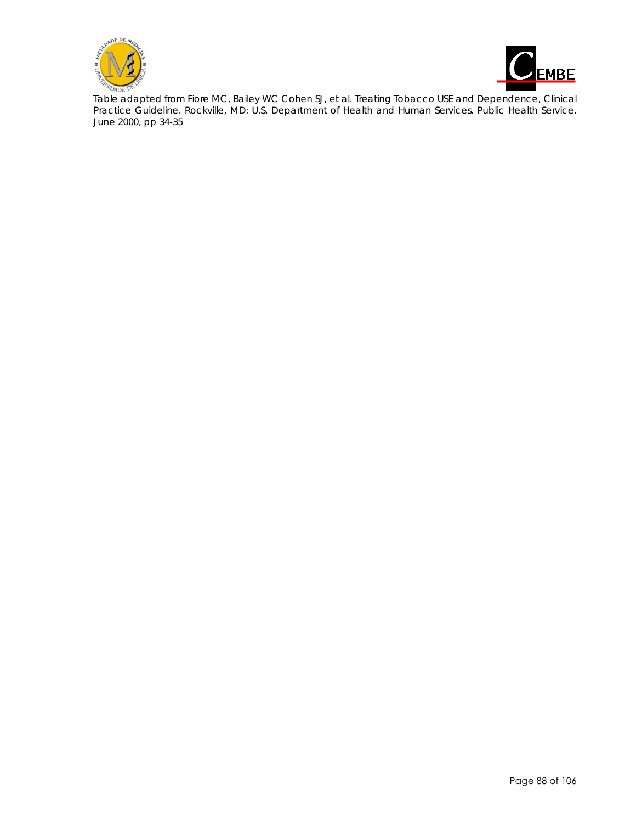



*Table adapted from Fiore MC, Bailey WC Cohen SJ, et al. Treating Tobacco USE and Dependence, Clinical Practice Guideline. Rockville, MD: U.S. Department of Health and Human Services. Public Health Service. June 2000, pp 34-35*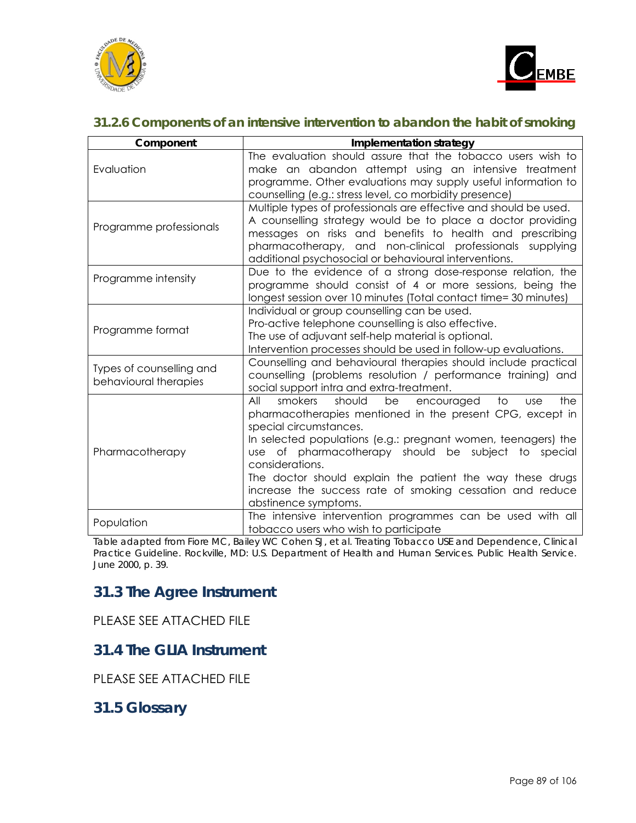



### **31.2.6 Components of an intensive intervention to abandon the habit of smoking**

| Component                                         | Implementation strategy                                                                                                                                                                                                                                                                                                                                                                                                                                     |
|---------------------------------------------------|-------------------------------------------------------------------------------------------------------------------------------------------------------------------------------------------------------------------------------------------------------------------------------------------------------------------------------------------------------------------------------------------------------------------------------------------------------------|
| Evaluation                                        | The evaluation should assure that the tobacco users wish to<br>make an abandon attempt using an intensive treatment                                                                                                                                                                                                                                                                                                                                         |
|                                                   | programme. Other evaluations may supply useful information to                                                                                                                                                                                                                                                                                                                                                                                               |
|                                                   | counselling (e.g.: stress level, co morbidity presence)                                                                                                                                                                                                                                                                                                                                                                                                     |
| Programme professionals                           | Multiple types of professionals are effective and should be used.<br>A counselling strategy would be to place a doctor providing<br>messages on risks and benefits to health and prescribing<br>pharmacotherapy, and non-clinical professionals supplying<br>additional psychosocial or behavioural interventions.                                                                                                                                          |
| Programme intensity                               | Due to the evidence of a strong dose-response relation, the<br>programme should consist of 4 or more sessions, being the<br>longest session over 10 minutes (Total contact time= 30 minutes)                                                                                                                                                                                                                                                                |
| Programme format                                  | Individual or group counselling can be used.<br>Pro-active telephone counselling is also effective.<br>The use of adjuvant self-help material is optional.<br>Intervention processes should be used in follow-up evaluations.                                                                                                                                                                                                                               |
| Types of counselling and<br>behavioural therapies | Counselling and behavioural therapies should include practical<br>counselling (problems resolution / performance training) and<br>social support intra and extra-treatment.                                                                                                                                                                                                                                                                                 |
| Pharmacotherapy                                   | should<br>All<br>smokers<br>be<br>encouraged<br>to<br>the<br><b>use</b><br>pharmacotherapies mentioned in the present CPG, except in<br>special circumstances.<br>In selected populations (e.g.: pregnant women, teenagers) the<br>use of pharmacotherapy should be subject to special<br>considerations.<br>The doctor should explain the patient the way these drugs<br>increase the success rate of smoking cessation and reduce<br>abstinence symptoms. |
| Population                                        | The intensive intervention programmes can be used with all<br>tobacco users who wish to participate                                                                                                                                                                                                                                                                                                                                                         |

*Table adapted from Fiore MC, Bailey WC Cohen SJ, et al. Treating Tobacco USE and Dependence, Clinical Practice Guideline. Rockville, MD: U.S. Department of Health and Human Services. Public Health Service. June 2000, p. 39.* 

### **31.3 The Agree Instrument**

PLEASE SEE ATTACHED FILE

### **31.4 The GLIA Instrument**

PLEASE SEE ATTACHED FILE

### **31.5 Glossary**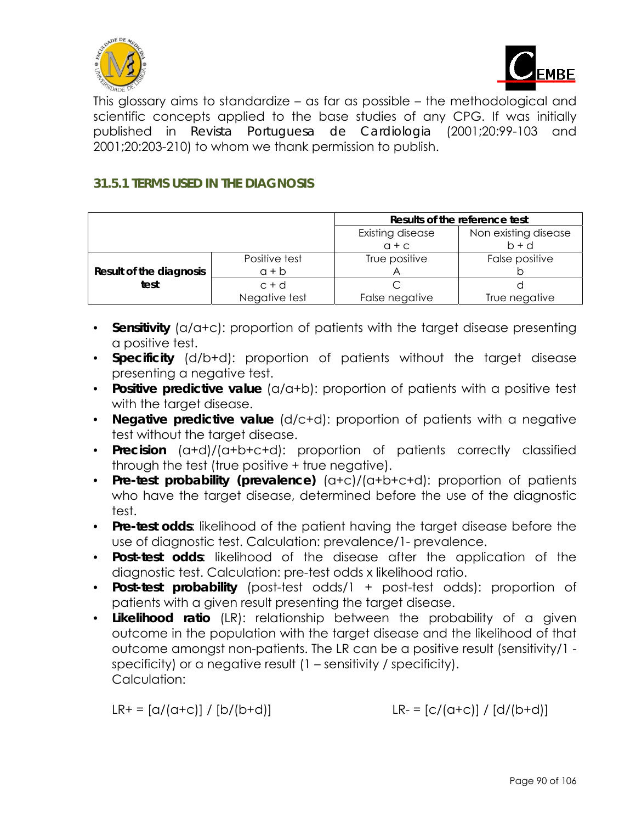



This glossary aims to standardize – as far as possible – the methodological and scientific concepts applied to the base studies of any CPG. If was initially published in *Revista Portuguesa de Cardiologia* (2001;20:99-103 and 2001;20:203-210) to whom we thank permission to publish.

### **31.5.1 TERMS USED IN THE DIAGNOSIS**

|                                |               | Results of the reference test |                      |  |
|--------------------------------|---------------|-------------------------------|----------------------|--|
|                                |               | Existing disease              | Non existing disease |  |
|                                |               | $Q + C$                       | $b + d$              |  |
|                                | Positive test | True positive                 | False positive       |  |
| <b>Result of the diagnosis</b> | $a + b$       |                               |                      |  |
| test                           | $c + d$       |                               |                      |  |
|                                | Negative test | False negative                | True negative        |  |

- **Sensitivity** (a/a+c): proportion of patients with the target disease presenting a positive test.
- **Specificity** (d/b+d): proportion of patients without the target disease presenting a negative test.
- **Positive predictive value** (a/a+b): proportion of patients with a positive test with the target disease.
- **Negative predictive value** (d/c+d): proportion of patients with a negative test without the target disease.
- **Precision** (a+d)/(a+b+c+d): proportion of patients correctly classified through the test (true positive + true negative).
- **Pre-test probability (prevalence)** (a+c)/(a+b+c+d): proportion of patients who have the target disease, determined before the use of the diagnostic test.
- **Pre-test odds**: likelihood of the patient having the target disease before the use of diagnostic test. Calculation: prevalence/1- prevalence.
- **Post-test odds**: likelihood of the disease after the application of the diagnostic test. Calculation: pre-test odds x likelihood ratio.
- **Post-test probability** (post-test odds/1 + post-test odds): proportion of patients with a given result presenting the target disease.
- **Likelihood ratio** (LR): relationship between the probability of a given outcome in the population with the target disease and the likelihood of that outcome amongst non-patients. The LR can be a positive result (sensitivity/1 specificity) or a negative result (1 – sensitivity / specificity). Calculation:

 $LR+ = [a/(a+c)] / [b/(b+d)]$   $LR- = [c/(a+c)] / [d/(b+d)]$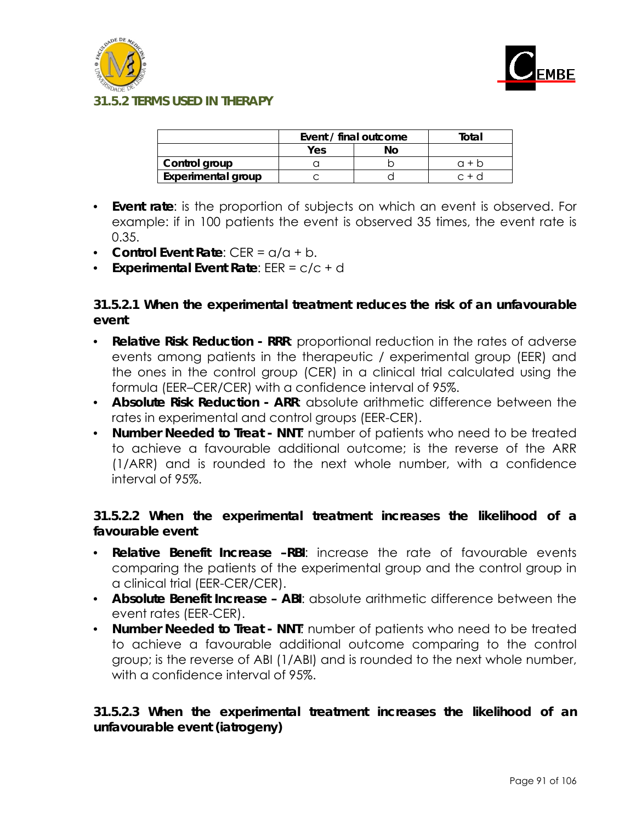



**31.5.2 TERMS USED IN THERAPY** 

|                    | Event / final outcome | Total |       |
|--------------------|-----------------------|-------|-------|
|                    | Yes                   |       |       |
| Control group      |                       |       | a + n |
| Experimental group |                       |       | r + 4 |

- **Event rate**: is the proportion of subjects on which an event is observed. For example: if in 100 patients the event is observed 35 times, the event rate is 0.35.
- **Control Event Rate**: CER = a/a + b.
- **Experimental Event Rate**: EER = c/c + d

#### **31.5.2.1 When the experimental treatment reduces the risk of an unfavourable event**

- **Relative Risk Reduction RRR:** proportional reduction in the rates of adverse events among patients in the therapeutic / experimental group (EER) and the ones in the control group (CER) in a clinical trial calculated using the formula (EER–CER/CER) with a confidence interval of 95%.
- **Absolute Risk Reduction ARR**: absolute arithmetic difference between the rates in experimental and control groups (EER-CER).
- **Number Needed to Treat NNT**: number of patients who need to be treated to achieve a favourable additional outcome; is the reverse of the ARR (1/ARR) and is rounded to the next whole number, with a confidence interval of 95%.

#### **31.5.2.2 When the experimental treatment increases the likelihood of a favourable event**

- **Relative Benefit Increase –RBI**: increase the rate of favourable events comparing the patients of the experimental group and the control group in a clinical trial (EER-CER/CER).
- **Absolute Benefit Increase ABI**: absolute arithmetic difference between the event rates (EER-CER).
- **Number Needed to Treat NNT**: number of patients who need to be treated to achieve a favourable additional outcome comparing to the control group; is the reverse of ABI (1/ABI) and is rounded to the next whole number, with a confidence interval of 95%.

#### **31.5.2.3 When the experimental treatment increases the likelihood of an unfavourable event (iatrogeny)**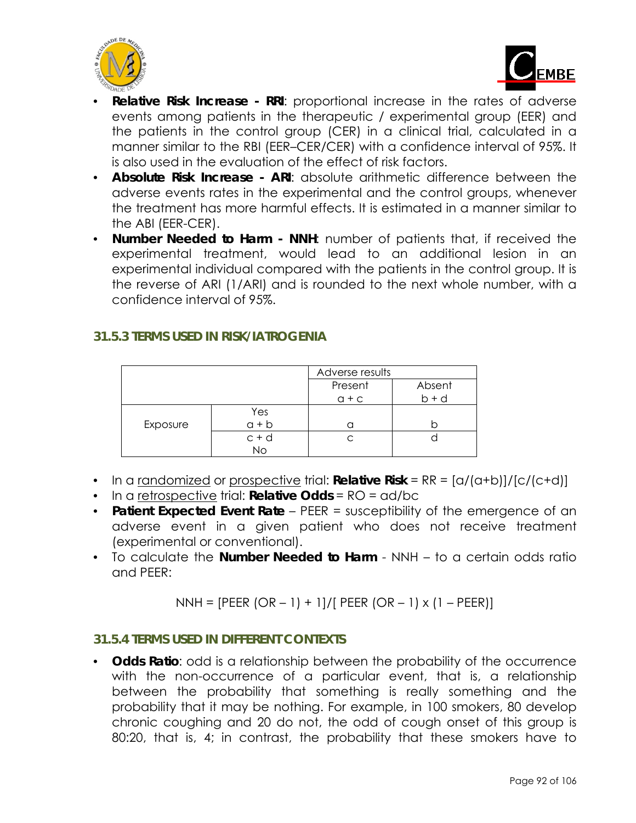



- **Relative Risk Increase RRI**: proportional increase in the rates of adverse events among patients in the therapeutic / experimental group (EER) and the patients in the control group (CER) in a clinical trial, calculated in a manner similar to the RBI (EER–CER/CER) with a confidence interval of 95%. It is also used in the evaluation of the effect of risk factors.
- **Absolute Risk Increase ARI**: absolute arithmetic difference between the adverse events rates in the experimental and the control groups, whenever the treatment has more harmful effects. It is estimated in a manner similar to the ABI (EER-CER).
- **Number Needed to Harm NNH**: number of patients that, if received the experimental treatment, would lead to an additional lesion in an experimental individual compared with the patients in the control group. It is the reverse of ARI (1/ARI) and is rounded to the next whole number, with a confidence interval of 95%.

### **31.5.3 TERMS USED IN RISK/IATROGENIA**

|          |           | Adverse results |         |
|----------|-----------|-----------------|---------|
|          |           | Present         | Absent  |
|          |           | $Q + C$         | $b + d$ |
|          | Yes       |                 |         |
| Exposure | $a + b$   |                 |         |
|          | $c + d$   | С               |         |
|          | <b>No</b> |                 |         |

- In a randomized or prospective trial: **Relative Risk** = RR = [a/(a+b)]/[c/(c+d)]
- In a retrospective trial: **Relative Odds** = RO = ad/bc
- **Patient Expected Event Rate** PEER = susceptibility of the emergence of an adverse event in a given patient who does not receive treatment (experimental or conventional).
- To calculate the **Number Needed to Harm** NNH to a certain odds ratio and PEER:

NNH = [PEER (OR – 1) + 1]/[ PEER (OR – 1) x (1 – PEER)]

#### **31.5.4 TERMS USED IN DIFFERENT CONTEXTS**

• **Odds Ratio**: odd is a relationship between the probability of the occurrence with the non-occurrence of a particular event, that is, a relationship between the probability that something is really something and the probability that it may be nothing. For example, in 100 smokers, 80 develop chronic coughing and 20 do not, the odd of cough onset of this group is 80:20, that is, 4; in contrast, the probability that these smokers have to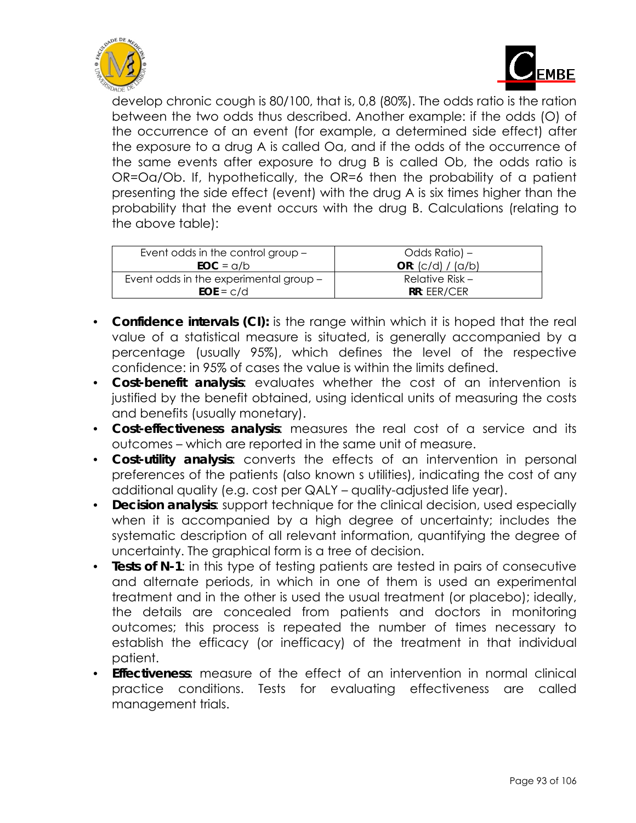



develop chronic cough is 80/100, that is, 0,8 (80%). The odds ratio is the ration between the two odds thus described. Another example: if the odds (O) of the occurrence of an event (for example, a determined side effect) after the exposure to a drug A is called Oa, and if the odds of the occurrence of the same events after exposure to drug B is called Ob, the odds ratio is OR=Oa/Ob. If, hypothetically, the OR=6 then the probability of a patient presenting the side effect (event) with the drug A is six times higher than the probability that the event occurs with the drug B. Calculations (relating to the above table):

| Event odds in the control group $-$    | Odds Ratio) –            |
|----------------------------------------|--------------------------|
| $EOC = a/b$                            | <b>OR:</b> (c/d) / (a/b) |
| Event odds in the experimental group - | Relative Risk –          |
| $EOE = c/d$                            | <b>RR: EER/CER</b>       |

- **Confidence intervals (CI):** is the range within which it is hoped that the real value of a statistical measure is situated, is generally accompanied by a percentage (usually 95%), which defines the level of the respective confidence: in 95% of cases the value is within the limits defined.
- **Cost-benefit analysis**: evaluates whether the cost of an intervention is justified by the benefit obtained, using identical units of measuring the costs and benefits (usually monetary).
- **Cost-effectiveness analysis**: measures the real cost of a service and its outcomes – which are reported in the same unit of measure.
- **Cost-utility analysis**: converts the effects of an intervention in personal preferences of the patients (also known s utilities), indicating the cost of any additional quality (e.g. cost per QALY – quality-adjusted life year).
- **Decision analysis**: support technique for the clinical decision, used especially when it is accompanied by a high degree of uncertainty; includes the systematic description of all relevant information, quantifying the degree of uncertainty. The graphical form is a tree of decision.
- **Tests of N-1**: in this type of testing patients are tested in pairs of consecutive and alternate periods, in which in one of them is used an experimental treatment and in the other is used the usual treatment (or placebo); ideally, the details are concealed from patients and doctors in monitoring outcomes; this process is repeated the number of times necessary to establish the efficacy (or inefficacy) of the treatment in that individual patient.
- **Effectiveness**: measure of the effect of an intervention in normal clinical practice conditions. Tests for evaluating effectiveness are called management trials.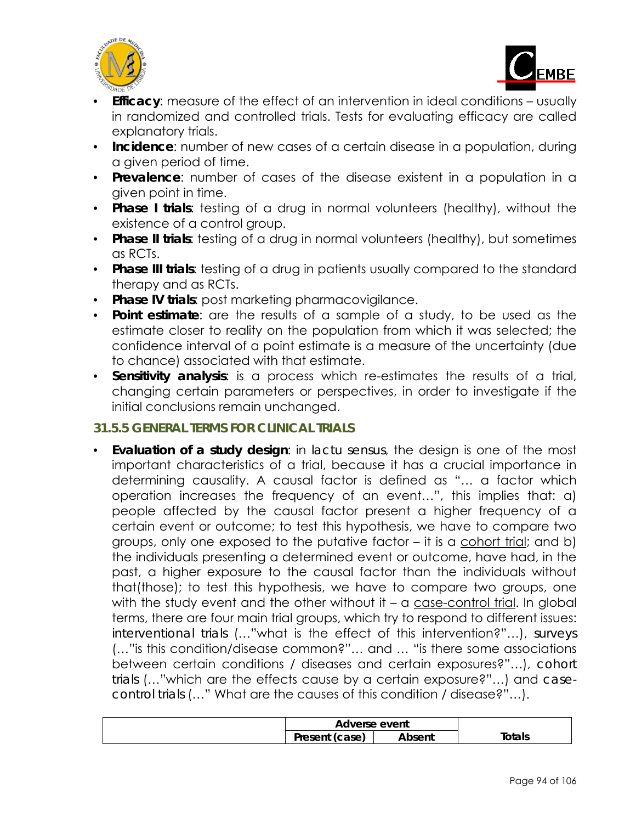



- **Efficacy:** measure of the effect of an intervention in ideal conditions usually in randomized and controlled trials. Tests for evaluating efficacy are called explanatory trials.
- **Incidence**: number of new cases of a certain disease in a population, during a given period of time.
- **Prevalence**: number of cases of the disease existent in a population in a given point in time.
- **Phase I trials**: testing of a drug in normal volunteers (healthy), without the existence of a control group.
- **Phase II trials**: testing of a drug in normal volunteers (healthy), but sometimes as RCTs.
- **Phase III trials**: testing of a drug in patients usually compared to the standard therapy and as RCTs.
- **Phase IV trials**: post marketing pharmacovigilance.
- **Point estimate**: are the results of a sample of a study, to be used as the estimate closer to reality on the population from which it was selected; the confidence interval of a point estimate is a measure of the uncertainty (due to chance) associated with that estimate.
- **Sensitivity analysis**: is a process which re-estimates the results of a trial, changing certain parameters or perspectives, in order to investigate if the initial conclusions remain unchanged.

### **31.5.5 GENERAL TERMS FOR CLINICAL TRIALS**

• **Evaluation of a study design**: in *lactu sensus*, the design is one of the most important characteristics of a trial, because it has a crucial importance in determining causality. A causal factor is defined as "… a factor which operation increases the frequency of an event…", this implies that: a) people affected by the causal factor present a higher frequency of a certain event or outcome; to test this hypothesis, we have to compare two groups, only one exposed to the putative factor – it is a cohort trial; and b) the individuals presenting a determined event or outcome, have had, in the past, a higher exposure to the causal factor than the individuals without that(those); to test this hypothesis, we have to compare two groups, one with the study event and the other without it  $-$  a case-control trial. In global terms, there are four main trial groups, which try to respond to different issues: *interventional trials* (…"what is the effect of this intervention?"…), *surveys* (…"is this condition/disease common?"… and … "is there some associations between certain conditions / diseases and certain exposures?"…), *cohort trials* (…"which are the effects cause by a certain exposure?"…) and *casecontrol trials* (…" What are the causes of this condition / disease?"…).

| Adverse event  |        |                    |  |
|----------------|--------|--------------------|--|
| Present (case) | Absent | <sup>r</sup> otals |  |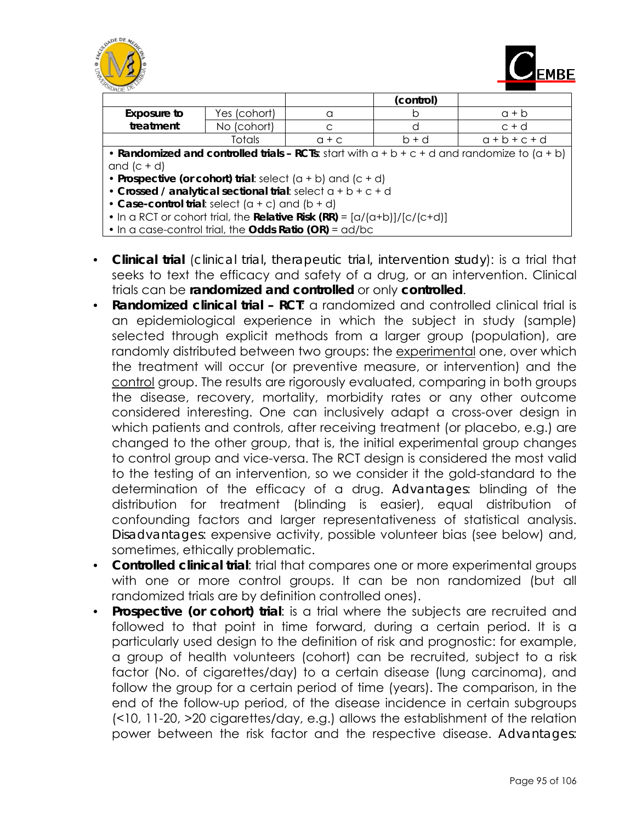



| PS/DADE DE                                                                        |                                                                                                  |         |           |           |  |
|-----------------------------------------------------------------------------------|--------------------------------------------------------------------------------------------------|---------|-----------|-----------|--|
|                                                                                   |                                                                                                  |         | (control) |           |  |
| <b>Exposure to</b>                                                                | Yes (cohort)                                                                                     | U       | n         | $a + b$   |  |
| treatment                                                                         | No (cohort)                                                                                      | C       | U         | $c + d$   |  |
|                                                                                   | Totals                                                                                           | $Q + C$ | $b + d$   | $a+b+c+d$ |  |
|                                                                                   | • Randomized and controlled trials – RCTs: start with $a + b + c + d$ and randomize to $(a + b)$ |         |           |           |  |
| and $(c + d)$                                                                     |                                                                                                  |         |           |           |  |
| • Prospective (or cohort) trial: select $(a + b)$ and $(c + d)$                   |                                                                                                  |         |           |           |  |
| • Crossed / analytical sectional trial: select $a + b + c + d$                    |                                                                                                  |         |           |           |  |
| • Case-control trial: select $(a + c)$ and $(b + d)$                              |                                                                                                  |         |           |           |  |
| • In a RCT or cohort trial, the Relative Risk $(RR) = \frac{a}{(a+b)}[(c/(c+d))]$ |                                                                                                  |         |           |           |  |
| $\bullet$ In a case-control trial, the Odds Ratio (OR) = $\alpha d/bc$            |                                                                                                  |         |           |           |  |

- **Clinical trial** (*clinical trial, therapeutic trial, intervention study*): is a trial that seeks to text the efficacy and safety of a drug, or an intervention. Clinical trials can be **randomized and controlled** or only **controlled**.
- **Randomized clinical trial RCT:** a randomized and controlled clinical trial is an epidemiological experience in which the subject in study (sample) selected through explicit methods from a larger group (population), are randomly distributed between two groups: the experimental one, over which the treatment will occur (or preventive measure, or intervention) and the control group. The results are rigorously evaluated, comparing in both groups the disease, recovery, mortality, morbidity rates or any other outcome considered interesting. One can inclusively adapt a cross-over design in which patients and controls, after receiving treatment (or placebo, e.g.) are changed to the other group, that is, the initial experimental group changes to control group and vice-versa. The RCT design is considered the most valid to the testing of an intervention, so we consider it the gold-standard to the determination of the efficacy of a drug. *Advantages*: blinding of the distribution for treatment (blinding is easier), equal distribution of confounding factors and larger representativeness of statistical analysis. *Disadvantages*: expensive activity, possible volunteer bias (see below) and, sometimes, ethically problematic.
- **Controlled clinical trial**: trial that compares one or more experimental groups with one or more control groups. It can be non randomized (but all randomized trials are by definition controlled ones).
- **Prospective (or cohort) trial:** is a trial where the subjects are recruited and followed to that point in time forward, during a certain period. It is a particularly used design to the definition of risk and prognostic: for example, a group of health volunteers (cohort) can be recruited, subject to a risk factor (No. of cigarettes/day) to a certain disease (lung carcinoma), and follow the group for a certain period of time (years). The comparison, in the end of the follow-up period, of the disease incidence in certain subgroups (<10, 11-20, >20 cigarettes/day, e.g.) allows the establishment of the relation power between the risk factor and the respective disease. *Advantages*: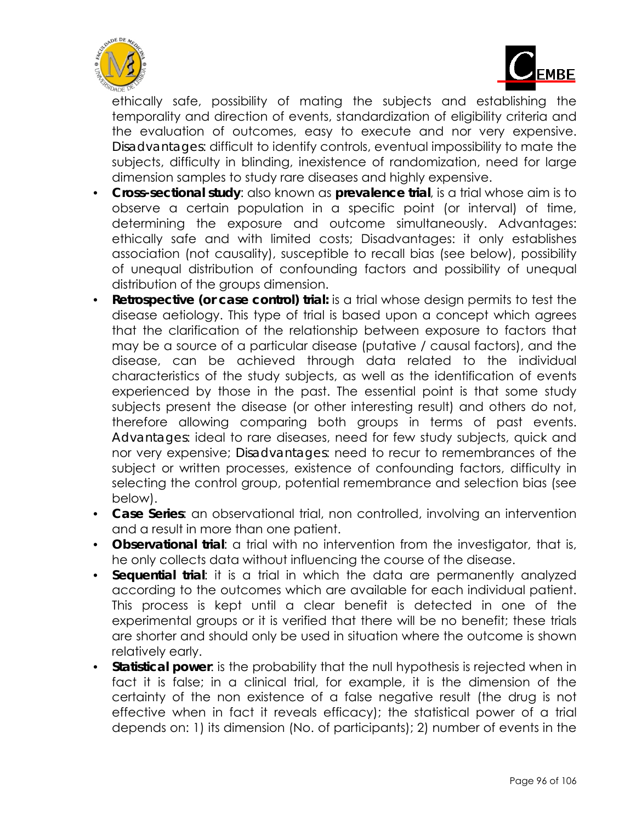



ethically safe, possibility of mating the subjects and establishing the temporality and direction of events, standardization of eligibility criteria and the evaluation of outcomes, easy to execute and nor very expensive. *Disadvantages*: difficult to identify controls, eventual impossibility to mate the subjects, difficulty in blinding, inexistence of randomization, need for large dimension samples to study rare diseases and highly expensive.

- **Cross-sectional study**: also known as **prevalence trial**, is a trial whose aim is to observe a certain population in a specific point (or interval) of time, determining the exposure and outcome simultaneously. Advantages: ethically safe and with limited costs; Disadvantages: it only establishes association (not causality), susceptible to recall bias (see below), possibility of unequal distribution of confounding factors and possibility of unequal distribution of the groups dimension.
- **Retrospective (or case control) trial:** is a trial whose design permits to test the disease aetiology. This type of trial is based upon a concept which agrees that the clarification of the relationship between exposure to factors that may be a source of a particular disease (putative / causal factors), and the disease, can be achieved through data related to the individual characteristics of the study subjects, as well as the identification of events experienced by those in the past. The essential point is that some study subjects present the disease (or other interesting result) and others do not, therefore allowing comparing both groups in terms of past events. *Advantages*: ideal to rare diseases, need for few study subjects, quick and nor very expensive; *Disadvantages*: need to recur to remembrances of the subject or written processes, existence of confounding factors, difficulty in selecting the control group, potential remembrance and selection bias (see below).
- **Case Series**: an observational trial, non controlled, involving an intervention and a result in more than one patient.
- **Observational trial**: a trial with no intervention from the investigator, that is, he only collects data without influencing the course of the disease.
- **Sequential trial**: it is a trial in which the data are permanently analyzed according to the outcomes which are available for each individual patient. This process is kept until a clear benefit is detected in one of the experimental groups or it is verified that there will be no benefit; these trials are shorter and should only be used in situation where the outcome is shown relatively early.
- **Statistical power:** is the probability that the null hypothesis is rejected when in fact it is false; in a clinical trial, for example, it is the dimension of the certainty of the non existence of a false negative result (the drug is not effective when in fact it reveals efficacy); the statistical power of a trial depends on: 1) its dimension (No. of participants); 2) number of events in the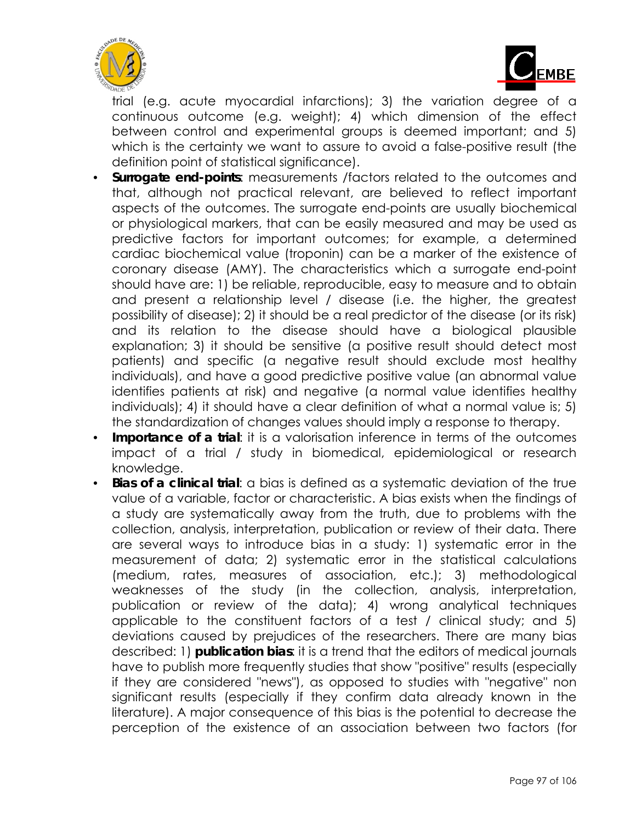



trial (e.g. acute myocardial infarctions); 3) the variation degree of a continuous outcome (e.g. weight); 4) which dimension of the effect between control and experimental groups is deemed important; and 5) which is the certainty we want to assure to avoid a false-positive result (the definition point of statistical significance).

- **Surrogate end-points**: measurements /factors related to the outcomes and that, although not practical relevant, are believed to reflect important aspects of the outcomes. The surrogate end-points are usually biochemical or physiological markers, that can be easily measured and may be used as predictive factors for important outcomes; for example, a determined cardiac biochemical value (troponin) can be a marker of the existence of coronary disease (AMY). The characteristics which a surrogate end-point should have are: 1) be reliable, reproducible, easy to measure and to obtain and present a relationship level / disease (i.e. the higher, the greatest possibility of disease); 2) it should be a real predictor of the disease (or its risk) and its relation to the disease should have a biological plausible explanation; 3) it should be sensitive (a positive result should detect most patients) and specific (a negative result should exclude most healthy individuals), and have a good predictive positive value (an abnormal value identifies patients at risk) and negative (a normal value identifies healthy individuals); 4) it should have a clear definition of what a normal value is; 5) the standardization of changes values should imply a response to therapy.
- **Importance of a trial:** it is a valorisation inference in terms of the outcomes impact of a trial / study in biomedical, epidemiological or research knowledge.
- **Bias of a clinical trial**: a bias is defined as a systematic deviation of the true value of a variable, factor or characteristic. A bias exists when the findings of a study are systematically away from the truth, due to problems with the collection, analysis, interpretation, publication or review of their data. There are several ways to introduce bias in a study: 1) systematic error in the measurement of data; 2) systematic error in the statistical calculations (medium, rates, measures of association, etc.); 3) methodological weaknesses of the study (in the collection, analysis, interpretation, publication or review of the data); 4) wrong analytical techniques applicable to the constituent factors of a test / clinical study; and 5) deviations caused by prejudices of the researchers. There are many bias described: 1) **publication bias**: it is a trend that the editors of medical journals have to publish more frequently studies that show "positive" results (especially if they are considered "news"), as opposed to studies with "negative" non significant results (especially if they confirm data already known in the literature). A major consequence of this bias is the potential to decrease the perception of the existence of an association between two factors (for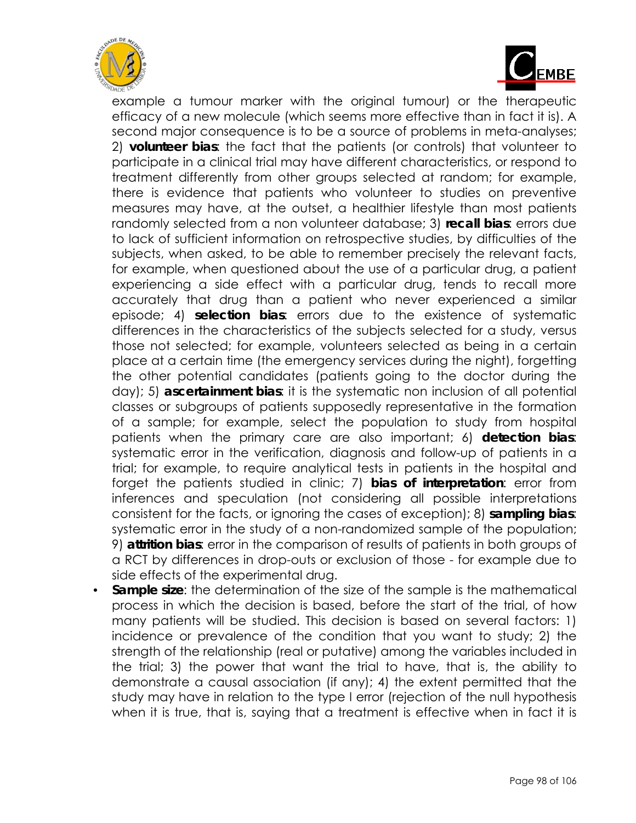



example a tumour marker with the original tumour) or the therapeutic efficacy of a new molecule (which seems more effective than in fact it is). A second major consequence is to be a source of problems in meta-analyses; 2) **volunteer bias**: the fact that the patients (or controls) that volunteer to participate in a clinical trial may have different characteristics, or respond to treatment differently from other groups selected at random; for example, there is evidence that patients who volunteer to studies on preventive measures may have, at the outset, a healthier lifestyle than most patients randomly selected from a non volunteer database; 3) **recall bias**: errors due to lack of sufficient information on retrospective studies, by difficulties of the subjects, when asked, to be able to remember precisely the relevant facts, for example, when questioned about the use of a particular drug, a patient experiencing a side effect with a particular drug, tends to recall more accurately that drug than a patient who never experienced a similar episode; 4) **selection bias**: errors due to the existence of systematic differences in the characteristics of the subjects selected for a study, versus those not selected; for example, volunteers selected as being in a certain place at a certain time (the emergency services during the night), forgetting the other potential candidates (patients going to the doctor during the day); 5) **ascertainment bias**: it is the systematic non inclusion of all potential classes or subgroups of patients supposedly representative in the formation of a sample; for example, select the population to study from hospital patients when the primary care are also important; 6) **detection bias**: systematic error in the verification, diagnosis and follow-up of patients in a trial; for example, to require analytical tests in patients in the hospital and forget the patients studied in clinic; 7) **bias of interpretation**: error from inferences and speculation (not considering all possible interpretations consistent for the facts, or ignoring the cases of exception); 8) **sampling bias**: systematic error in the study of a non-randomized sample of the population; 9) **attrition bias**: error in the comparison of results of patients in both groups of a RCT by differences in drop-outs or exclusion of those - for example due to side effects of the experimental drug.

**Sample size:** the determination of the size of the sample is the mathematical process in which the decision is based, before the start of the trial, of how many patients will be studied. This decision is based on several factors: 1) incidence or prevalence of the condition that you want to study; 2) the strength of the relationship (real or putative) among the variables included in the trial; 3) the power that want the trial to have, that is, the ability to demonstrate a causal association (if any); 4) the extent permitted that the study may have in relation to the type I error (rejection of the null hypothesis when it is true, that is, saying that a treatment is effective when in fact it is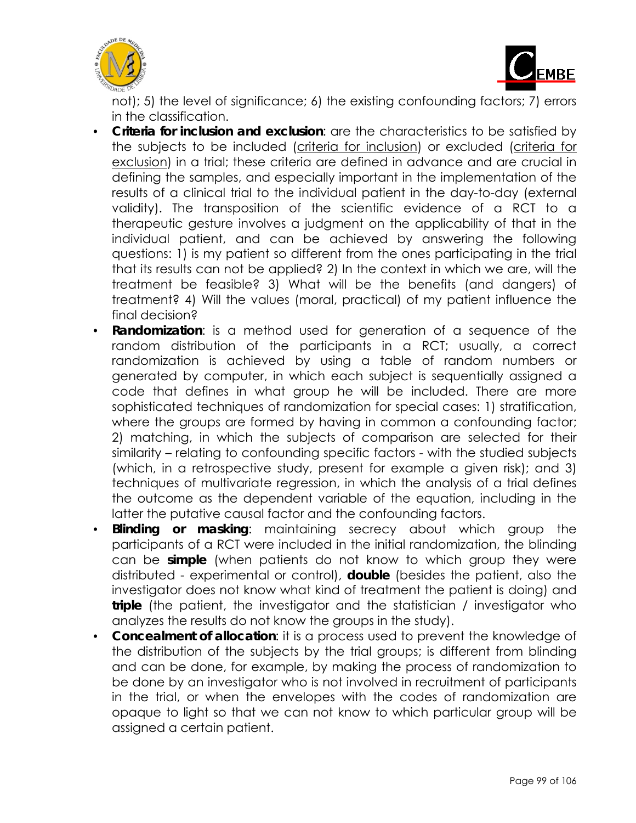



not); 5) the level of significance; 6) the existing confounding factors; 7) errors in the classification.

- **Criteria for inclusion and exclusion**: are the characteristics to be satisfied by the subjects to be included (criteria for inclusion) or excluded (criteria for exclusion) in a trial; these criteria are defined in advance and are crucial in defining the samples, and especially important in the implementation of the results of a clinical trial to the individual patient in the day-to-day (external validity). The transposition of the scientific evidence of a RCT to a therapeutic gesture involves a judgment on the applicability of that in the individual patient, and can be achieved by answering the following questions: 1) is my patient so different from the ones participating in the trial that its results can not be applied? 2) In the context in which we are, will the treatment be feasible? 3) What will be the benefits (and dangers) of treatment? 4) Will the values (moral, practical) of my patient influence the final decision?
- **Randomization**: is a method used for generation of a sequence of the random distribution of the participants in a RCT; usually, a correct randomization is achieved by using a table of random numbers or generated by computer, in which each subject is sequentially assigned a code that defines in what group he will be included. There are more sophisticated techniques of randomization for special cases: 1) stratification, where the groups are formed by having in common a confounding factor; 2) matching, in which the subjects of comparison are selected for their similarity – relating to confounding specific factors - with the studied subjects (which, in a retrospective study, present for example a given risk); and 3) techniques of multivariate regression, in which the analysis of a trial defines the outcome as the dependent variable of the equation, including in the latter the putative causal factor and the confounding factors.
- **Blinding or masking**: maintaining secrecy about which group the participants of a RCT were included in the initial randomization, the blinding can be **simple** (when patients do not know to which group they were distributed - experimental or control), **double** (besides the patient, also the investigator does not know what kind of treatment the patient is doing) and **triple** (the patient, the investigator and the statistician / investigator who analyzes the results do not know the groups in the study).
- **Concealment of allocation**: it is a process used to prevent the knowledge of the distribution of the subjects by the trial groups; is different from blinding and can be done, for example, by making the process of randomization to be done by an investigator who is not involved in recruitment of participants in the trial, or when the envelopes with the codes of randomization are opaque to light so that we can not know to which particular group will be assigned a certain patient.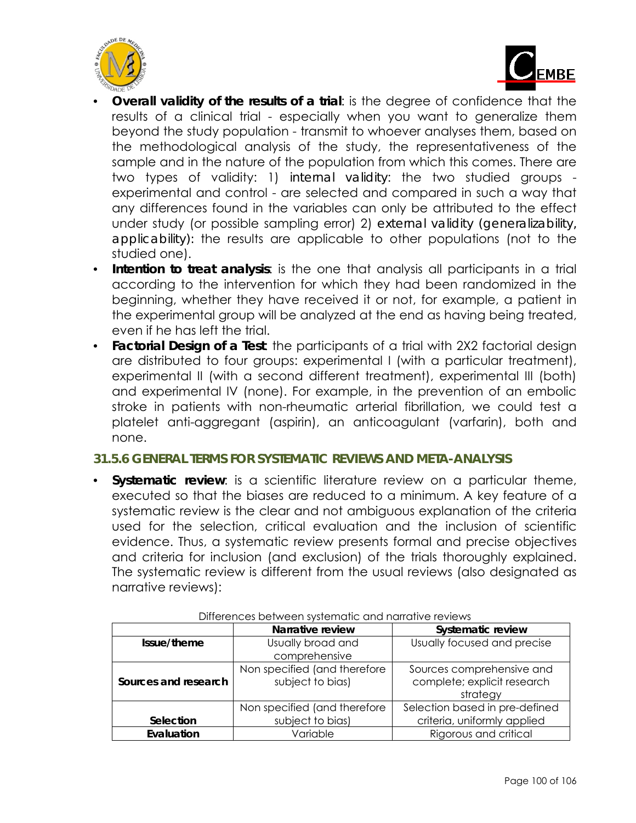



- **Overall validity of the results of a trial**: is the degree of confidence that the results of a clinical trial - especially when you want to generalize them beyond the study population - transmit to whoever analyses them, based on the methodological analysis of the study, the representativeness of the sample and in the nature of the population from which this comes. There are two types of validity: 1) *internal validity*: the two studied groups experimental and control - are selected and compared in such a way that any differences found in the variables can only be attributed to the effect under study (or possible sampling error) 2) *external validity (generalizability, applicability):* the results are applicable to other populations (not to the studied one).
- **Intention to treat analysis**: is the one that analysis all participants in a trial according to the intervention for which they had been randomized in the beginning, whether they have received it or not, for example, a patient in the experimental group will be analyzed at the end as having being treated, even if he has left the trial.
- **Factorial Design of a Test**: the participants of a trial with 2X2 factorial design are distributed to four groups: experimental I (with a particular treatment), experimental II (with a second different treatment), experimental III (both) and experimental IV (none). For example, in the prevention of an embolic stroke in patients with non-rheumatic arterial fibrillation, we could test a platelet anti-aggregant (aspirin), an anticoagulant (varfarin), both and none.

#### **31.5.6 GENERAL TERMS FOR SYSTEMATIC REVIEWS AND META-ANALYSIS**

**Systematic review:** is a scientific literature review on a particular theme, executed so that the biases are reduced to a minimum. A key feature of a systematic review is the clear and not ambiguous explanation of the criteria used for the selection, critical evaluation and the inclusion of scientific evidence. Thus, a systematic review presents formal and precise objectives and criteria for inclusion (and exclusion) of the trials thoroughly explained. The systematic review is different from the usual reviews (also designated as narrative reviews):

|                      | Narrative review             | <b>Systematic review</b>       |  |
|----------------------|------------------------------|--------------------------------|--|
| Issue/theme          | Usually broad and            | Usually focused and precise    |  |
|                      | comprehensive                |                                |  |
|                      | Non specified (and therefore | Sources comprehensive and      |  |
| Sources and research | subject to bias)             | complete; explicit research    |  |
|                      |                              | strategy                       |  |
|                      | Non specified (and therefore | Selection based in pre-defined |  |
| Selection            | subject to bias)             | criteria, uniformly applied    |  |
| Evaluation           | Variable                     | Rigorous and critical          |  |

Differences between systematic and narrative reviews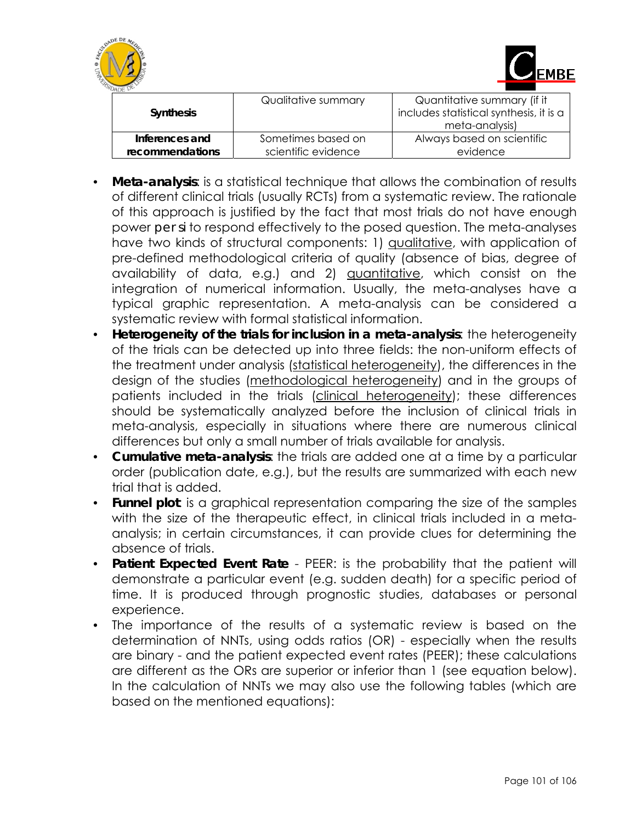



| JADE DE          |                     |                                                                                          |
|------------------|---------------------|------------------------------------------------------------------------------------------|
| <b>Synthesis</b> | Qualitative summary | Quantitative summary (if it<br>includes statistical synthesis, it is a<br>meta-analysis) |
| Inferences and   | Sometimes based on  | Always based on scientific                                                               |
| recommendations  | scientific evidence | evidence                                                                                 |

- **Meta-analysis**: is a statistical technique that allows the combination of results of different clinical trials (usually RCTs) from a systematic review. The rationale of this approach is justified by the fact that most trials do not have enough power *per si* to respond effectively to the posed question. The meta-analyses have two kinds of structural components: 1) qualitative, with application of pre-defined methodological criteria of quality (absence of bias, degree of availability of data, e.g.) and 2) quantitative, which consist on the integration of numerical information. Usually, the meta-analyses have a typical graphic representation. A meta-analysis can be considered a systematic review with formal statistical information.
- **Heterogeneity of the trials for inclusion in a meta-analysis**: the heterogeneity of the trials can be detected up into three fields: the non-uniform effects of the treatment under analysis (statistical heterogeneity), the differences in the design of the studies (methodological heterogeneity) and in the groups of patients included in the trials (clinical heterogeneity); these differences should be systematically analyzed before the inclusion of clinical trials in meta-analysis, especially in situations where there are numerous clinical differences but only a small number of trials available for analysis.
- **Cumulative meta-analysis**: the trials are added one at a time by a particular order (publication date, e.g.), but the results are summarized with each new trial that is added.
- **Funnel plot:** is a graphical representation comparing the size of the samples with the size of the therapeutic effect, in clinical trials included in a metaanalysis; in certain circumstances, it can provide clues for determining the absence of trials.
- **Patient Expected Event Rate** PEER: is the probability that the patient will demonstrate a particular event (e.g. sudden death) for a specific period of time. It is produced through prognostic studies, databases or personal experience.
- The importance of the results of a systematic review is based on the determination of NNTs, using odds ratios (OR) - especially when the results are binary - and the patient expected event rates (PEER); these calculations are different as the ORs are superior or inferior than 1 (see equation below). In the calculation of NNTs we may also use the following tables (which are based on the mentioned equations):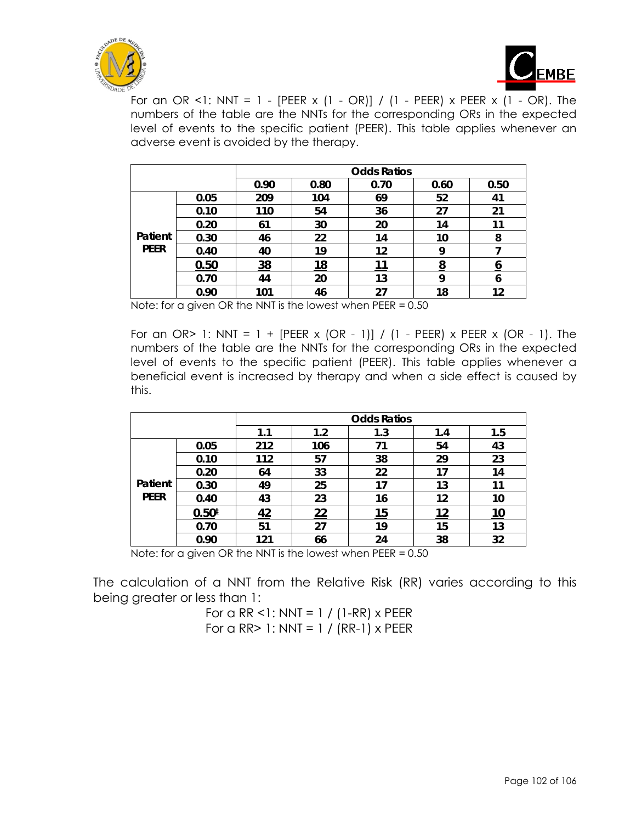



For an OR <1: NNT = 1 - [PEER x (1 - OR)] / (1 - PEER) x PEER x (1 - OR). The numbers of the table are the NNTs for the corresponding ORs in the expected level of events to the specific patient (PEER). This table applies whenever an adverse event is avoided by the therapy.

|             |      | <b>Odds Ratios</b> |            |         |          |          |
|-------------|------|--------------------|------------|---------|----------|----------|
|             |      | 0.90               | 0.80       | 0.70    | 0.60     | 0.50     |
|             | 0.05 | 209                | 104        | 69      | 52       | 41       |
|             | 0.10 | 110                | 54         | 36      | 27       | 21       |
|             | 0.20 | 61                 | 30         | 20      | 14       | 11       |
| Patient     | 0.30 | 46                 | 22         | 14      | 10       | 8        |
| <b>PEER</b> | 0.40 | 40                 | 19         | $12 \,$ | Q        |          |
|             | 0.50 | <u>38</u>          | <u> 18</u> |         | <u>8</u> | <u>0</u> |
|             | 0.70 | 44                 | 20         | 13      | Q        | 6        |
|             | 0.90 | 101                | 46         | 27      | 18       | 12       |

Note: for a given OR the NNT is the lowest when PEER = 0.50

For an OR> 1: NNT = 1 + [PEER x (OR - 1)] / (1 - PEER) x PEER x (OR - 1). The numbers of the table are the NNTs for the corresponding ORs in the expected level of events to the specific patient (PEER). This table applies whenever a beneficial event is increased by therapy and when a side effect is caused by this.

|                        |                   | <b>Odds Ratios</b> |                 |            |            |            |
|------------------------|-------------------|--------------------|-----------------|------------|------------|------------|
|                        |                   | 1.1                | 1.2             | 1.3        | 1.4        | 1.5        |
| Patient<br><b>PEER</b> | 0.05              | 212                | 106             | 71         | 54         | 43         |
|                        | 0.10              | 112                | 57              | 38         | 29         | 23         |
|                        | 0.20              | 64                 | 33              | 22         | 17         | 14         |
|                        | 0.30              | 49                 | 25              | 17         | 13         |            |
|                        | 0.40              | 43                 | 23              | 16         | 12         | 10         |
|                        | 0.50 <sup>t</sup> | <u>42</u>          | $\overline{22}$ | <u> 15</u> | <u> 12</u> | <u> 10</u> |
|                        | 0.70              | 51                 | 27              | 19         | 15         | 13         |
|                        | 0.90              | 121                | 66              | 24         | 38         | 32         |

Note: for a given OR the NNT is the lowest when PEER = 0.50

The calculation of a NNT from the Relative Risk (RR) varies according to this being greater or less than 1:

> For a RR <1: NNT =  $1 / (1-RR) \times PEER$ For a RR $> 1$ : NNT = 1 / (RR-1) x PEER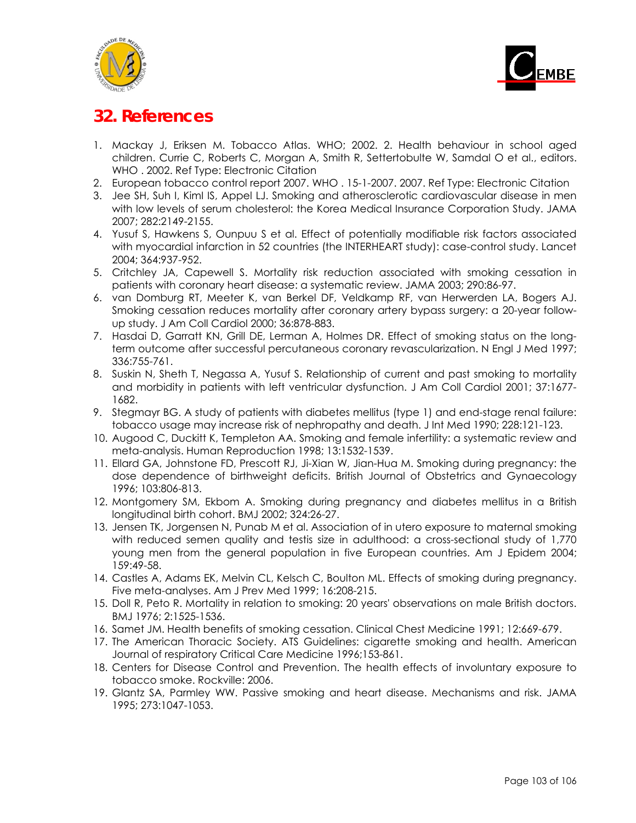



# **32. References**

- 1. Mackay J, Eriksen M. Tobacco Atlas. WHO; 2002. 2. Health behaviour in school aged children. Currie C, Roberts C, Morgan A, Smith R, Settertobulte W, Samdal O et al., editors. WHO . 2002. Ref Type: Electronic Citation
- 2. European tobacco control report 2007. WHO . 15-1-2007. 2007. Ref Type: Electronic Citation
- 3. Jee SH, Suh I, KimI IS, Appel LJ. Smoking and atherosclerotic cardiovascular disease in men with low levels of serum cholesterol: the Korea Medical Insurance Corporation Study. JAMA 2007; 282:2149-2155.
- 4. Yusuf S, Hawkens S, Ounpuu S et al. Effect of potentially modifiable risk factors associated with myocardial infarction in 52 countries (the INTERHEART study): case-control study. Lancet 2004; 364:937-952.
- 5. Critchley JA, Capewell S. Mortality risk reduction associated with smoking cessation in patients with coronary heart disease: a systematic review. JAMA 2003; 290:86-97.
- 6. van Domburg RT, Meeter K, van Berkel DF, Veldkamp RF, van Herwerden LA, Bogers AJ. Smoking cessation reduces mortality after coronary artery bypass surgery: a 20-year followup study. J Am Coll Cardiol 2000; 36:878-883.
- 7. Hasdai D, Garratt KN, Grill DE, Lerman A, Holmes DR. Effect of smoking status on the longterm outcome after successful percutaneous coronary revascularization. N Engl J Med 1997; 336:755-761.
- 8. Suskin N, Sheth T, Negassa A, Yusuf S. Relationship of current and past smoking to mortality and morbidity in patients with left ventricular dysfunction. J Am Coll Cardiol 2001; 37:1677- 1682.
- 9. Stegmayr BG. A study of patients with diabetes mellitus (type 1) and end-stage renal failure: tobacco usage may increase risk of nephropathy and death. J Int Med 1990; 228:121-123.
- 10. Augood C, Duckitt K, Templeton AA. Smoking and female infertility: a systematic review and meta-analysis. Human Reproduction 1998; 13:1532-1539.
- 11. Ellard GA, Johnstone FD, Prescott RJ, Ji-Xian W, Jian-Hua M. Smoking during pregnancy: the dose dependence of birthweight deficits. British Journal of Obstetrics and Gynaecology 1996; 103:806-813.
- 12. Montgomery SM, Ekbom A. Smoking during pregnancy and diabetes mellitus in a British longitudinal birth cohort. BMJ 2002; 324:26-27.
- 13. Jensen TK, Jorgensen N, Punab M et al. Association of in utero exposure to maternal smoking with reduced semen quality and testis size in adulthood: a cross-sectional study of 1,770 young men from the general population in five European countries. Am J Epidem 2004; 159:49-58.
- 14. Castles A, Adams EK, Melvin CL, Kelsch C, Boulton ML. Effects of smoking during pregnancy. Five meta-analyses. Am J Prev Med 1999; 16:208-215.
- 15. Doll R, Peto R. Mortality in relation to smoking: 20 years' observations on male British doctors. BMJ 1976; 2:1525-1536.
- 16. Samet JM. Health benefits of smoking cessation. Clinical Chest Medicine 1991; 12:669-679.
- 17. The American Thoracic Society. ATS Guidelines: cigarette smoking and health. American Journal of respiratory Critical Care Medicine 1996;153-861.
- 18. Centers for Disease Control and Prevention. The health effects of involuntary exposure to tobacco smoke. Rockville: 2006.
- 19. Glantz SA, Parmley WW. Passive smoking and heart disease. Mechanisms and risk. JAMA 1995; 273:1047-1053.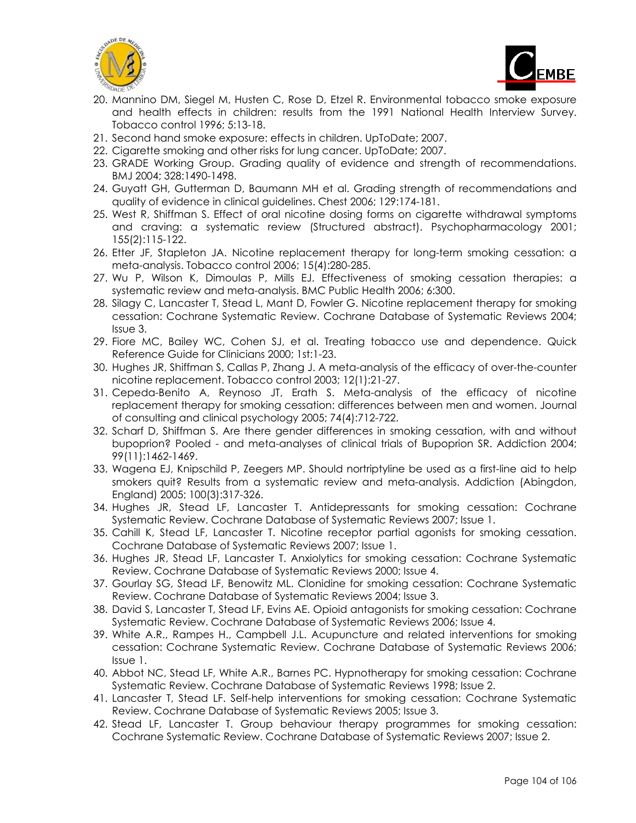



- 20. Mannino DM, Siegel M, Husten C, Rose D, Etzel R. Environmental tobacco smoke exposure and health effects in children: results from the 1991 National Health Interview Survey. Tobacco control 1996; 5:13-18.
- 21. Second hand smoke exposure: effects in children. UpToDate; 2007.
- 22. Cigarette smoking and other risks for lung cancer. UpToDate; 2007.
- 23. GRADE Working Group. Grading quality of evidence and strength of recommendations. BMJ 2004; 328:1490-1498.
- 24. Guyatt GH, Gutterman D, Baumann MH et al. Grading strength of recommendations and quality of evidence in clinical guidelines. Chest 2006; 129:174-181.
- 25. West R, Shiffman S. Effect of oral nicotine dosing forms on cigarette withdrawal symptoms and craving: a systematic review (Structured abstract). Psychopharmacology 2001; 155(2):115-122.
- 26. Etter JF, Stapleton JA. Nicotine replacement therapy for long-term smoking cessation: a meta-analysis. Tobacco control 2006; 15(4):280-285.
- 27. Wu P, Wilson K, Dimoulas P, Mills EJ. Effectiveness of smoking cessation therapies: a systematic review and meta-analysis. BMC Public Health 2006; 6:300.
- 28. Silagy C, Lancaster T, Stead L, Mant D, Fowler G. Nicotine replacement therapy for smoking cessation: Cochrane Systematic Review. Cochrane Database of Systematic Reviews 2004; Issue 3.
- 29. Fiore MC, Bailey WC, Cohen SJ, et al. Treating tobacco use and dependence. Quick Reference Guide for Clinicians 2000; 1st:1-23.
- 30. Hughes JR, Shiffman S, Callas P, Zhang J. A meta-analysis of the efficacy of over-the-counter nicotine replacement. Tobacco control 2003; 12(1):21-27.
- 31. Cepeda-Benito A, Reynoso JT, Erath S. Meta-analysis of the efficacy of nicotine replacement therapy for smoking cessation: differences between men and women. Journal of consulting and clinical psychology 2005; 74(4):712-722.
- 32. Scharf D, Shiffman S. Are there gender differences in smoking cessation, with and without bupoprion? Pooled - and meta-analyses of clinical trials of Bupoprion SR. Addiction 2004; 99(11):1462-1469.
- 33. Wagena EJ, Knipschild P, Zeegers MP. Should nortriptyline be used as a first-line aid to help smokers quit? Results from a systematic review and meta-analysis. Addiction (Abingdon, England) 2005; 100(3):317-326.
- 34. Hughes JR, Stead LF, Lancaster T. Antidepressants for smoking cessation: Cochrane Systematic Review. Cochrane Database of Systematic Reviews 2007; Issue 1.
- 35. Cahill K, Stead LF, Lancaster T. Nicotine receptor partial agonists for smoking cessation. Cochrane Database of Systematic Reviews 2007; Issue 1.
- 36. Hughes JR, Stead LF, Lancaster T. Anxiolytics for smoking cessation: Cochrane Systematic Review. Cochrane Database of Systematic Reviews 2000; Issue 4.
- 37. Gourlay SG, Stead LF, Benowitz ML. Clonidine for smoking cessation: Cochrane Systematic Review. Cochrane Database of Systematic Reviews 2004; Issue 3.
- 38. David S, Lancaster T, Stead LF, Evins AE. Opioid antagonists for smoking cessation: Cochrane Systematic Review. Cochrane Database of Systematic Reviews 2006; Issue 4.
- 39. White A.R., Rampes H., Campbell J.L. Acupuncture and related interventions for smoking cessation: Cochrane Systematic Review. Cochrane Database of Systematic Reviews 2006; Issue 1.
- 40. Abbot NC, Stead LF, White A.R., Barnes PC. Hypnotherapy for smoking cessation: Cochrane Systematic Review. Cochrane Database of Systematic Reviews 1998; Issue 2.
- 41. Lancaster T, Stead LF. Self-help interventions for smoking cessation: Cochrane Systematic Review. Cochrane Database of Systematic Reviews 2005; Issue 3.
- 42. Stead LF, Lancaster T. Group behaviour therapy programmes for smoking cessation: Cochrane Systematic Review. Cochrane Database of Systematic Reviews 2007; Issue 2.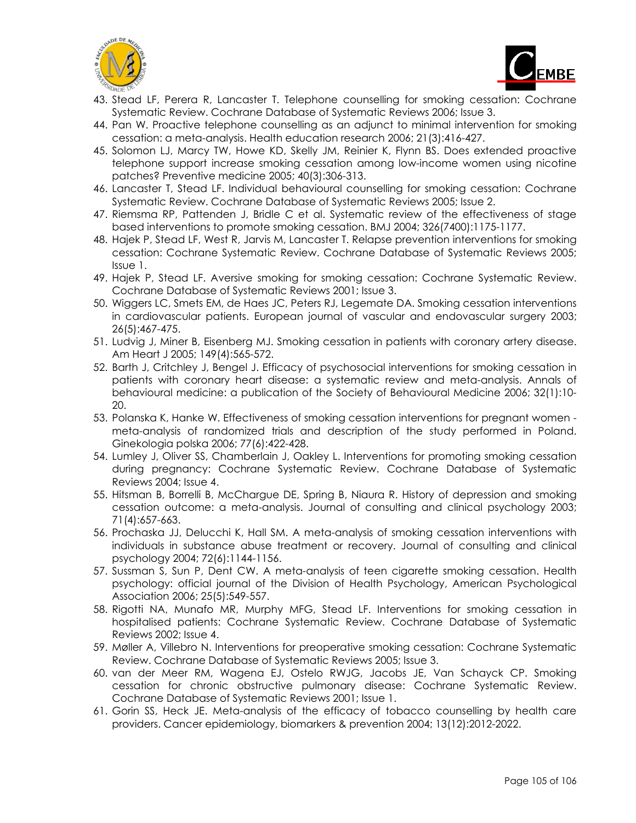



- 43. Stead LF, Perera R, Lancaster T. Telephone counselling for smoking cessation: Cochrane Systematic Review. Cochrane Database of Systematic Reviews 2006; Issue 3.
- 44. Pan W. Proactive telephone counselling as an adjunct to minimal intervention for smoking cessation: a meta-analysis. Health education research 2006; 21(3):416-427.
- 45. Solomon LJ, Marcy TW, Howe KD, Skelly JM, Reinier K, Flynn BS. Does extended proactive telephone support increase smoking cessation among low-income women using nicotine patches? Preventive medicine 2005; 40(3):306-313.
- 46. Lancaster T, Stead LF. Individual behavioural counselling for smoking cessation: Cochrane Systematic Review. Cochrane Database of Systematic Reviews 2005; Issue 2.
- 47. Riemsma RP, Pattenden J, Bridle C et al. Systematic review of the effectiveness of stage based interventions to promote smoking cessation. BMJ 2004; 326(7400):1175-1177.
- 48. Hajek P, Stead LF, West R, Jarvis M, Lancaster T. Relapse prevention interventions for smoking cessation: Cochrane Systematic Review. Cochrane Database of Systematic Reviews 2005; Issue 1.
- 49. Hajek P, Stead LF. Aversive smoking for smoking cessation: Cochrane Systematic Review. Cochrane Database of Systematic Reviews 2001; Issue 3.
- 50. Wiggers LC, Smets EM, de Haes JC, Peters RJ, Legemate DA. Smoking cessation interventions in cardiovascular patients. European journal of vascular and endovascular surgery 2003; 26(5):467-475.
- 51. Ludvig J, Miner B, Eisenberg MJ. Smoking cessation in patients with coronary artery disease. Am Heart J 2005; 149(4):565-572.
- 52. Barth J, Critchley J, Bengel J. Efficacy of psychosocial interventions for smoking cessation in patients with coronary heart disease: a systematic review and meta-analysis. Annals of behavioural medicine: a publication of the Society of Behavioural Medicine 2006; 32(1):10- 20.
- 53. Polanska K, Hanke W. Effectiveness of smoking cessation interventions for pregnant women meta-analysis of randomized trials and description of the study performed in Poland. Ginekologia polska 2006; 77(6):422-428.
- 54. Lumley J, Oliver SS, Chamberlain J, Oakley L. Interventions for promoting smoking cessation during pregnancy: Cochrane Systematic Review. Cochrane Database of Systematic Reviews 2004; Issue 4.
- 55. Hitsman B, Borrelli B, McChargue DE, Spring B, Niaura R. History of depression and smoking cessation outcome: a meta-analysis. Journal of consulting and clinical psychology 2003; 71(4):657-663.
- 56. Prochaska JJ, Delucchi K, Hall SM. A meta-analysis of smoking cessation interventions with individuals in substance abuse treatment or recovery. Journal of consulting and clinical psychology 2004; 72(6):1144-1156.
- 57. Sussman S, Sun P, Dent CW. A meta-analysis of teen cigarette smoking cessation. Health psychology: official journal of the Division of Health Psychology, American Psychological Association 2006; 25(5):549-557.
- 58. Rigotti NA, Munafo MR, Murphy MFG, Stead LF. Interventions for smoking cessation in hospitalised patients: Cochrane Systematic Review. Cochrane Database of Systematic Reviews 2002; Issue 4.
- 59. Møller A, Villebro N. Interventions for preoperative smoking cessation: Cochrane Systematic Review. Cochrane Database of Systematic Reviews 2005; Issue 3.
- 60. van der Meer RM, Wagena EJ, Ostelo RWJG, Jacobs JE, Van Schayck CP. Smoking cessation for chronic obstructive pulmonary disease: Cochrane Systematic Review. Cochrane Database of Systematic Reviews 2001; Issue 1.
- 61. Gorin SS, Heck JE. Meta-analysis of the efficacy of tobacco counselling by health care providers. Cancer epidemiology, biomarkers & prevention 2004; 13(12):2012-2022.